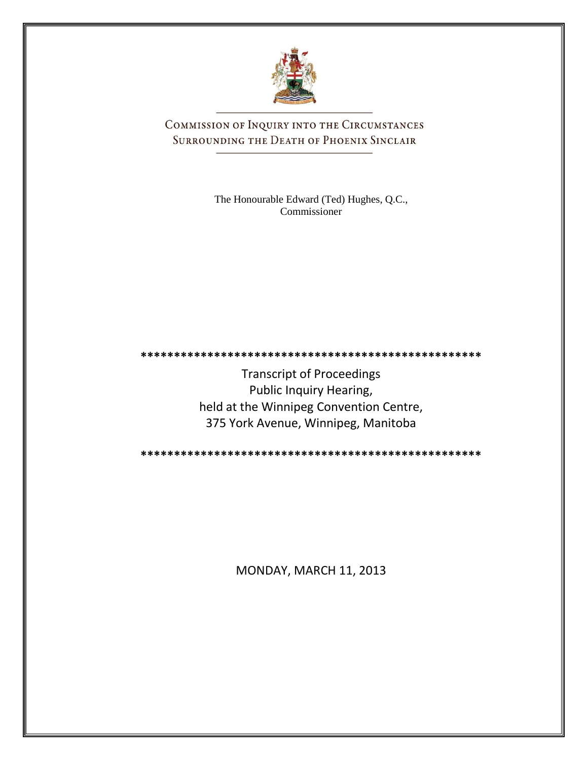

COMMISSION OF INQUIRY INTO THE CIRCUMSTANCES SURROUNDING THE DEATH OF PHOENIX SINCLAIR

> The Honourable Edward (Ted) Hughes, Q.C., Commissioner

Transcript of Proceedings Public Inquiry Hearing, held at the Winnipeg Convention Centre, 375 York Avenue, Winnipeg, Manitoba

**\*\*\*\*\*\*\*\*\*\*\*\*\*\*\*\*\*\*\*\*\*\*\*\*\*\*\*\*\*\*\*\*\*\*\*\*\*\*\*\*\*\*\*\*\*\*\*\*\*\*\***

**\*\*\*\*\*\*\*\*\*\*\*\*\*\*\*\*\*\*\*\*\*\*\*\*\*\*\*\*\*\*\*\*\*\*\*\*\*\*\*\*\*\*\*\*\*\*\*\*\*\*\***

MONDAY, MARCH 11, 2013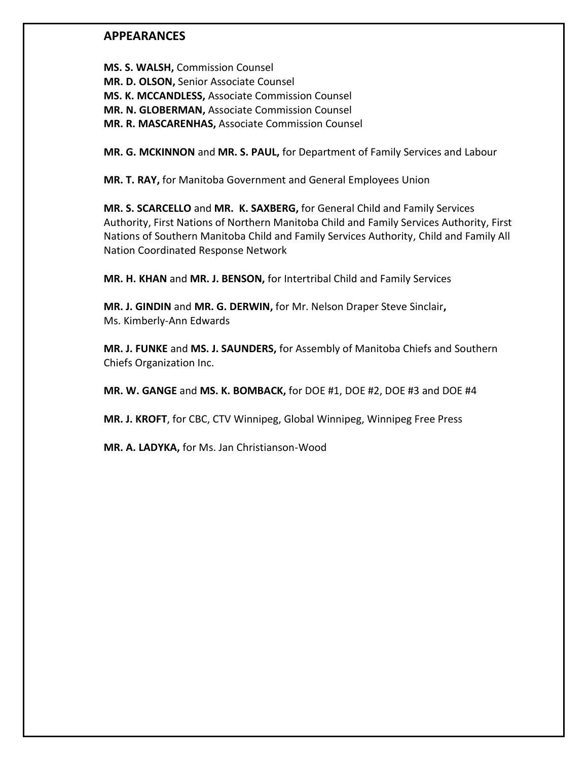## **APPEARANCES**

**MS. S. WALSH,** Commission Counsel **MR. D. OLSON,** Senior Associate Counsel **MS. K. MCCANDLESS,** Associate Commission Counsel **MR. N. GLOBERMAN,** Associate Commission Counsel **MR. R. MASCARENHAS,** Associate Commission Counsel

**MR. G. MCKINNON** and **MR. S. PAUL,** for Department of Family Services and Labour

**MR. T. RAY,** for Manitoba Government and General Employees Union

**MR. S. SCARCELLO** and **MR. K. SAXBERG,** for General Child and Family Services Authority, First Nations of Northern Manitoba Child and Family Services Authority, First Nations of Southern Manitoba Child and Family Services Authority, Child and Family All Nation Coordinated Response Network

**MR. H. KHAN** and **MR. J. BENSON,** for Intertribal Child and Family Services

**MR. J. GINDIN** and **MR. G. DERWIN,** for Mr. Nelson Draper Steve Sinclair**,** Ms. Kimberly-Ann Edwards

**MR. J. FUNKE** and **MS. J. SAUNDERS,** for Assembly of Manitoba Chiefs and Southern Chiefs Organization Inc.

**MR. W. GANGE** and **MS. K. BOMBACK,** for DOE #1, DOE #2, DOE #3 and DOE #4

**MR. J. KROFT**, for CBC, CTV Winnipeg, Global Winnipeg, Winnipeg Free Press

**MR. A. LADYKA,** for Ms. Jan Christianson-Wood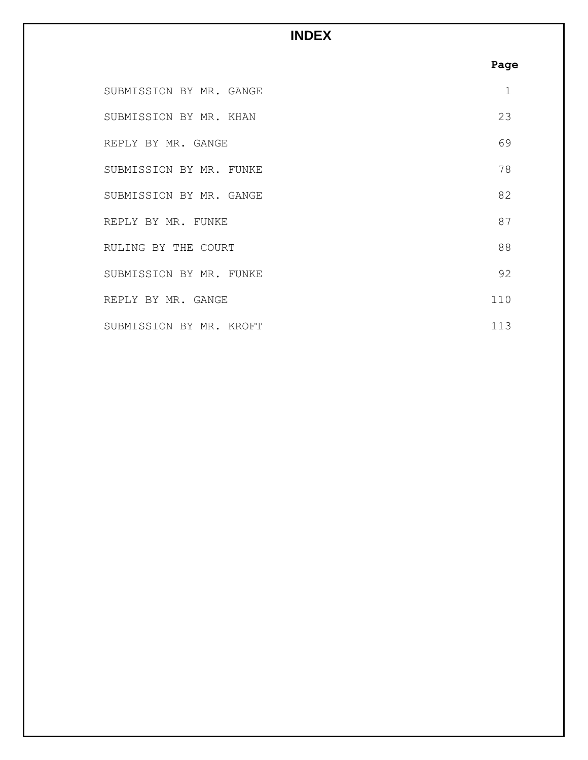# **INDEX**

# **Page**

| SUBMISSION BY MR. GANGE | 1   |
|-------------------------|-----|
| SUBMISSION BY MR. KHAN  | 23  |
| REPLY BY MR. GANGE      | 69  |
| SUBMISSION BY MR. FUNKE | 78  |
| SUBMISSION BY MR. GANGE | 82  |
| REPLY BY MR. FUNKE      | 87  |
| RULING BY THE COURT     | 88  |
| SUBMISSION BY MR. FUNKE | 92  |
| REPLY BY MR. GANGE      | 110 |
| SUBMISSION BY MR. KROFT | 113 |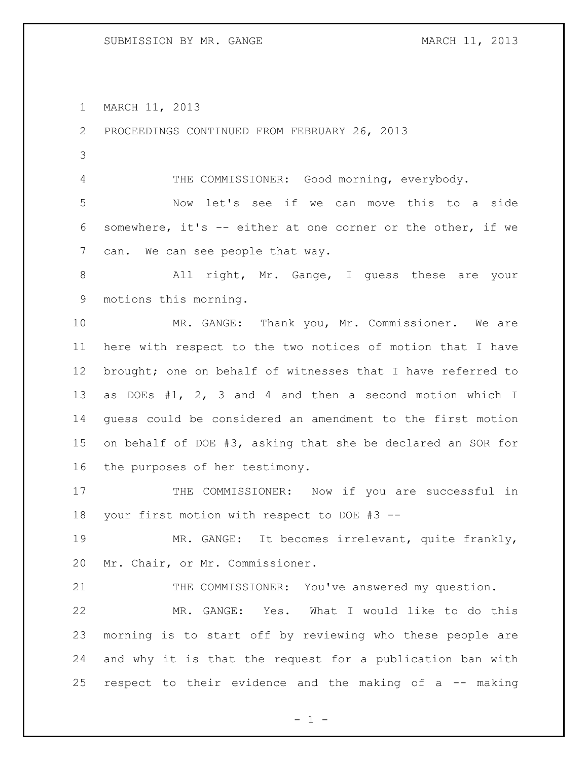MARCH 11, 2013

PROCEEDINGS CONTINUED FROM FEBRUARY 26, 2013

4 THE COMMISSIONER: Good morning, everybody.

 Now let's see if we can move this to a side somewhere, it's -- either at one corner or the other, if we can. We can see people that way.

8 All right, Mr. Gange, I quess these are your motions this morning.

 MR. GANGE: Thank you, Mr. Commissioner. We are here with respect to the two notices of motion that I have brought; one on behalf of witnesses that I have referred to as DOEs #1, 2, 3 and 4 and then a second motion which I guess could be considered an amendment to the first motion on behalf of DOE #3, asking that she be declared an SOR for the purposes of her testimony.

17 THE COMMISSIONER: Now if you are successful in your first motion with respect to DOE #3 --

 MR. GANGE: It becomes irrelevant, quite frankly, Mr. Chair, or Mr. Commissioner.

21 THE COMMISSIONER: You've answered my question.

 MR. GANGE: Yes. What I would like to do this morning is to start off by reviewing who these people are and why it is that the request for a publication ban with respect to their evidence and the making of a -- making

 $- 1 -$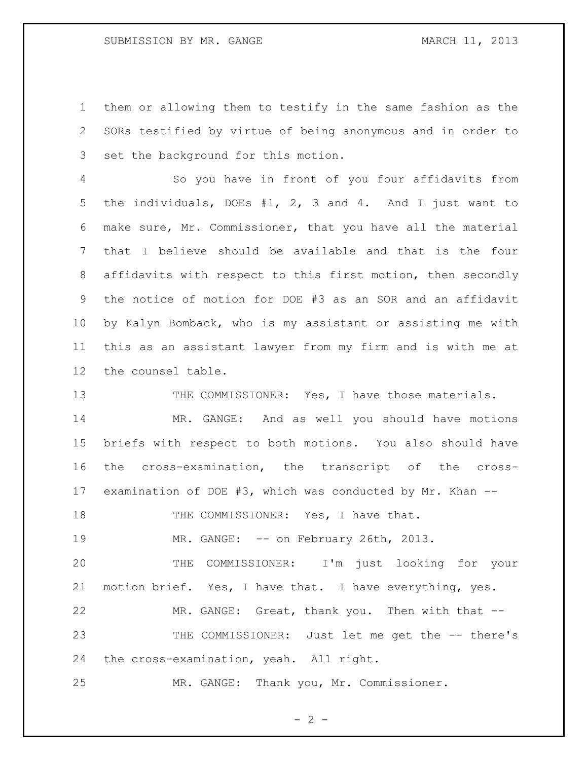them or allowing them to testify in the same fashion as the SORs testified by virtue of being anonymous and in order to set the background for this motion.

 So you have in front of you four affidavits from the individuals, DOEs #1, 2, 3 and 4. And I just want to make sure, Mr. Commissioner, that you have all the material that I believe should be available and that is the four affidavits with respect to this first motion, then secondly the notice of motion for DOE #3 as an SOR and an affidavit by Kalyn Bomback, who is my assistant or assisting me with this as an assistant lawyer from my firm and is with me at the counsel table.

13 THE COMMISSIONER: Yes, I have those materials.

 MR. GANGE: And as well you should have motions briefs with respect to both motions. You also should have the cross-examination, the transcript of the cross-examination of DOE #3, which was conducted by Mr. Khan --

18 THE COMMISSIONER: Yes, I have that.

19 MR. GANGE: -- on February 26th, 2013.

 THE COMMISSIONER: I'm just looking for your motion brief. Yes, I have that. I have everything, yes.

 MR. GANGE: Great, thank you. Then with that -- THE COMMISSIONER: Just let me get the -- there's the cross-examination, yeah. All right.

MR. GANGE: Thank you, Mr. Commissioner.

 $- 2 -$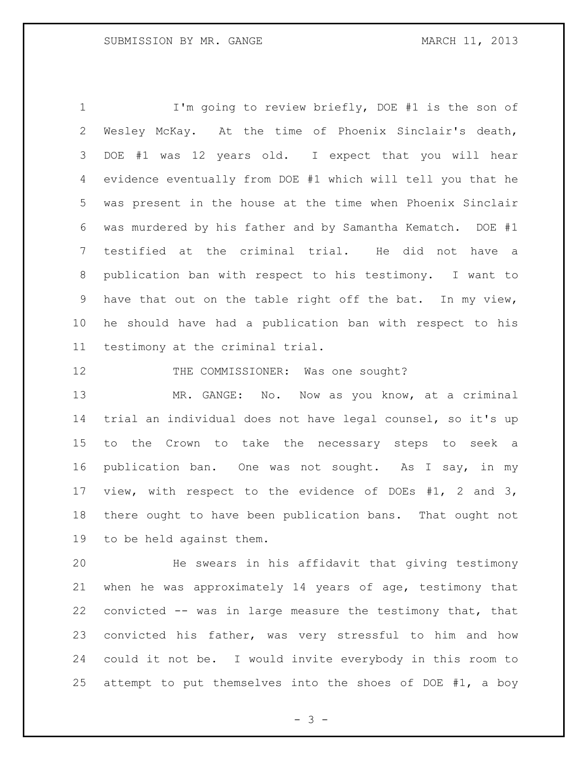I'm going to review briefly, DOE #1 is the son of Wesley McKay. At the time of Phoenix Sinclair's death, DOE #1 was 12 years old. I expect that you will hear evidence eventually from DOE #1 which will tell you that he was present in the house at the time when Phoenix Sinclair was murdered by his father and by Samantha Kematch. DOE #1 testified at the criminal trial. He did not have a publication ban with respect to his testimony. I want to have that out on the table right off the bat. In my view, he should have had a publication ban with respect to his testimony at the criminal trial.

12 THE COMMISSIONER: Was one sought?

13 MR. GANGE: No. Now as you know, at a criminal trial an individual does not have legal counsel, so it's up to the Crown to take the necessary steps to seek a publication ban. One was not sought. As I say, in my view, with respect to the evidence of DOEs #1, 2 and 3, there ought to have been publication bans. That ought not to be held against them.

 He swears in his affidavit that giving testimony when he was approximately 14 years of age, testimony that convicted -- was in large measure the testimony that, that convicted his father, was very stressful to him and how could it not be. I would invite everybody in this room to attempt to put themselves into the shoes of DOE #1, a boy

- 3 -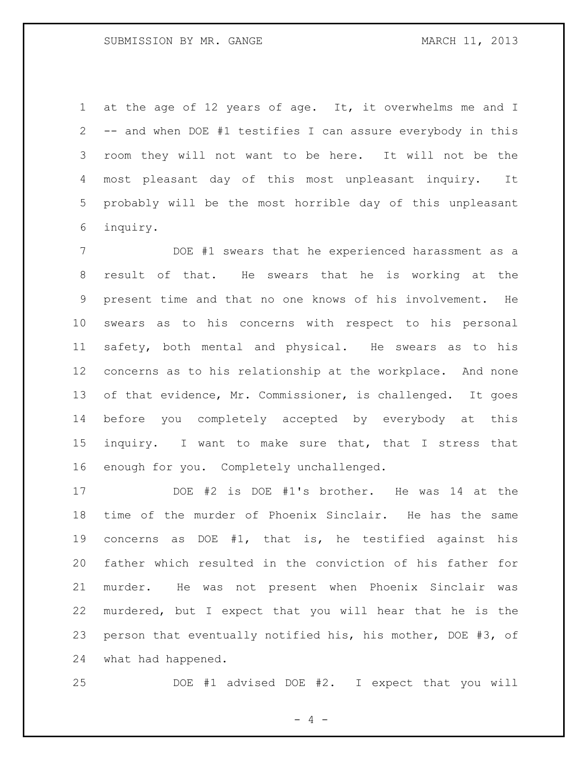at the age of 12 years of age. It, it overwhelms me and I -- and when DOE #1 testifies I can assure everybody in this room they will not want to be here. It will not be the most pleasant day of this most unpleasant inquiry. It probably will be the most horrible day of this unpleasant inquiry.

 DOE #1 swears that he experienced harassment as a result of that. He swears that he is working at the present time and that no one knows of his involvement. He swears as to his concerns with respect to his personal safety, both mental and physical. He swears as to his concerns as to his relationship at the workplace. And none of that evidence, Mr. Commissioner, is challenged. It goes before you completely accepted by everybody at this inquiry. I want to make sure that, that I stress that enough for you. Completely unchallenged.

 DOE #2 is DOE #1's brother. He was 14 at the time of the murder of Phoenix Sinclair. He has the same concerns as DOE #1, that is, he testified against his father which resulted in the conviction of his father for murder. He was not present when Phoenix Sinclair was murdered, but I expect that you will hear that he is the person that eventually notified his, his mother, DOE #3, of what had happened.

DOE #1 advised DOE #2. I expect that you will

- 4 -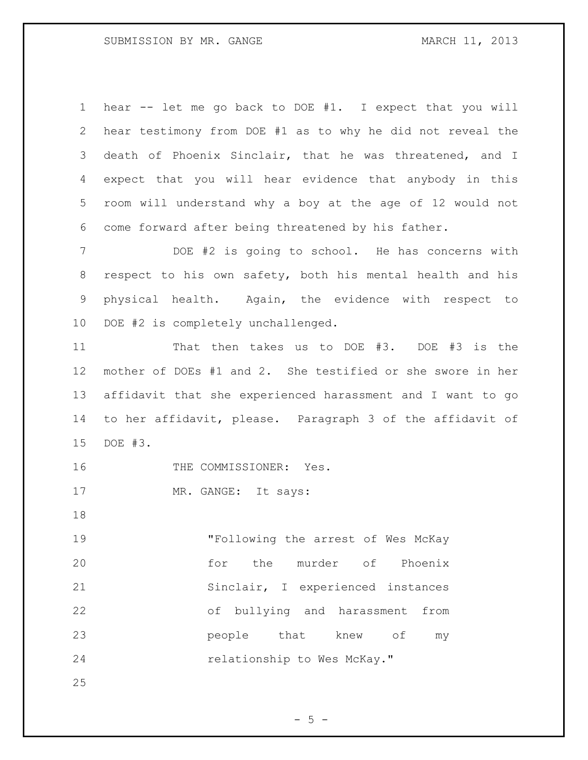hear -- let me go back to DOE #1. I expect that you will hear testimony from DOE #1 as to why he did not reveal the death of Phoenix Sinclair, that he was threatened, and I expect that you will hear evidence that anybody in this room will understand why a boy at the age of 12 would not come forward after being threatened by his father.

 DOE #2 is going to school. He has concerns with respect to his own safety, both his mental health and his physical health. Again, the evidence with respect to DOE #2 is completely unchallenged.

 That then takes us to DOE #3. DOE #3 is the mother of DOEs #1 and 2. She testified or she swore in her affidavit that she experienced harassment and I want to go to her affidavit, please. Paragraph 3 of the affidavit of DOE #3.

16 THE COMMISSIONER: Yes.

17 MR. GANGE: It says:

 "Following the arrest of Wes McKay for the murder of Phoenix Sinclair, I experienced instances of bullying and harassment from **people** that knew of my 24 relationship to Wes McKay."

 $-5 -$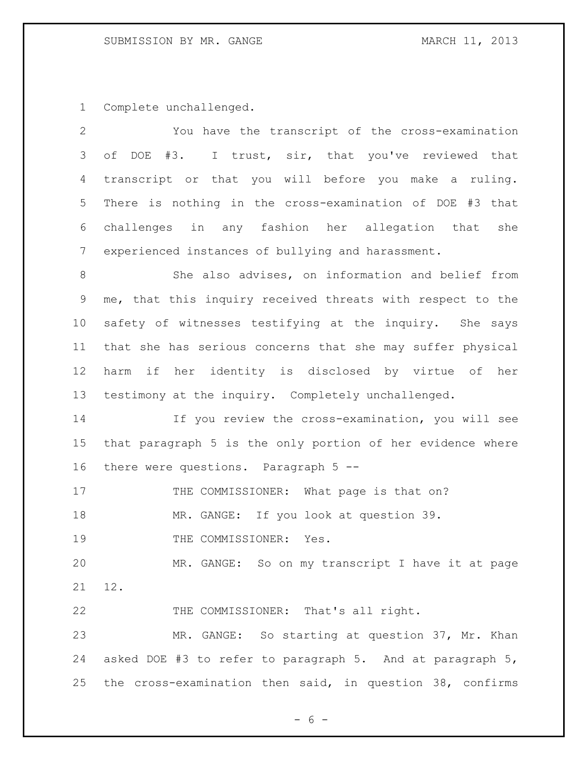Complete unchallenged.

| $\overline{2}$  | You have the transcript of the cross-examination           |
|-----------------|------------------------------------------------------------|
| 3               | of DOE #3. I trust, sir, that you've reviewed that         |
| 4               | transcript or that you will before you make a ruling.      |
| 5               | There is nothing in the cross-examination of DOE #3 that   |
| 6               | challenges in any fashion her allegation that she          |
| $7\phantom{.0}$ | experienced instances of bullying and harassment.          |
| 8               | She also advises, on information and belief from           |
| 9               | me, that this inquiry received threats with respect to the |
| 10              | safety of witnesses testifying at the inquiry. She says    |
| 11              | that she has serious concerns that she may suffer physical |
| 12              | harm if her identity is disclosed by virtue of her         |
| 13              | testimony at the inquiry. Completely unchallenged.         |
| 14              | If you review the cross-examination, you will see          |
| 15              | that paragraph 5 is the only portion of her evidence where |
| 16              | there were questions. Paragraph 5 --                       |
| 17              | THE COMMISSIONER: What page is that on?                    |
| 18              | MR. GANGE: If you look at question 39.                     |
| 19              | THE COMMISSIONER: Yes.                                     |
| 20              | MR. GANGE: So on my transcript I have it at page           |
| 21              | 12.                                                        |
| 22              | THE COMMISSIONER: That's all right.                        |
| 23              | MR. GANGE: So starting at question 37, Mr. Khan            |
| 24              | asked DOE #3 to refer to paragraph 5. And at paragraph 5,  |
| 25              | the cross-examination then said, in question 38, confirms  |

 $- 6 -$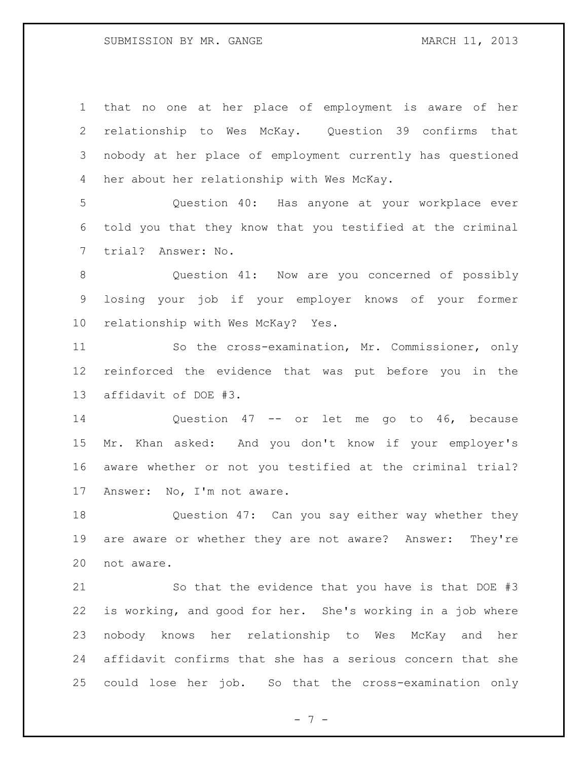that no one at her place of employment is aware of her relationship to Wes McKay. Question 39 confirms that nobody at her place of employment currently has questioned her about her relationship with Wes McKay. Question 40: Has anyone at your workplace ever told you that they know that you testified at the criminal trial? Answer: No. Question 41: Now are you concerned of possibly

 losing your job if your employer knows of your former relationship with Wes McKay? Yes.

 So the cross-examination, Mr. Commissioner, only reinforced the evidence that was put before you in the affidavit of DOE #3.

 Question 47 -- or let me go to 46, because Mr. Khan asked: And you don't know if your employer's aware whether or not you testified at the criminal trial? Answer: No, I'm not aware.

 Question 47: Can you say either way whether they are aware or whether they are not aware? Answer: They're not aware.

 So that the evidence that you have is that DOE #3 is working, and good for her. She's working in a job where nobody knows her relationship to Wes McKay and her affidavit confirms that she has a serious concern that she could lose her job. So that the cross-examination only

- 7 -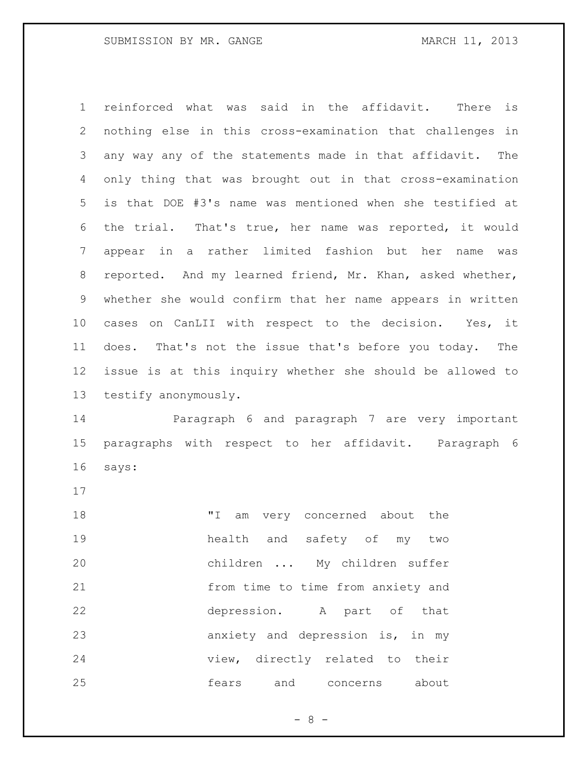reinforced what was said in the affidavit. There is nothing else in this cross-examination that challenges in any way any of the statements made in that affidavit. The only thing that was brought out in that cross-examination is that DOE #3's name was mentioned when she testified at the trial. That's true, her name was reported, it would appear in a rather limited fashion but her name was reported. And my learned friend, Mr. Khan, asked whether, whether she would confirm that her name appears in written cases on CanLII with respect to the decision. Yes, it does. That's not the issue that's before you today. The issue is at this inquiry whether she should be allowed to testify anonymously.

 Paragraph 6 and paragraph 7 are very important paragraphs with respect to her affidavit. Paragraph 6 says:

18 TI am very concerned about the health and safety of my two children ... My children suffer from time to time from anxiety and depression. A part of that anxiety and depression is, in my view, directly related to their fears and concerns about

- 8 -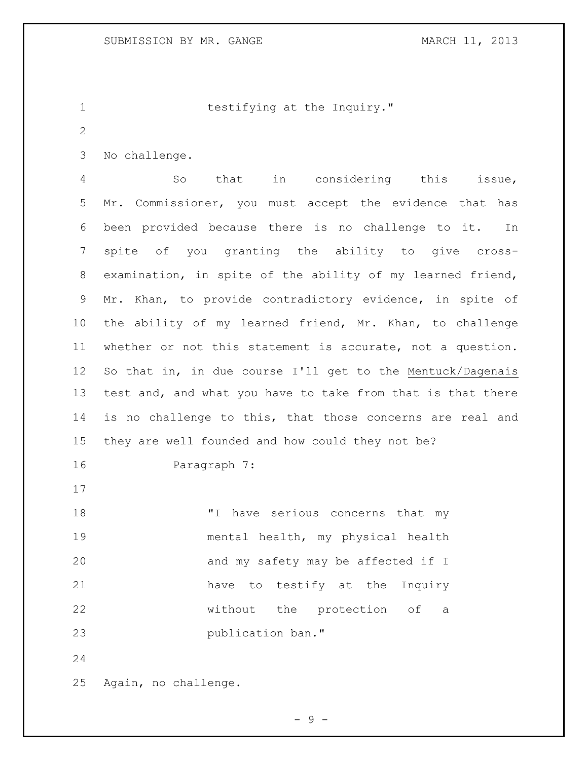1 testifying at the Inquiry."

- 
- No challenge.

 So that in considering this issue, Mr. Commissioner, you must accept the evidence that has been provided because there is no challenge to it. In spite of you granting the ability to give cross- examination, in spite of the ability of my learned friend, Mr. Khan, to provide contradictory evidence, in spite of the ability of my learned friend, Mr. Khan, to challenge whether or not this statement is accurate, not a question. So that in, in due course I'll get to the Mentuck/Dagenais 13 test and, and what you have to take from that is that there is no challenge to this, that those concerns are real and they are well founded and how could they not be? Paragraph 7: 18 Thave serious concerns that my mental health, my physical health 20 and my safety may be affected if I

22 without the protection of a publication ban."

Again, no challenge.

- 9 -

have to testify at the Inquiry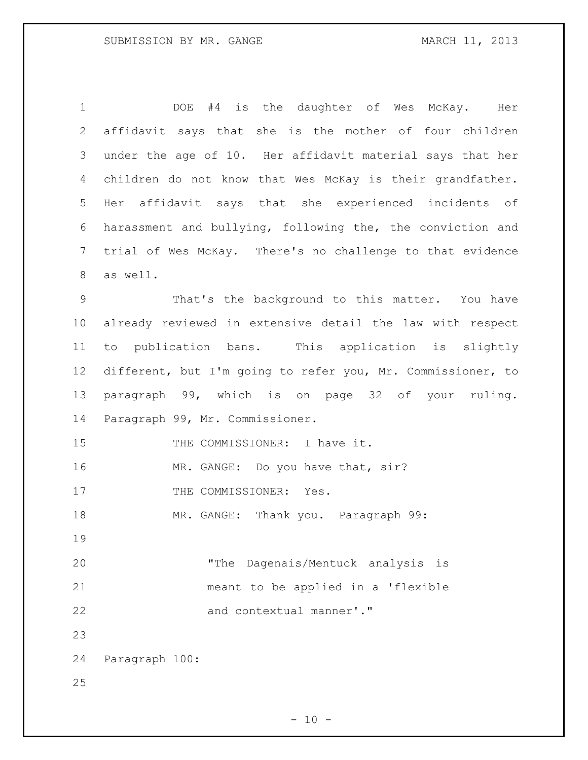DOE #4 is the daughter of Wes McKay. Her affidavit says that she is the mother of four children under the age of 10. Her affidavit material says that her children do not know that Wes McKay is their grandfather. Her affidavit says that she experienced incidents of harassment and bullying, following the, the conviction and trial of Wes McKay. There's no challenge to that evidence as well. That's the background to this matter. You have already reviewed in extensive detail the law with respect to publication bans. This application is slightly different, but I'm going to refer you, Mr. Commissioner, to paragraph 99, which is on page 32 of your ruling. Paragraph 99, Mr. Commissioner. 15 THE COMMISSIONER: I have it. 16 MR. GANGE: Do you have that, sir? 17 THE COMMISSIONER: Yes. MR. GANGE: Thank you. Paragraph 99: "The Dagenais/Mentuck analysis is meant to be applied in a 'flexible 22 and contextual manner'." Paragraph 100: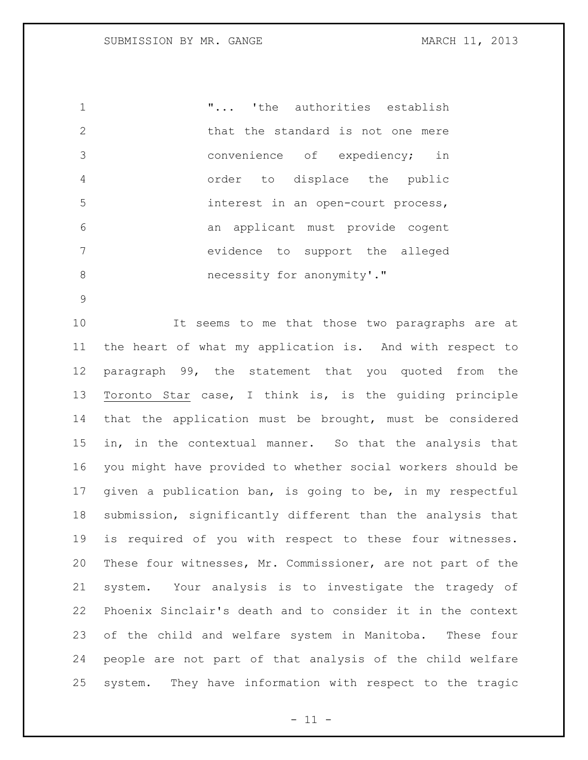"... 'the authorities establish 2 that the standard is not one mere convenience of expediency; in order to displace the public interest in an open-court process, an applicant must provide cogent evidence to support the alleged 8 necessity for anonymity'."

 It seems to me that those two paragraphs are at the heart of what my application is. And with respect to paragraph 99, the statement that you quoted from the Toronto Star case, I think is, is the guiding principle that the application must be brought, must be considered in, in the contextual manner. So that the analysis that you might have provided to whether social workers should be given a publication ban, is going to be, in my respectful submission, significantly different than the analysis that is required of you with respect to these four witnesses. These four witnesses, Mr. Commissioner, are not part of the system. Your analysis is to investigate the tragedy of Phoenix Sinclair's death and to consider it in the context of the child and welfare system in Manitoba. These four people are not part of that analysis of the child welfare system. They have information with respect to the tragic

 $- 11 -$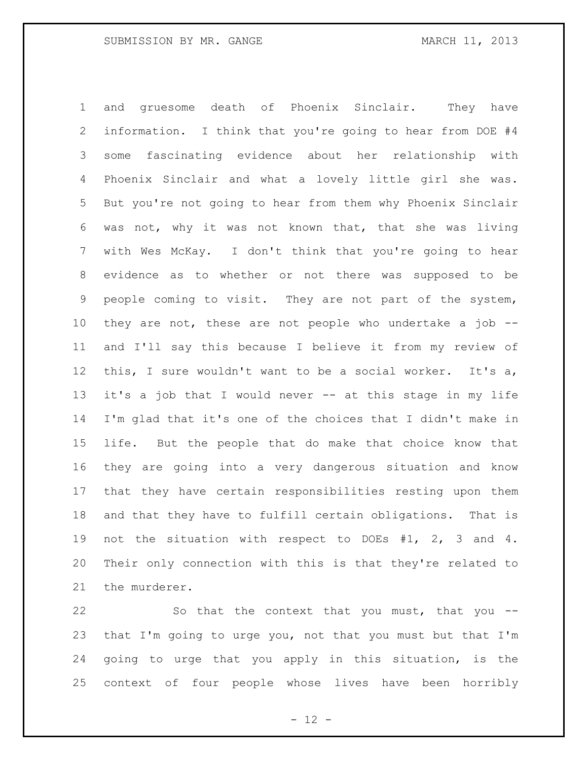and gruesome death of Phoenix Sinclair. They have information. I think that you're going to hear from DOE #4 some fascinating evidence about her relationship with Phoenix Sinclair and what a lovely little girl she was. But you're not going to hear from them why Phoenix Sinclair was not, why it was not known that, that she was living with Wes McKay. I don't think that you're going to hear evidence as to whether or not there was supposed to be people coming to visit. They are not part of the system, they are not, these are not people who undertake a job -- and I'll say this because I believe it from my review of this, I sure wouldn't want to be a social worker. It's a, it's a job that I would never -- at this stage in my life I'm glad that it's one of the choices that I didn't make in life. But the people that do make that choice know that they are going into a very dangerous situation and know that they have certain responsibilities resting upon them and that they have to fulfill certain obligations. That is not the situation with respect to DOEs #1, 2, 3 and 4. Their only connection with this is that they're related to the murderer.

 So that the context that you must, that you -- that I'm going to urge you, not that you must but that I'm going to urge that you apply in this situation, is the context of four people whose lives have been horribly

 $- 12 -$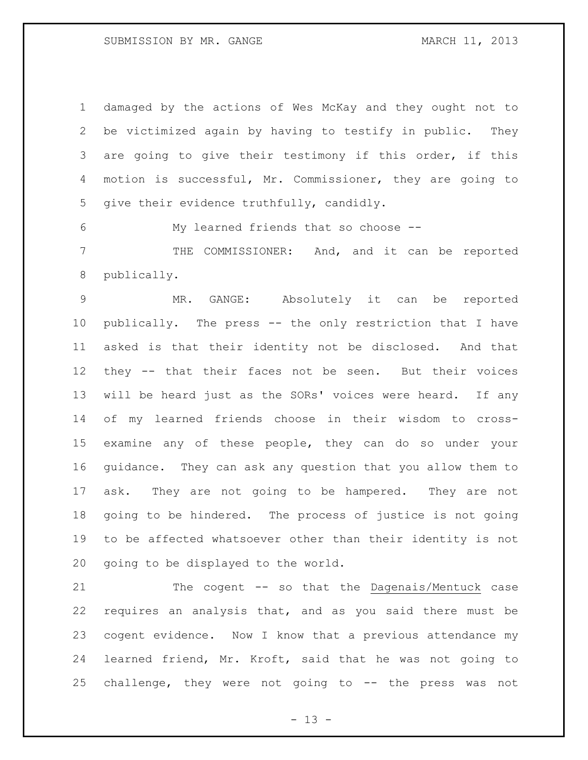damaged by the actions of Wes McKay and they ought not to be victimized again by having to testify in public. They are going to give their testimony if this order, if this motion is successful, Mr. Commissioner, they are going to give their evidence truthfully, candidly.

My learned friends that so choose --

 THE COMMISSIONER: And, and it can be reported publically.

 MR. GANGE: Absolutely it can be reported publically. The press -- the only restriction that I have asked is that their identity not be disclosed. And that they -- that their faces not be seen. But their voices will be heard just as the SORs' voices were heard. If any of my learned friends choose in their wisdom to cross- examine any of these people, they can do so under your guidance. They can ask any question that you allow them to ask. They are not going to be hampered. They are not going to be hindered. The process of justice is not going to be affected whatsoever other than their identity is not going to be displayed to the world.

 The cogent -- so that the Dagenais/Mentuck case requires an analysis that, and as you said there must be cogent evidence. Now I know that a previous attendance my learned friend, Mr. Kroft, said that he was not going to challenge, they were not going to -- the press was not

 $- 13 -$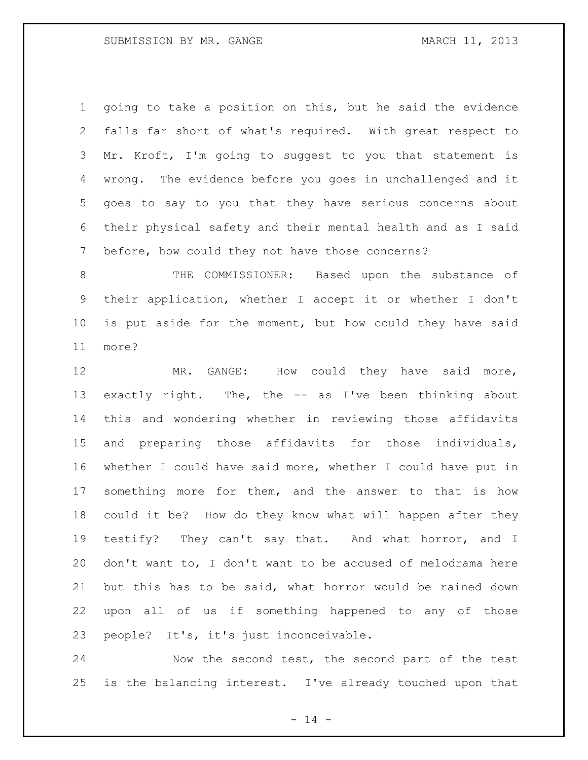going to take a position on this, but he said the evidence falls far short of what's required. With great respect to Mr. Kroft, I'm going to suggest to you that statement is wrong. The evidence before you goes in unchallenged and it goes to say to you that they have serious concerns about their physical safety and their mental health and as I said before, how could they not have those concerns?

 THE COMMISSIONER: Based upon the substance of their application, whether I accept it or whether I don't is put aside for the moment, but how could they have said more?

12 MR. GANGE: How could they have said more, exactly right. The, the -- as I've been thinking about this and wondering whether in reviewing those affidavits and preparing those affidavits for those individuals, whether I could have said more, whether I could have put in something more for them, and the answer to that is how could it be? How do they know what will happen after they testify? They can't say that. And what horror, and I don't want to, I don't want to be accused of melodrama here but this has to be said, what horror would be rained down upon all of us if something happened to any of those people? It's, it's just inconceivable.

 Now the second test, the second part of the test is the balancing interest. I've already touched upon that

 $- 14 -$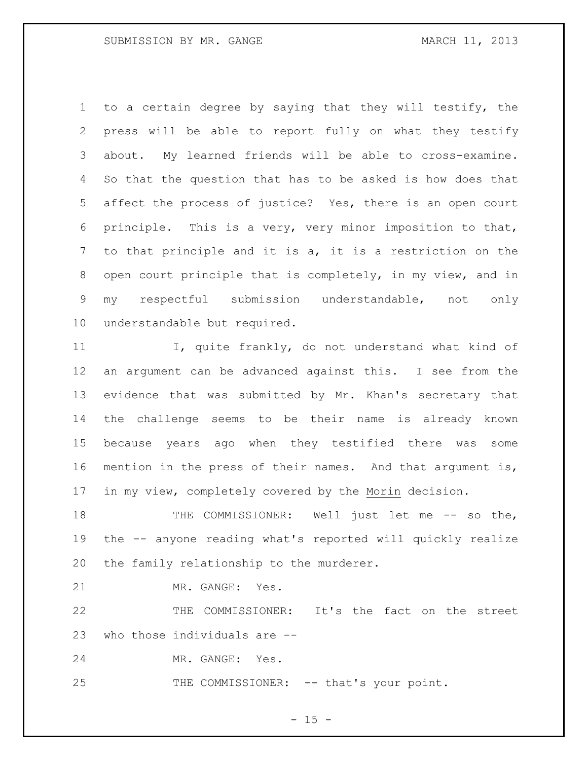to a certain degree by saying that they will testify, the press will be able to report fully on what they testify about. My learned friends will be able to cross-examine. So that the question that has to be asked is how does that affect the process of justice? Yes, there is an open court principle. This is a very, very minor imposition to that, to that principle and it is a, it is a restriction on the open court principle that is completely, in my view, and in my respectful submission understandable, not only understandable but required.

 I, quite frankly, do not understand what kind of an argument can be advanced against this. I see from the evidence that was submitted by Mr. Khan's secretary that the challenge seems to be their name is already known because years ago when they testified there was some mention in the press of their names. And that argument is, in my view, completely covered by the Morin decision.

18 THE COMMISSIONER: Well just let me -- so the, the -- anyone reading what's reported will quickly realize the family relationship to the murderer.

MR. GANGE: Yes.

 THE COMMISSIONER: It's the fact on the street who those individuals are --

MR. GANGE: Yes.

25 THE COMMISSIONER: -- that's your point.

 $- 15 -$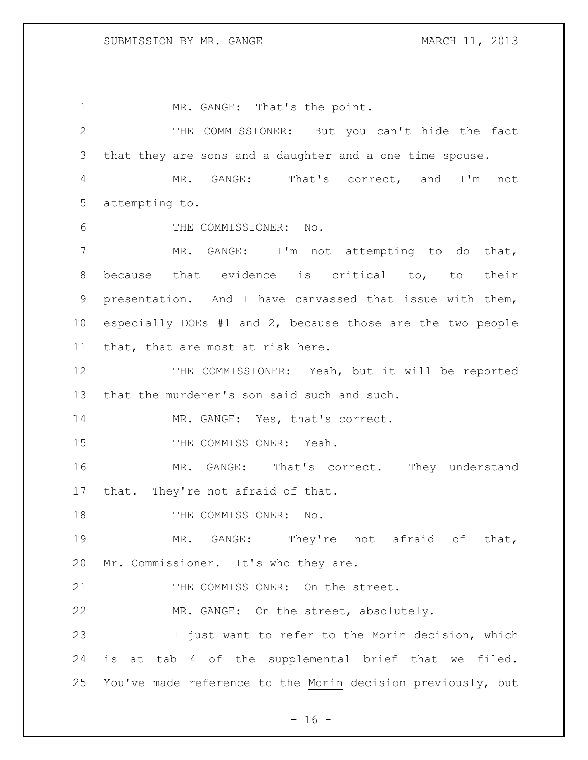MR. GANGE: That's the point. THE COMMISSIONER: But you can't hide the fact that they are sons and a daughter and a one time spouse. MR. GANGE: That's correct, and I'm not attempting to. THE COMMISSIONER: No. MR. GANGE: I'm not attempting to do that, because that evidence is critical to, to their presentation. And I have canvassed that issue with them, especially DOEs #1 and 2, because those are the two people that, that are most at risk here. THE COMMISSIONER: Yeah, but it will be reported that the murderer's son said such and such. 14 MR. GANGE: Yes, that's correct. 15 THE COMMISSIONER: Yeah. MR. GANGE: That's correct. They understand that. They're not afraid of that. 18 THE COMMISSIONER: No. MR. GANGE: They're not afraid of that, Mr. Commissioner. It's who they are. 21 THE COMMISSIONER: On the street. MR. GANGE: On the street, absolutely. I just want to refer to the Morin decision, which is at tab 4 of the supplemental brief that we filed. You've made reference to the Morin decision previously, but

- 16 -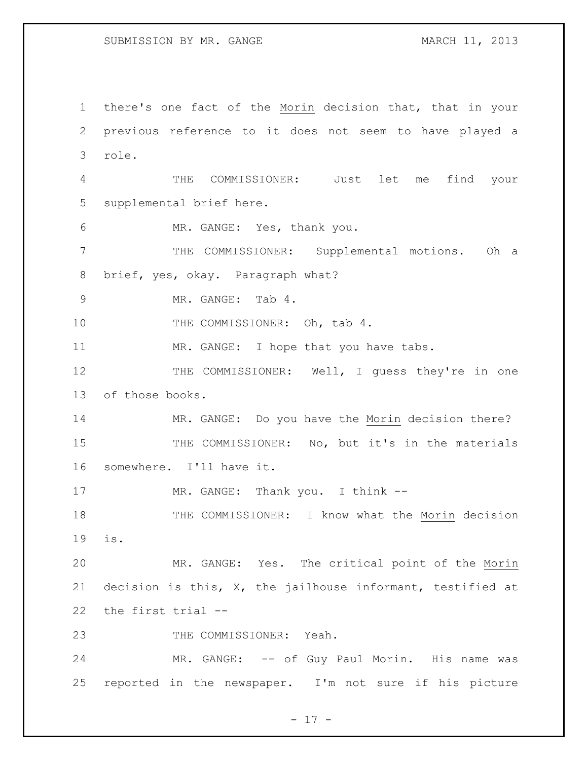there's one fact of the Morin decision that, that in your previous reference to it does not seem to have played a role. THE COMMISSIONER: Just let me find your supplemental brief here. MR. GANGE: Yes, thank you. THE COMMISSIONER: Supplemental motions. Oh a brief, yes, okay. Paragraph what? MR. GANGE: Tab 4. 10 THE COMMISSIONER: Oh, tab 4. 11 MR. GANGE: I hope that you have tabs. 12 THE COMMISSIONER: Well, I guess they're in one of those books. MR. GANGE: Do you have the Morin decision there? 15 THE COMMISSIONER: No, but it's in the materials somewhere. I'll have it. 17 MR. GANGE: Thank you. I think --18 THE COMMISSIONER: I know what the Morin decision is. MR. GANGE: Yes. The critical point of the Morin decision is this, X, the jailhouse informant, testified at the first trial -- 23 THE COMMISSIONER: Yeah. 24 MR. GANGE: -- of Guy Paul Morin. His name was reported in the newspaper. I'm not sure if his picture

- 17 -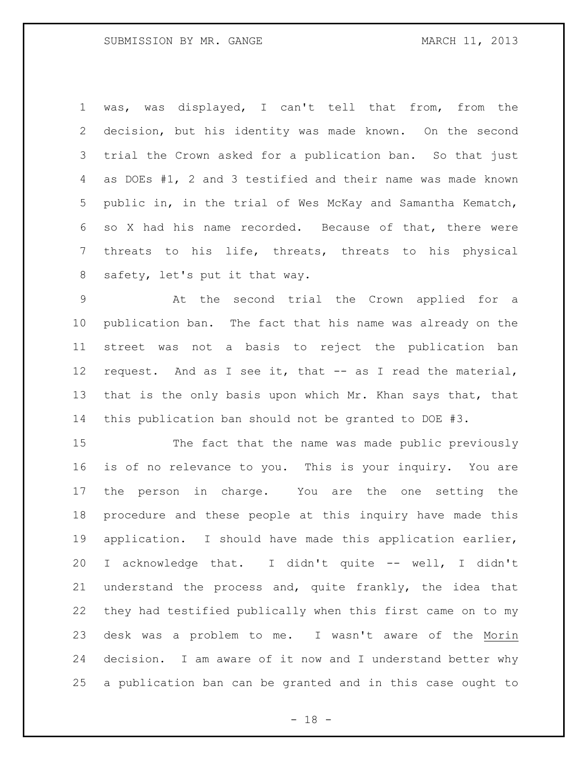was, was displayed, I can't tell that from, from the decision, but his identity was made known. On the second trial the Crown asked for a publication ban. So that just as DOEs #1, 2 and 3 testified and their name was made known public in, in the trial of Wes McKay and Samantha Kematch, so X had his name recorded. Because of that, there were threats to his life, threats, threats to his physical safety, let's put it that way.

 At the second trial the Crown applied for a publication ban. The fact that his name was already on the street was not a basis to reject the publication ban request. And as I see it, that -- as I read the material, 13 that is the only basis upon which Mr. Khan says that, that this publication ban should not be granted to DOE #3.

 The fact that the name was made public previously is of no relevance to you. This is your inquiry. You are the person in charge. You are the one setting the procedure and these people at this inquiry have made this application. I should have made this application earlier, 20 I acknowledge that. I didn't quite -- well, I didn't understand the process and, quite frankly, the idea that they had testified publically when this first came on to my desk was a problem to me. I wasn't aware of the Morin decision. I am aware of it now and I understand better why a publication ban can be granted and in this case ought to

 $- 18 -$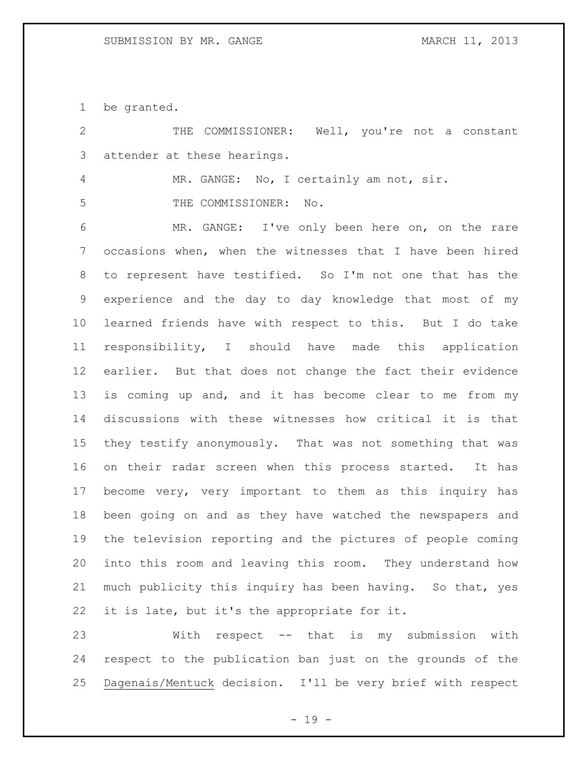be granted.

 THE COMMISSIONER: Well, you're not a constant attender at these hearings. MR. GANGE: No, I certainly am not, sir. THE COMMISSIONER: No. MR. GANGE: I've only been here on, on the rare occasions when, when the witnesses that I have been hired to represent have testified. So I'm not one that has the experience and the day to day knowledge that most of my learned friends have with respect to this. But I do take responsibility, I should have made this application earlier. But that does not change the fact their evidence is coming up and, and it has become clear to me from my discussions with these witnesses how critical it is that they testify anonymously. That was not something that was on their radar screen when this process started. It has become very, very important to them as this inquiry has been going on and as they have watched the newspapers and the television reporting and the pictures of people coming into this room and leaving this room. They understand how much publicity this inquiry has been having. So that, yes it is late, but it's the appropriate for it. With respect -- that is my submission with

 respect to the publication ban just on the grounds of the Dagenais/Mentuck decision. I'll be very brief with respect

- 19 -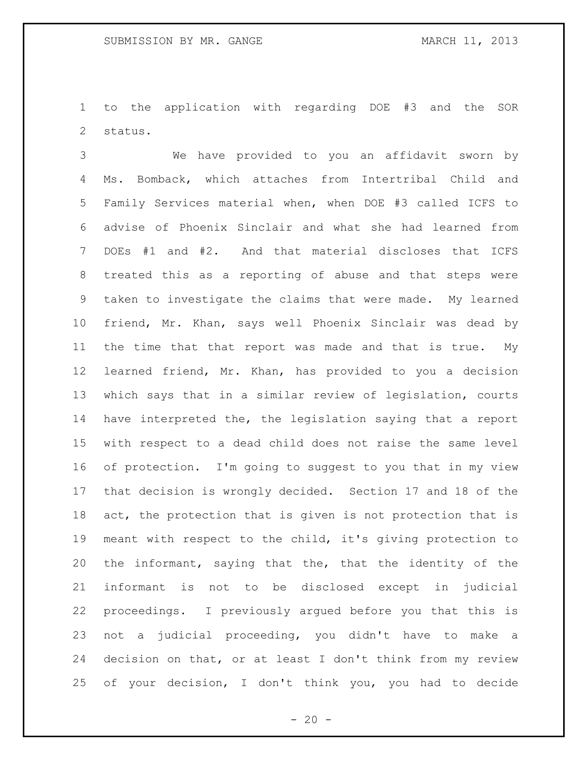to the application with regarding DOE #3 and the SOR status.

 We have provided to you an affidavit sworn by Ms. Bomback, which attaches from Intertribal Child and Family Services material when, when DOE #3 called ICFS to advise of Phoenix Sinclair and what she had learned from DOEs #1 and #2. And that material discloses that ICFS treated this as a reporting of abuse and that steps were taken to investigate the claims that were made. My learned friend, Mr. Khan, says well Phoenix Sinclair was dead by the time that that report was made and that is true. My learned friend, Mr. Khan, has provided to you a decision which says that in a similar review of legislation, courts have interpreted the, the legislation saying that a report with respect to a dead child does not raise the same level of protection. I'm going to suggest to you that in my view that decision is wrongly decided. Section 17 and 18 of the act, the protection that is given is not protection that is meant with respect to the child, it's giving protection to the informant, saying that the, that the identity of the informant is not to be disclosed except in judicial proceedings. I previously argued before you that this is not a judicial proceeding, you didn't have to make a decision on that, or at least I don't think from my review of your decision, I don't think you, you had to decide

 $- 20 -$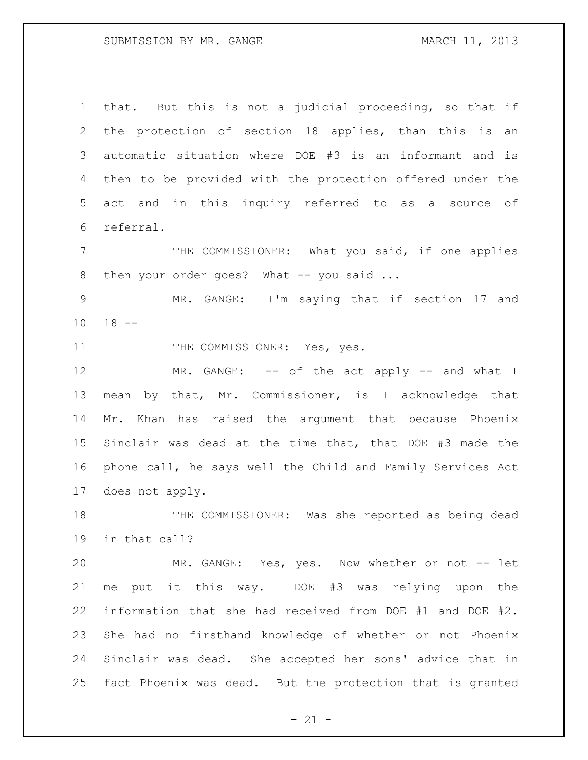that. But this is not a judicial proceeding, so that if the protection of section 18 applies, than this is an automatic situation where DOE #3 is an informant and is then to be provided with the protection offered under the act and in this inquiry referred to as a source of referral.

 THE COMMISSIONER: What you said, if one applies 8 then your order goes? What -- you said ...

 MR. GANGE: I'm saying that if section 17 and 18 --

11 THE COMMISSIONER: Yes, yes.

12 MR. GANGE: -- of the act apply -- and what I mean by that, Mr. Commissioner, is I acknowledge that Mr. Khan has raised the argument that because Phoenix Sinclair was dead at the time that, that DOE #3 made the phone call, he says well the Child and Family Services Act does not apply.

 THE COMMISSIONER: Was she reported as being dead in that call?

20 MR. GANGE: Yes, yes. Now whether or not -- let me put it this way. DOE #3 was relying upon the information that she had received from DOE #1 and DOE #2. She had no firsthand knowledge of whether or not Phoenix Sinclair was dead. She accepted her sons' advice that in fact Phoenix was dead. But the protection that is granted

 $- 21 -$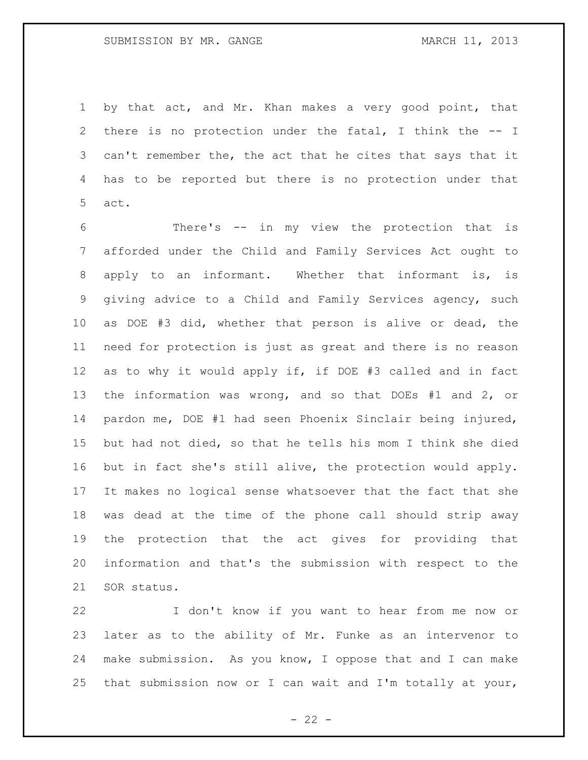by that act, and Mr. Khan makes a very good point, that there is no protection under the fatal, I think the -- I 3 can't remember the, the act that he cites that says that it has to be reported but there is no protection under that act.

 There's -- in my view the protection that is afforded under the Child and Family Services Act ought to apply to an informant. Whether that informant is, is giving advice to a Child and Family Services agency, such as DOE #3 did, whether that person is alive or dead, the need for protection is just as great and there is no reason as to why it would apply if, if DOE #3 called and in fact the information was wrong, and so that DOEs #1 and 2, or pardon me, DOE #1 had seen Phoenix Sinclair being injured, but had not died, so that he tells his mom I think she died but in fact she's still alive, the protection would apply. It makes no logical sense whatsoever that the fact that she was dead at the time of the phone call should strip away the protection that the act gives for providing that information and that's the submission with respect to the SOR status.

 I don't know if you want to hear from me now or later as to the ability of Mr. Funke as an intervenor to make submission. As you know, I oppose that and I can make that submission now or I can wait and I'm totally at your,

 $- 22 -$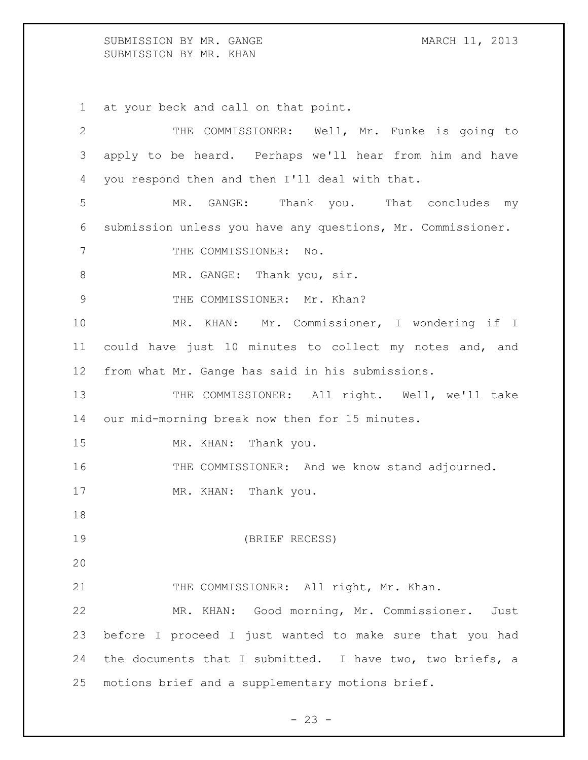SUBMISSION BY MR. GANGE MARCH 11, 2013 SUBMISSION BY MR. KHAN

1 at your beck and call on that point.

2 THE COMMISSIONER: Well, Mr. Funke is going to 3 apply to be heard. Perhaps we'll hear from him and have 4 you respond then and then I'll deal with that. 5 MR. GANGE: Thank you. That concludes my 6 submission unless you have any questions, Mr. Commissioner. 7 THE COMMISSIONER: No. 8 MR. GANGE: Thank you, sir. 9 THE COMMISSIONER: Mr. Khan? 10 MR. KHAN: Mr. Commissioner, I wondering if I 11 could have just 10 minutes to collect my notes and, and 12 from what Mr. Gange has said in his submissions. 13 THE COMMISSIONER: All right. Well, we'll take 14 our mid-morning break now then for 15 minutes. 15 MR. KHAN: Thank you. 16 THE COMMISSIONER: And we know stand adjourned. 17 MR. KHAN: Thank you. 18 19 (BRIEF RECESS) 20 21 THE COMMISSIONER: All right, Mr. Khan. 22 MR. KHAN: Good morning, Mr. Commissioner. Just 23 before I proceed I just wanted to make sure that you had 24 the documents that I submitted. I have two, two briefs, a 25 motions brief and a supplementary motions brief.

 $- 23 -$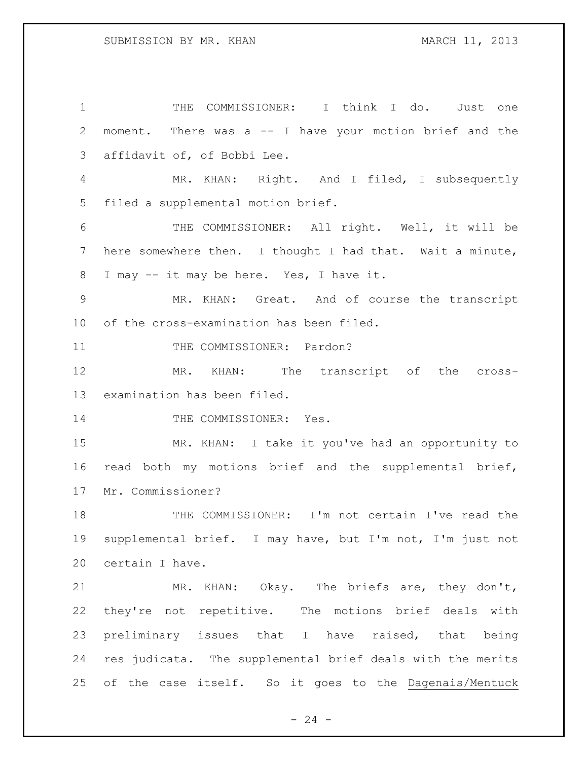THE COMMISSIONER: I think I do. Just one moment. There was a -- I have your motion brief and the affidavit of, of Bobbi Lee. MR. KHAN: Right. And I filed, I subsequently filed a supplemental motion brief. THE COMMISSIONER: All right. Well, it will be here somewhere then. I thought I had that. Wait a minute, I may -- it may be here. Yes, I have it. MR. KHAN: Great. And of course the transcript of the cross-examination has been filed. 11 THE COMMISSIONER: Pardon? MR. KHAN: The transcript of the cross- examination has been filed. 14 THE COMMISSIONER: Yes. MR. KHAN: I take it you've had an opportunity to read both my motions brief and the supplemental brief, Mr. Commissioner? THE COMMISSIONER: I'm not certain I've read the supplemental brief. I may have, but I'm not, I'm just not certain I have. MR. KHAN: Okay. The briefs are, they don't, they're not repetitive. The motions brief deals with preliminary issues that I have raised, that being res judicata. The supplemental brief deals with the merits of the case itself. So it goes to the Dagenais/Mentuck

 $-24 -$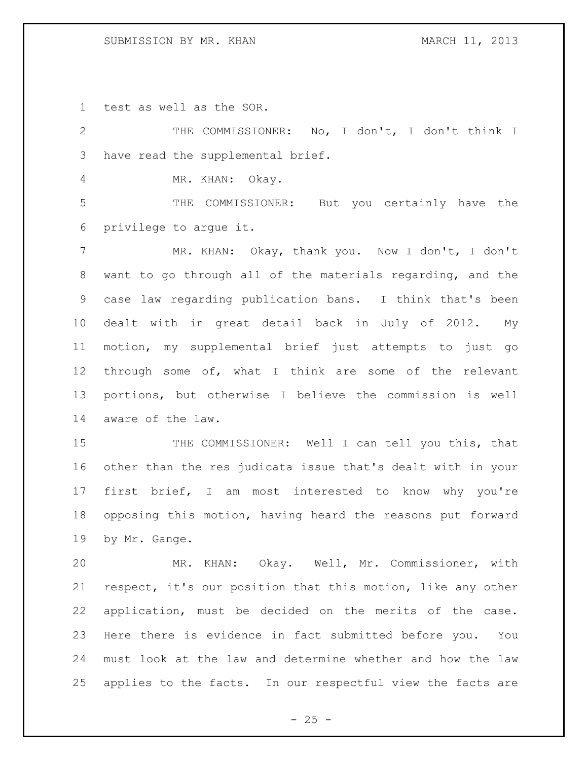test as well as the SOR.

 THE COMMISSIONER: No, I don't, I don't think I have read the supplemental brief.

MR. KHAN: Okay.

 THE COMMISSIONER: But you certainly have the privilege to argue it.

 MR. KHAN: Okay, thank you. Now I don't, I don't want to go through all of the materials regarding, and the case law regarding publication bans. I think that's been dealt with in great detail back in July of 2012. My motion, my supplemental brief just attempts to just go through some of, what I think are some of the relevant portions, but otherwise I believe the commission is well aware of the law.

15 THE COMMISSIONER: Well I can tell you this, that other than the res judicata issue that's dealt with in your first brief, I am most interested to know why you're opposing this motion, having heard the reasons put forward by Mr. Gange.

 MR. KHAN: Okay. Well, Mr. Commissioner, with respect, it's our position that this motion, like any other application, must be decided on the merits of the case. Here there is evidence in fact submitted before you. You must look at the law and determine whether and how the law applies to the facts. In our respectful view the facts are

 $- 25 -$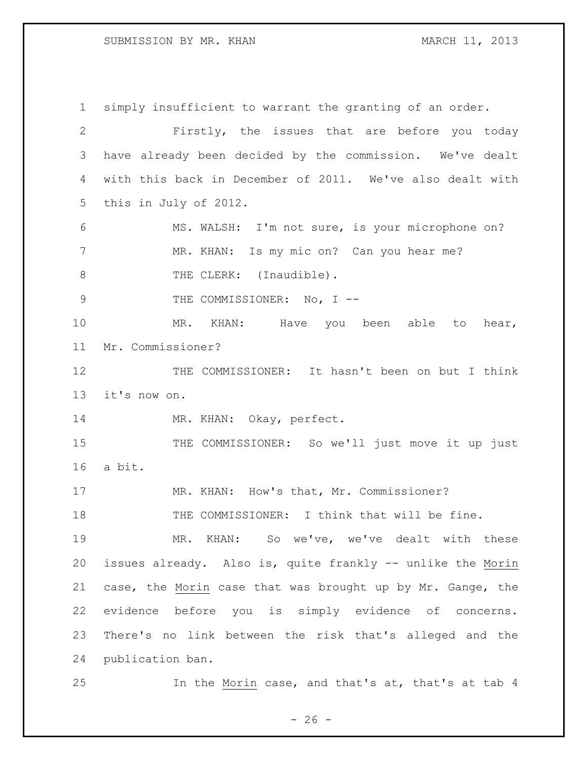### SUBMISSION BY MR. KHAN MARCH 11, 2013

 simply insufficient to warrant the granting of an order. Firstly, the issues that are before you today have already been decided by the commission. We've dealt with this back in December of 2011. We've also dealt with this in July of 2012. MS. WALSH: I'm not sure, is your microphone on? 7 MR. KHAN: Is my mic on? Can you hear me? 8 THE CLERK: (Inaudible). 9 THE COMMISSIONER: No, I --10 MR. KHAN: Have you been able to hear, Mr. Commissioner? 12 THE COMMISSIONER: It hasn't been on but I think it's now on. 14 MR. KHAN: Okay, perfect. 15 THE COMMISSIONER: So we'll just move it up just a bit. 17 MR. KHAN: How's that, Mr. Commissioner? THE COMMISSIONER: I think that will be fine. MR. KHAN: So we've, we've dealt with these issues already. Also is, quite frankly -- unlike the Morin case, the Morin case that was brought up by Mr. Gange, the evidence before you is simply evidence of concerns. There's no link between the risk that's alleged and the publication ban. In the Morin case, and that's at, that's at tab 4

 $- 26 -$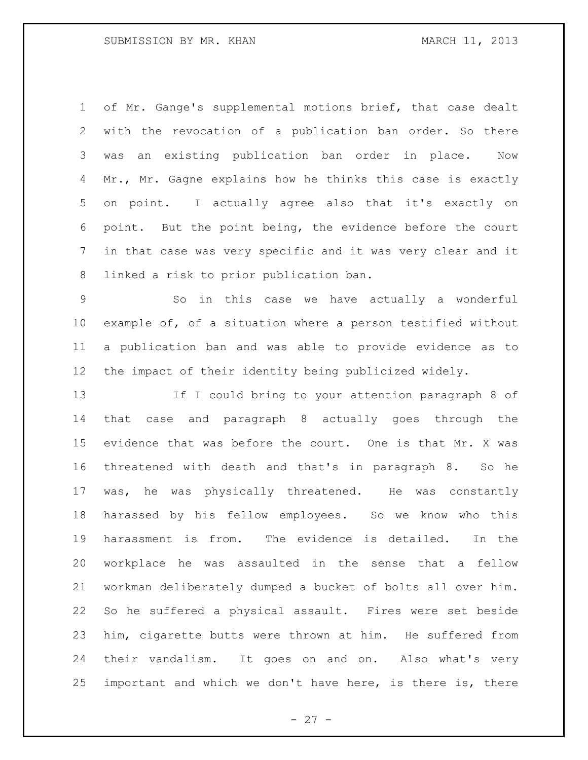### SUBMISSION BY MR. KHAN MARCH 11, 2013

 of Mr. Gange's supplemental motions brief, that case dealt with the revocation of a publication ban order. So there was an existing publication ban order in place. Now 4 Mr., Mr. Gagne explains how he thinks this case is exactly on point. I actually agree also that it's exactly on point. But the point being, the evidence before the court in that case was very specific and it was very clear and it linked a risk to prior publication ban.

 So in this case we have actually a wonderful example of, of a situation where a person testified without a publication ban and was able to provide evidence as to the impact of their identity being publicized widely.

 If I could bring to your attention paragraph 8 of that case and paragraph 8 actually goes through the evidence that was before the court. One is that Mr. X was threatened with death and that's in paragraph 8. So he was, he was physically threatened. He was constantly harassed by his fellow employees. So we know who this harassment is from. The evidence is detailed. In the workplace he was assaulted in the sense that a fellow workman deliberately dumped a bucket of bolts all over him. So he suffered a physical assault. Fires were set beside him, cigarette butts were thrown at him. He suffered from their vandalism. It goes on and on. Also what's very important and which we don't have here, is there is, there

- 27 -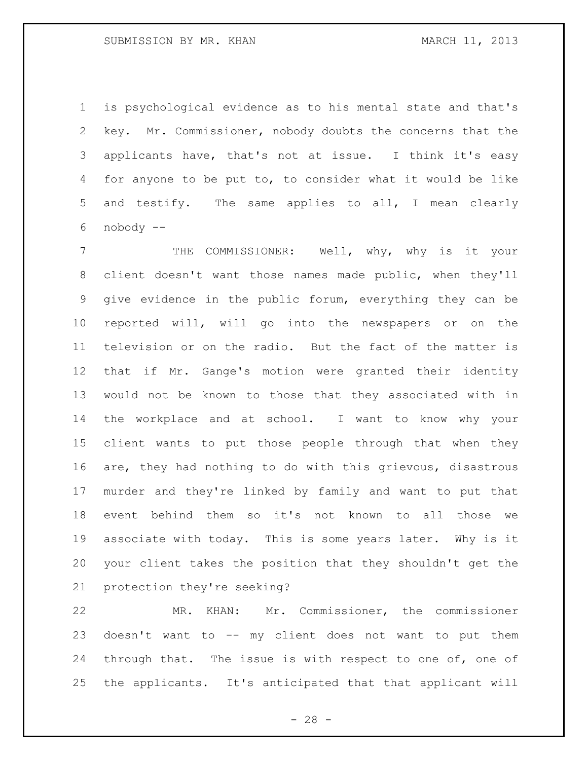is psychological evidence as to his mental state and that's key. Mr. Commissioner, nobody doubts the concerns that the applicants have, that's not at issue. I think it's easy for anyone to be put to, to consider what it would be like and testify. The same applies to all, I mean clearly nobody --

7 THE COMMISSIONER: Well, why, why is it your client doesn't want those names made public, when they'll give evidence in the public forum, everything they can be reported will, will go into the newspapers or on the television or on the radio. But the fact of the matter is that if Mr. Gange's motion were granted their identity would not be known to those that they associated with in the workplace and at school. I want to know why your client wants to put those people through that when they are, they had nothing to do with this grievous, disastrous murder and they're linked by family and want to put that event behind them so it's not known to all those we associate with today. This is some years later. Why is it your client takes the position that they shouldn't get the protection they're seeking?

 MR. KHAN: Mr. Commissioner, the commissioner doesn't want to -- my client does not want to put them 24 through that. The issue is with respect to one of, one of the applicants. It's anticipated that that applicant will

 $- 28 -$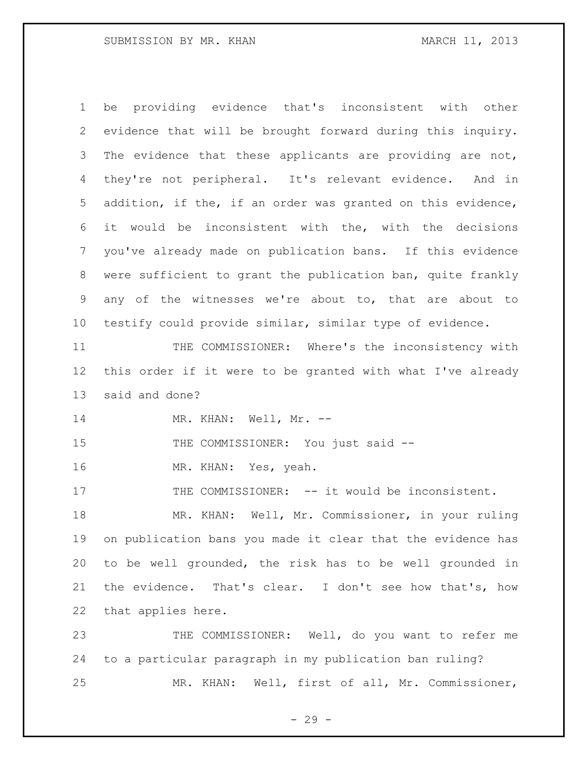be providing evidence that's inconsistent with other evidence that will be brought forward during this inquiry. 3 The evidence that these applicants are providing are not, they're not peripheral. It's relevant evidence. And in addition, if the, if an order was granted on this evidence, it would be inconsistent with the, with the decisions you've already made on publication bans. If this evidence were sufficient to grant the publication ban, quite frankly any of the witnesses we're about to, that are about to testify could provide similar, similar type of evidence.

 THE COMMISSIONER: Where's the inconsistency with this order if it were to be granted with what I've already said and done?

14 MR. KHAN: Well, Mr. --

15 THE COMMISSIONER: You just said --

MR. KHAN: Yes, yeah.

17 THE COMMISSIONER: -- it would be inconsistent.

 MR. KHAN: Well, Mr. Commissioner, in your ruling on publication bans you made it clear that the evidence has to be well grounded, the risk has to be well grounded in the evidence. That's clear. I don't see how that's, how that applies here.

 THE COMMISSIONER: Well, do you want to refer me to a particular paragraph in my publication ban ruling? MR. KHAN: Well, first of all, Mr. Commissioner,

- 29 -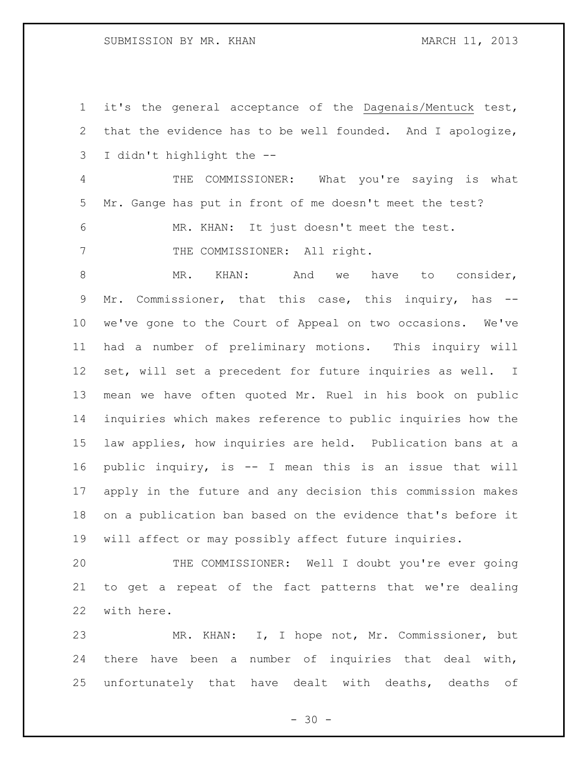### SUBMISSION BY MR. KHAN MARCH 11, 2013

 it's the general acceptance of the Dagenais/Mentuck test, that the evidence has to be well founded. And I apologize, I didn't highlight the --

 THE COMMISSIONER: What you're saying is what Mr. Gange has put in front of me doesn't meet the test?

MR. KHAN: It just doesn't meet the test.

7 THE COMMISSIONER: All right.

8 MR. KHAN: And we have to consider, Mr. Commissioner, that this case, this inquiry, has -- we've gone to the Court of Appeal on two occasions. We've had a number of preliminary motions. This inquiry will set, will set a precedent for future inquiries as well. I mean we have often quoted Mr. Ruel in his book on public inquiries which makes reference to public inquiries how the law applies, how inquiries are held. Publication bans at a public inquiry, is -- I mean this is an issue that will apply in the future and any decision this commission makes on a publication ban based on the evidence that's before it will affect or may possibly affect future inquiries.

 THE COMMISSIONER: Well I doubt you're ever going to get a repeat of the fact patterns that we're dealing with here.

 MR. KHAN: I, I hope not, Mr. Commissioner, but there have been a number of inquiries that deal with, unfortunately that have dealt with deaths, deaths of

 $- 30 -$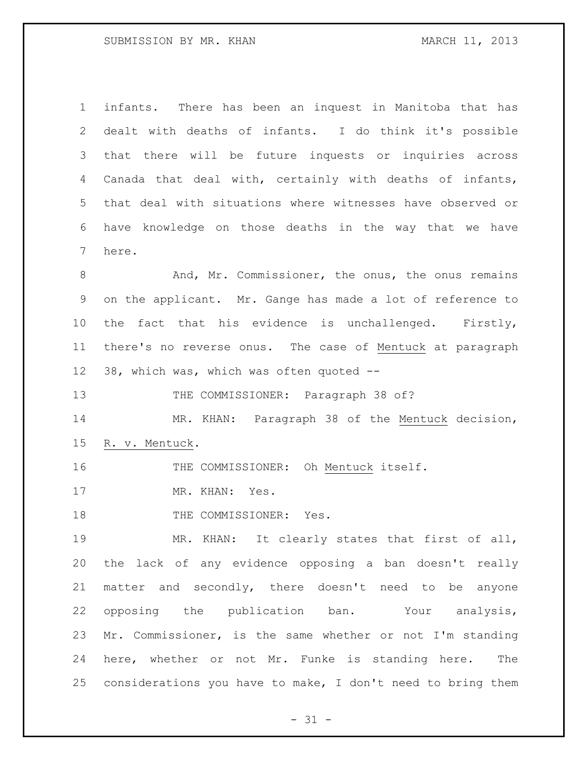infants. There has been an inquest in Manitoba that has dealt with deaths of infants. I do think it's possible that there will be future inquests or inquiries across Canada that deal with, certainly with deaths of infants, that deal with situations where witnesses have observed or have knowledge on those deaths in the way that we have here.

 And, Mr. Commissioner, the onus, the onus remains on the applicant. Mr. Gange has made a lot of reference to 10 the fact that his evidence is unchallenged. Firstly, there's no reverse onus. The case of Mentuck at paragraph 38, which was, which was often quoted --

13 THE COMMISSIONER: Paragraph 38 of?

 MR. KHAN: Paragraph 38 of the Mentuck decision, R. v. Mentuck.

16 THE COMMISSIONER: Oh Mentuck itself.

17 MR. KHAN: Yes.

18 THE COMMISSIONER: Yes.

 MR. KHAN: It clearly states that first of all, the lack of any evidence opposing a ban doesn't really matter and secondly, there doesn't need to be anyone opposing the publication ban. Your analysis, Mr. Commissioner, is the same whether or not I'm standing here, whether or not Mr. Funke is standing here. The considerations you have to make, I don't need to bring them

 $- 31 -$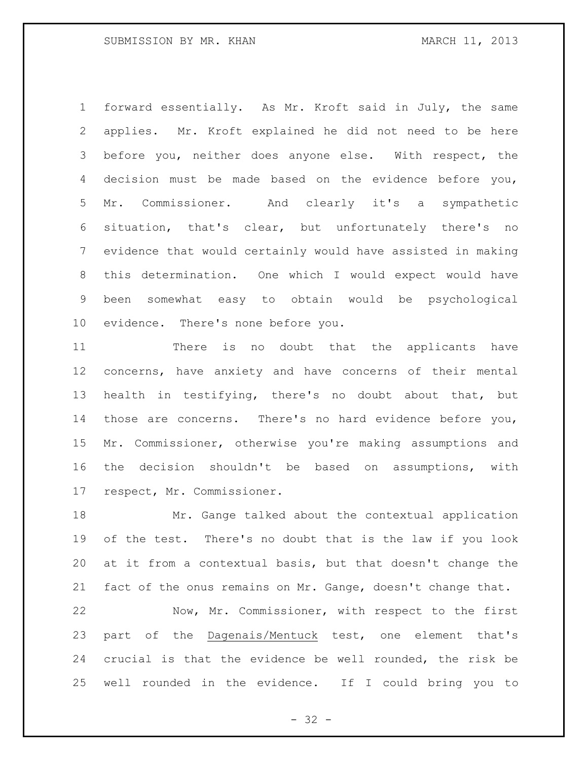forward essentially. As Mr. Kroft said in July, the same applies. Mr. Kroft explained he did not need to be here before you, neither does anyone else. With respect, the decision must be made based on the evidence before you, Mr. Commissioner. And clearly it's a sympathetic situation, that's clear, but unfortunately there's no evidence that would certainly would have assisted in making this determination. One which I would expect would have been somewhat easy to obtain would be psychological evidence. There's none before you.

 There is no doubt that the applicants have concerns, have anxiety and have concerns of their mental health in testifying, there's no doubt about that, but those are concerns. There's no hard evidence before you, Mr. Commissioner, otherwise you're making assumptions and the decision shouldn't be based on assumptions, with respect, Mr. Commissioner.

 Mr. Gange talked about the contextual application of the test. There's no doubt that is the law if you look at it from a contextual basis, but that doesn't change the fact of the onus remains on Mr. Gange, doesn't change that.

 Now, Mr. Commissioner, with respect to the first part of the Dagenais/Mentuck test, one element that's crucial is that the evidence be well rounded, the risk be well rounded in the evidence. If I could bring you to

 $- 32 -$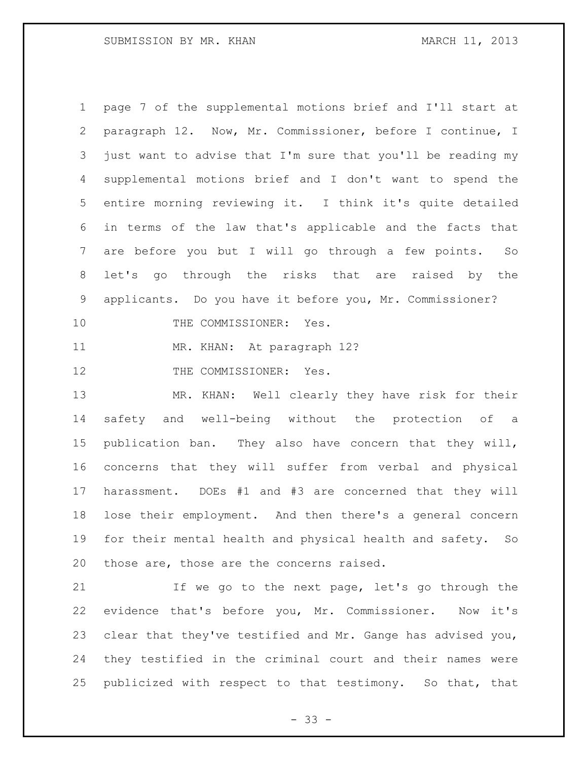page 7 of the supplemental motions brief and I'll start at paragraph 12. Now, Mr. Commissioner, before I continue, I just want to advise that I'm sure that you'll be reading my supplemental motions brief and I don't want to spend the entire morning reviewing it. I think it's quite detailed in terms of the law that's applicable and the facts that are before you but I will go through a few points. So let's go through the risks that are raised by the applicants. Do you have it before you, Mr. Commissioner? 10 THE COMMISSIONER: Yes. MR. KHAN: At paragraph 12? 12 THE COMMISSIONER: Yes. MR. KHAN: Well clearly they have risk for their safety and well-being without the protection of a publication ban. They also have concern that they will, concerns that they will suffer from verbal and physical harassment. DOEs #1 and #3 are concerned that they will lose their employment. And then there's a general concern for their mental health and physical health and safety. So those are, those are the concerns raised. If we go to the next page, let's go through the

 evidence that's before you, Mr. Commissioner. Now it's clear that they've testified and Mr. Gange has advised you, they testified in the criminal court and their names were publicized with respect to that testimony. So that, that

 $- 33 -$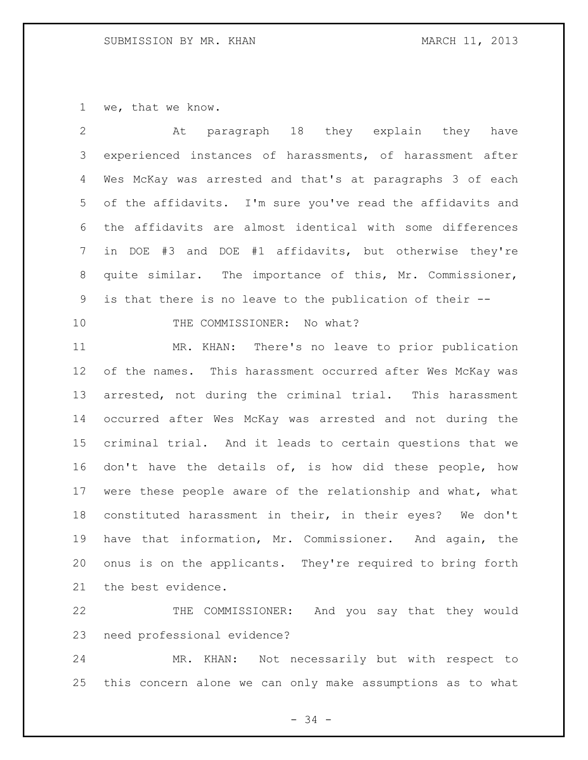we, that we know.

| $\sum_{i=1}^{n}$ | At paragraph 18 they explain they have                       |
|------------------|--------------------------------------------------------------|
|                  | 3 experienced instances of harassments, of harassment after  |
|                  | 4 Wes McKay was arrested and that's at paragraphs 3 of each  |
|                  | 5 of the affidavits. I'm sure you've read the affidavits and |
|                  | 6 the affidavits are almost identical with some differences  |
|                  | 7 in DOE #3 and DOE #1 affidavits, but otherwise they're     |
| 8                | quite similar. The importance of this, Mr. Commissioner,     |
| 9                | is that there is no leave to the publication of their --     |
|                  |                                                              |

# 10 THE COMMISSIONER: No what?

 MR. KHAN: There's no leave to prior publication of the names. This harassment occurred after Wes McKay was arrested, not during the criminal trial. This harassment occurred after Wes McKay was arrested and not during the criminal trial. And it leads to certain questions that we don't have the details of, is how did these people, how were these people aware of the relationship and what, what constituted harassment in their, in their eyes? We don't have that information, Mr. Commissioner. And again, the onus is on the applicants. They're required to bring forth the best evidence.

 THE COMMISSIONER: And you say that they would need professional evidence?

 MR. KHAN: Not necessarily but with respect to this concern alone we can only make assumptions as to what

- 34 -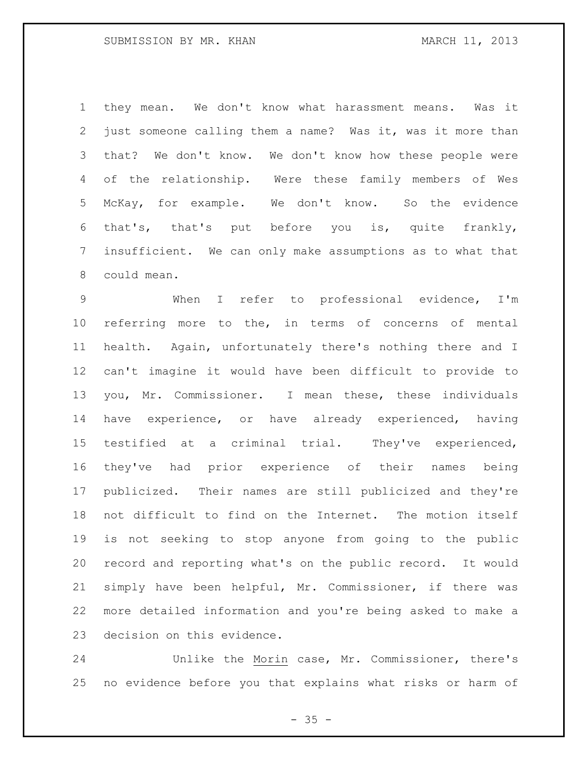they mean. We don't know what harassment means. Was it just someone calling them a name? Was it, was it more than that? We don't know. We don't know how these people were of the relationship. Were these family members of Wes McKay, for example. We don't know. So the evidence that's, that's put before you is, quite frankly, insufficient. We can only make assumptions as to what that could mean.

 When I refer to professional evidence, I'm referring more to the, in terms of concerns of mental health. Again, unfortunately there's nothing there and I can't imagine it would have been difficult to provide to you, Mr. Commissioner. I mean these, these individuals have experience, or have already experienced, having testified at a criminal trial. They've experienced, they've had prior experience of their names being publicized. Their names are still publicized and they're not difficult to find on the Internet. The motion itself is not seeking to stop anyone from going to the public record and reporting what's on the public record. It would simply have been helpful, Mr. Commissioner, if there was more detailed information and you're being asked to make a decision on this evidence.

 Unlike the Morin case, Mr. Commissioner, there's no evidence before you that explains what risks or harm of

 $- 35 -$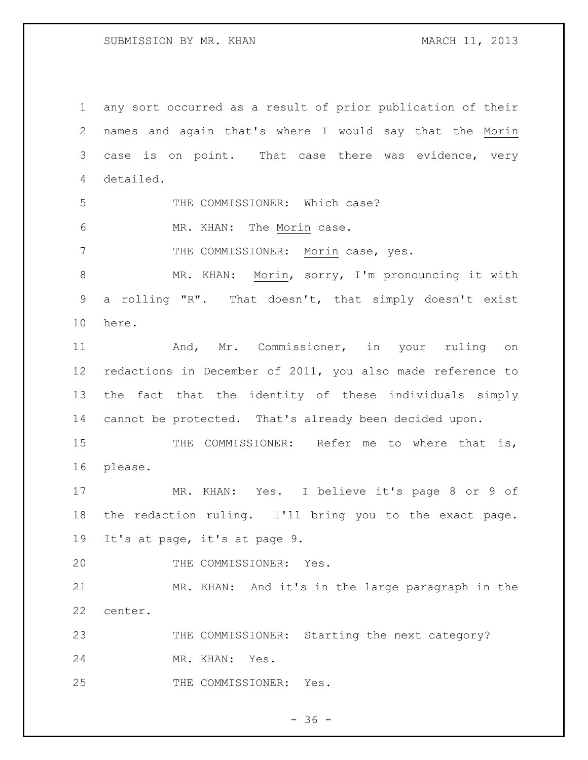SUBMISSION BY MR. KHAN MARCH 11, 2013

 any sort occurred as a result of prior publication of their names and again that's where I would say that the Morin case is on point. That case there was evidence, very detailed. 5 THE COMMISSIONER: Which case? MR. KHAN: The Morin case. 7 THE COMMISSIONER: Morin case, yes. MR. KHAN: Morin, sorry, I'm pronouncing it with a rolling "R". That doesn't, that simply doesn't exist here. And, Mr. Commissioner, in your ruling on redactions in December of 2011, you also made reference to the fact that the identity of these individuals simply cannot be protected. That's already been decided upon. THE COMMISSIONER: Refer me to where that is, please. MR. KHAN: Yes. I believe it's page 8 or 9 of the redaction ruling. I'll bring you to the exact page. It's at page, it's at page 9. 20 THE COMMISSIONER: Yes. MR. KHAN: And it's in the large paragraph in the center. 23 THE COMMISSIONER: Starting the next category? MR. KHAN: Yes. 25 THE COMMISSIONER: Yes.

 $- 36 -$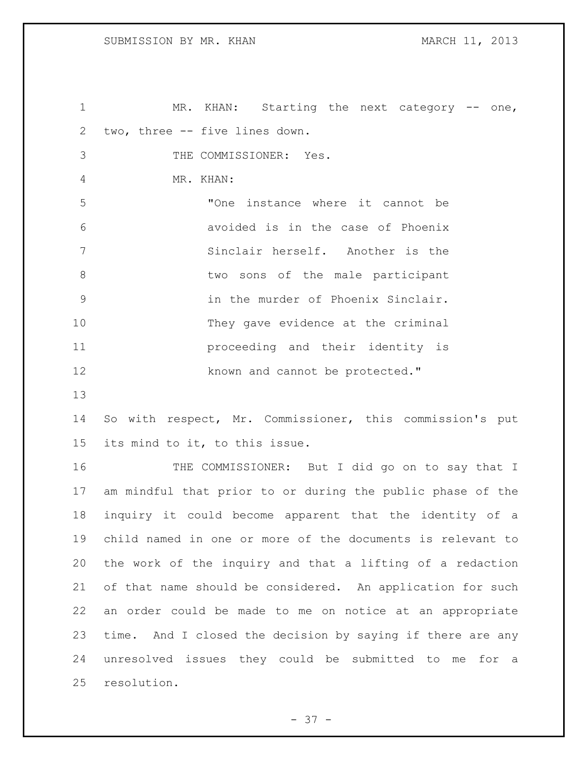1 MR. KHAN: Starting the next category -- one, two, three -- five lines down. THE COMMISSIONER: Yes. MR. KHAN: "One instance where it cannot be avoided is in the case of Phoenix Sinclair herself. Another is the 8 b two sons of the male participant in the murder of Phoenix Sinclair. 10 They gave evidence at the criminal proceeding and their identity is 12 known and cannot be protected." So with respect, Mr. Commissioner, this commission's put its mind to it, to this issue. THE COMMISSIONER: But I did go on to say that I am mindful that prior to or during the public phase of the inquiry it could become apparent that the identity of a child named in one or more of the documents is relevant to the work of the inquiry and that a lifting of a redaction of that name should be considered. An application for such an order could be made to me on notice at an appropriate time. And I closed the decision by saying if there are any unresolved issues they could be submitted to me for a resolution.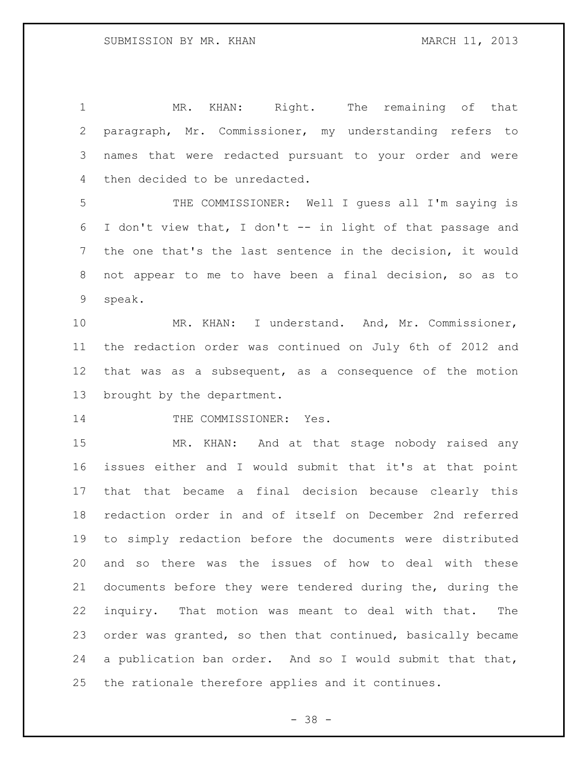MR. KHAN: Right. The remaining of that paragraph, Mr. Commissioner, my understanding refers to names that were redacted pursuant to your order and were then decided to be unredacted. THE COMMISSIONER: Well I guess all I'm saying is I don't view that, I don't -- in light of that passage and the one that's the last sentence in the decision, it would not appear to me to have been a final decision, so as to speak. MR. KHAN: I understand. And, Mr. Commissioner, the redaction order was continued on July 6th of 2012 and that was as a subsequent, as a consequence of the motion brought by the department. 14 THE COMMISSIONER: Yes. MR. KHAN: And at that stage nobody raised any issues either and I would submit that it's at that point that that became a final decision because clearly this redaction order in and of itself on December 2nd referred to simply redaction before the documents were distributed and so there was the issues of how to deal with these documents before they were tendered during the, during the inquiry. That motion was meant to deal with that. The order was granted, so then that continued, basically became 24 a publication ban order. And so I would submit that that, the rationale therefore applies and it continues.

- 38 -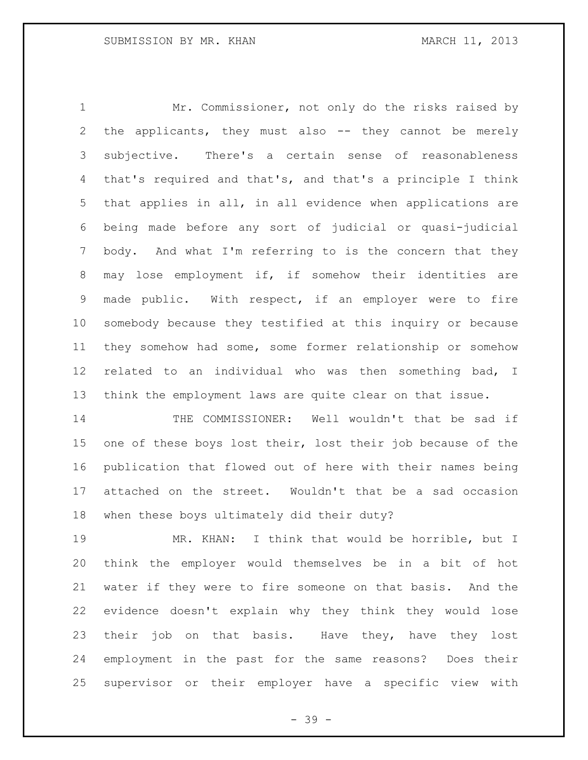Mr. Commissioner, not only do the risks raised by the applicants, they must also -- they cannot be merely subjective. There's a certain sense of reasonableness that's required and that's, and that's a principle I think that applies in all, in all evidence when applications are being made before any sort of judicial or quasi-judicial body. And what I'm referring to is the concern that they may lose employment if, if somehow their identities are made public. With respect, if an employer were to fire somebody because they testified at this inquiry or because they somehow had some, some former relationship or somehow related to an individual who was then something bad, I think the employment laws are quite clear on that issue.

 THE COMMISSIONER: Well wouldn't that be sad if one of these boys lost their, lost their job because of the publication that flowed out of here with their names being attached on the street. Wouldn't that be a sad occasion when these boys ultimately did their duty?

 MR. KHAN: I think that would be horrible, but I think the employer would themselves be in a bit of hot water if they were to fire someone on that basis. And the evidence doesn't explain why they think they would lose their job on that basis. Have they, have they lost employment in the past for the same reasons? Does their supervisor or their employer have a specific view with

- 39 -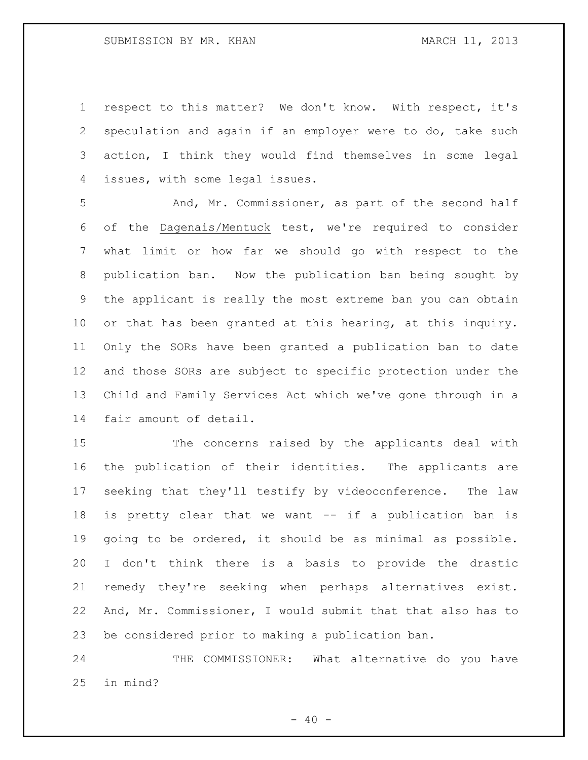respect to this matter? We don't know. With respect, it's speculation and again if an employer were to do, take such action, I think they would find themselves in some legal issues, with some legal issues.

 And, Mr. Commissioner, as part of the second half of the Dagenais/Mentuck test, we're required to consider what limit or how far we should go with respect to the publication ban. Now the publication ban being sought by the applicant is really the most extreme ban you can obtain or that has been granted at this hearing, at this inquiry. Only the SORs have been granted a publication ban to date and those SORs are subject to specific protection under the Child and Family Services Act which we've gone through in a fair amount of detail.

 The concerns raised by the applicants deal with the publication of their identities. The applicants are seeking that they'll testify by videoconference. The law is pretty clear that we want -- if a publication ban is going to be ordered, it should be as minimal as possible. I don't think there is a basis to provide the drastic remedy they're seeking when perhaps alternatives exist. And, Mr. Commissioner, I would submit that that also has to be considered prior to making a publication ban.

24 THE COMMISSIONER: What alternative do you have in mind?

 $- 40 -$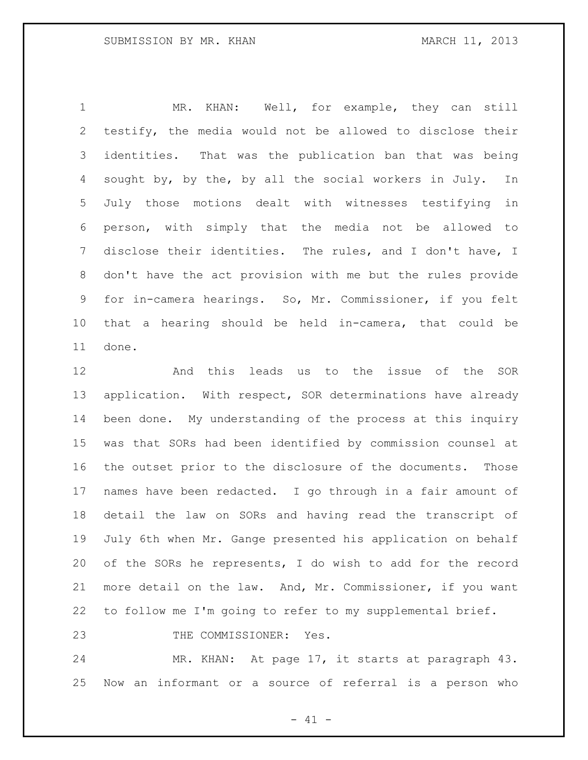MR. KHAN: Well, for example, they can still testify, the media would not be allowed to disclose their identities. That was the publication ban that was being sought by, by the, by all the social workers in July. In July those motions dealt with witnesses testifying in person, with simply that the media not be allowed to disclose their identities. The rules, and I don't have, I don't have the act provision with me but the rules provide for in-camera hearings. So, Mr. Commissioner, if you felt that a hearing should be held in-camera, that could be done.

 And this leads us to the issue of the SOR application. With respect, SOR determinations have already been done. My understanding of the process at this inquiry was that SORs had been identified by commission counsel at the outset prior to the disclosure of the documents. Those names have been redacted. I go through in a fair amount of detail the law on SORs and having read the transcript of July 6th when Mr. Gange presented his application on behalf of the SORs he represents, I do wish to add for the record more detail on the law. And, Mr. Commissioner, if you want to follow me I'm going to refer to my supplemental brief.

23 THE COMMISSIONER: Yes.

 MR. KHAN: At page 17, it starts at paragraph 43. Now an informant or a source of referral is a person who

 $- 41 -$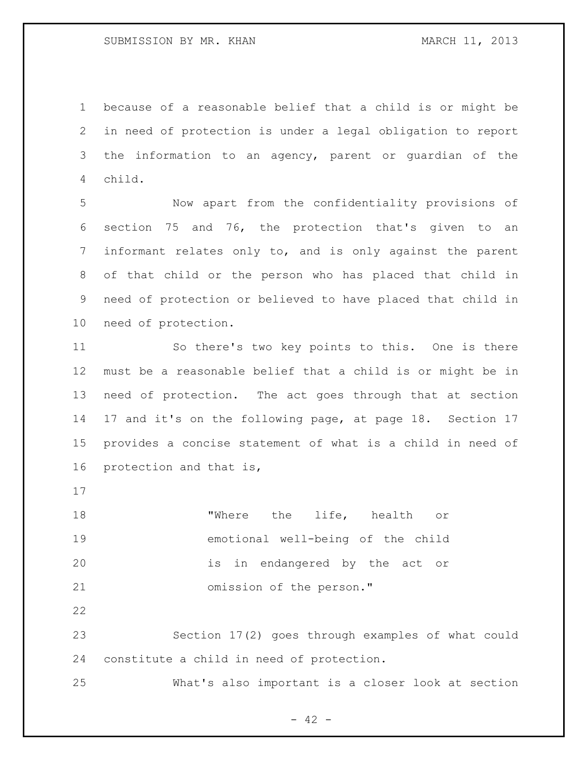because of a reasonable belief that a child is or might be in need of protection is under a legal obligation to report the information to an agency, parent or guardian of the child.

 Now apart from the confidentiality provisions of section 75 and 76, the protection that's given to an informant relates only to, and is only against the parent of that child or the person who has placed that child in need of protection or believed to have placed that child in need of protection.

 So there's two key points to this. One is there must be a reasonable belief that a child is or might be in need of protection. The act goes through that at section 17 and it's on the following page, at page 18. Section 17 provides a concise statement of what is a child in need of protection and that is,

 "Where the life, health or emotional well-being of the child is in endangered by the act or omission of the person."

 Section 17(2) goes through examples of what could constitute a child in need of protection.

What's also important is a closer look at section

 $- 42 -$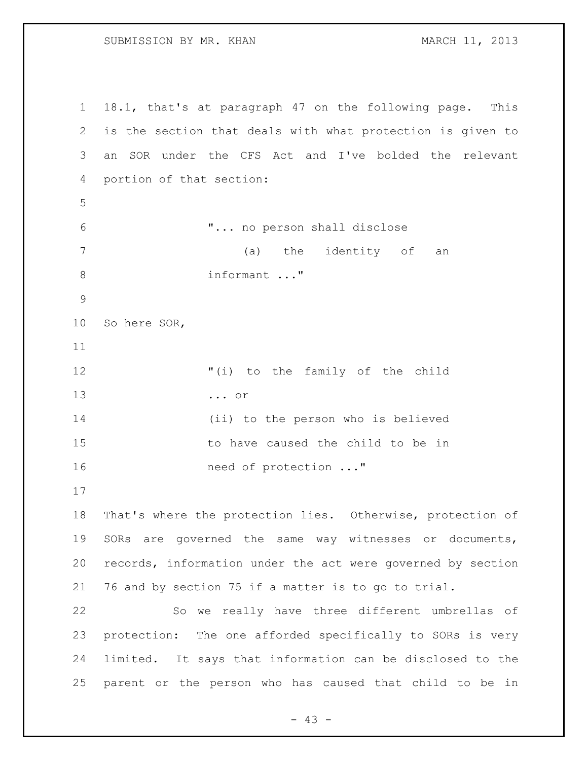SUBMISSION BY MR. KHAN MARCH 11, 2013

 18.1, that's at paragraph 47 on the following page. This is the section that deals with what protection is given to an SOR under the CFS Act and I've bolded the relevant portion of that section: "... no person shall disclose (a) the identity of an informant ..." So here SOR, "(i) to the family of the child ... or (ii) to the person who is believed to have caused the child to be in **need of protection** ..." That's where the protection lies. Otherwise, protection of SORs are governed the same way witnesses or documents, records, information under the act were governed by section 76 and by section 75 if a matter is to go to trial. So we really have three different umbrellas of protection: The one afforded specifically to SORs is very limited. It says that information can be disclosed to the parent or the person who has caused that child to be in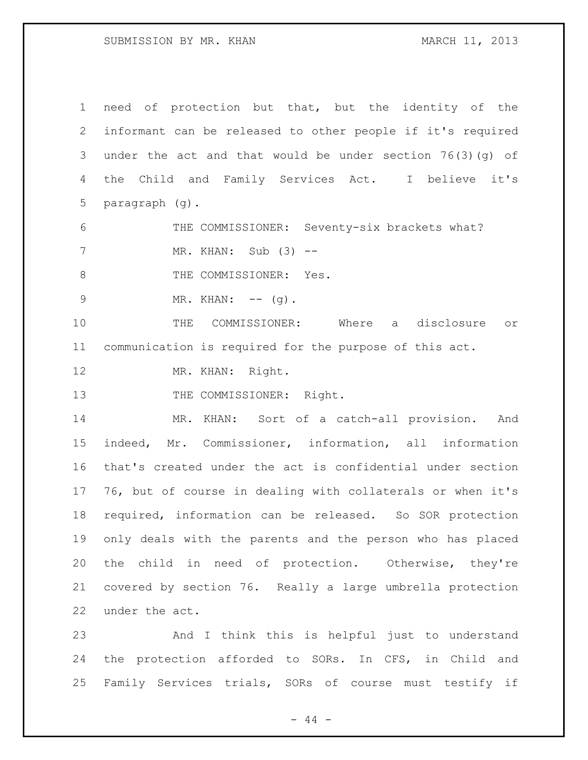### SUBMISSION BY MR. KHAN MARCH 11, 2013

 need of protection but that, but the identity of the informant can be released to other people if it's required under the act and that would be under section 76(3)(g) of the Child and Family Services Act. I believe it's paragraph (g).

 THE COMMISSIONER: Seventy-six brackets what? MR. KHAN: Sub (3) --

8 THE COMMISSIONER: Yes.

9 MR. KHAN: -- (g).

 THE COMMISSIONER: Where a disclosure or communication is required for the purpose of this act.

12 MR. KHAN: Right.

13 THE COMMISSIONER: Right.

 MR. KHAN: Sort of a catch-all provision. And indeed, Mr. Commissioner, information, all information that's created under the act is confidential under section 76, but of course in dealing with collaterals or when it's required, information can be released. So SOR protection only deals with the parents and the person who has placed the child in need of protection. Otherwise, they're covered by section 76. Really a large umbrella protection under the act.

 And I think this is helpful just to understand the protection afforded to SORs. In CFS, in Child and Family Services trials, SORs of course must testify if

 $-44 -$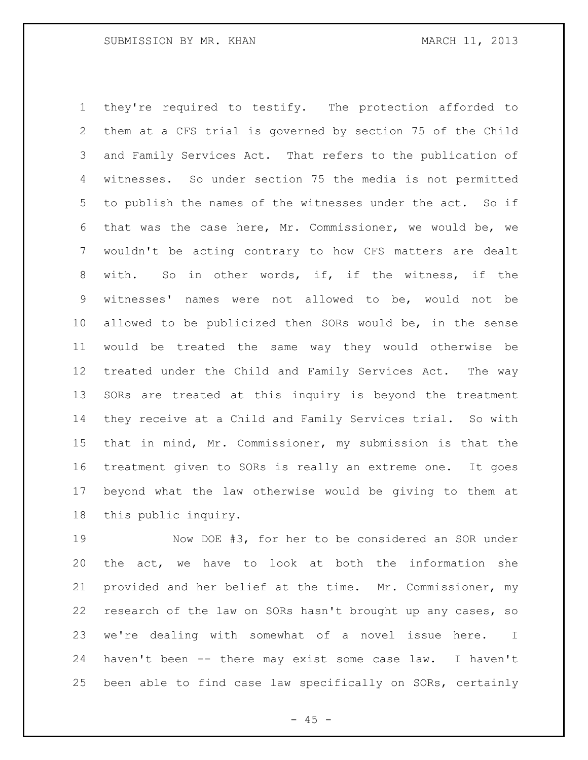they're required to testify. The protection afforded to them at a CFS trial is governed by section 75 of the Child and Family Services Act. That refers to the publication of witnesses. So under section 75 the media is not permitted to publish the names of the witnesses under the act. So if that was the case here, Mr. Commissioner, we would be, we wouldn't be acting contrary to how CFS matters are dealt with. So in other words, if, if the witness, if the witnesses' names were not allowed to be, would not be allowed to be publicized then SORs would be, in the sense would be treated the same way they would otherwise be treated under the Child and Family Services Act. The way SORs are treated at this inquiry is beyond the treatment they receive at a Child and Family Services trial. So with that in mind, Mr. Commissioner, my submission is that the treatment given to SORs is really an extreme one. It goes beyond what the law otherwise would be giving to them at this public inquiry.

 Now DOE #3, for her to be considered an SOR under the act, we have to look at both the information she provided and her belief at the time. Mr. Commissioner, my research of the law on SORs hasn't brought up any cases, so we're dealing with somewhat of a novel issue here. I haven't been -- there may exist some case law. I haven't been able to find case law specifically on SORs, certainly

 $- 45 -$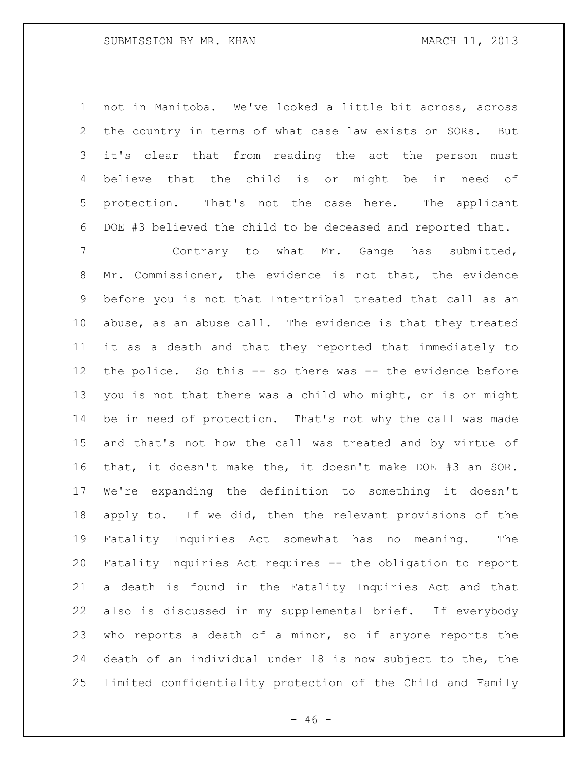not in Manitoba. We've looked a little bit across, across the country in terms of what case law exists on SORs. But it's clear that from reading the act the person must believe that the child is or might be in need of protection. That's not the case here. The applicant DOE #3 believed the child to be deceased and reported that.

 Contrary to what Mr. Gange has submitted, Mr. Commissioner, the evidence is not that, the evidence before you is not that Intertribal treated that call as an abuse, as an abuse call. The evidence is that they treated it as a death and that they reported that immediately to the police. So this -- so there was -- the evidence before you is not that there was a child who might, or is or might be in need of protection. That's not why the call was made and that's not how the call was treated and by virtue of that, it doesn't make the, it doesn't make DOE #3 an SOR. We're expanding the definition to something it doesn't apply to. If we did, then the relevant provisions of the Fatality Inquiries Act somewhat has no meaning. The Fatality Inquiries Act requires -- the obligation to report a death is found in the Fatality Inquiries Act and that also is discussed in my supplemental brief. If everybody who reports a death of a minor, so if anyone reports the death of an individual under 18 is now subject to the, the limited confidentiality protection of the Child and Family

 $- 46 -$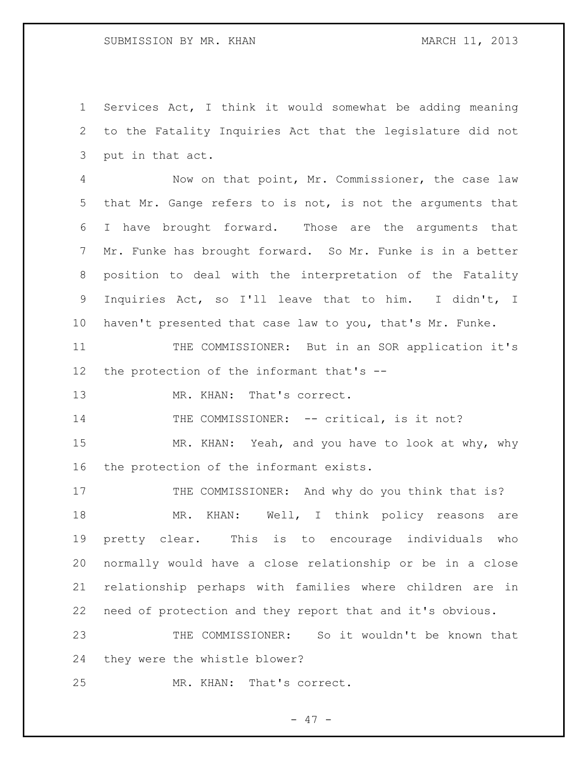Services Act, I think it would somewhat be adding meaning to the Fatality Inquiries Act that the legislature did not put in that act.

 Now on that point, Mr. Commissioner, the case law that Mr. Gange refers to is not, is not the arguments that I have brought forward. Those are the arguments that Mr. Funke has brought forward. So Mr. Funke is in a better position to deal with the interpretation of the Fatality Inquiries Act, so I'll leave that to him. I didn't, I haven't presented that case law to you, that's Mr. Funke.

 THE COMMISSIONER: But in an SOR application it's the protection of the informant that's --

13 MR. KHAN: That's correct.

14 THE COMMISSIONER: -- critical, is it not?

15 MR. KHAN: Yeah, and you have to look at why, why the protection of the informant exists.

17 THE COMMISSIONER: And why do you think that is? 18 MR. KHAN: Well, I think policy reasons are pretty clear. This is to encourage individuals who normally would have a close relationship or be in a close relationship perhaps with families where children are in need of protection and they report that and it's obvious.

 THE COMMISSIONER: So it wouldn't be known that they were the whistle blower?

MR. KHAN: That's correct.

- 47 -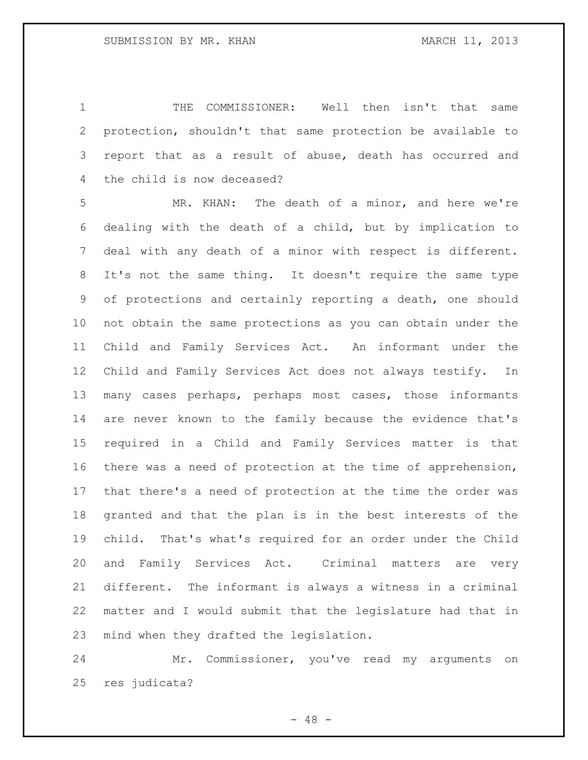THE COMMISSIONER: Well then isn't that same protection, shouldn't that same protection be available to report that as a result of abuse, death has occurred and the child is now deceased?

 MR. KHAN: The death of a minor, and here we're dealing with the death of a child, but by implication to deal with any death of a minor with respect is different. It's not the same thing. It doesn't require the same type of protections and certainly reporting a death, one should not obtain the same protections as you can obtain under the Child and Family Services Act. An informant under the Child and Family Services Act does not always testify. In many cases perhaps, perhaps most cases, those informants are never known to the family because the evidence that's required in a Child and Family Services matter is that there was a need of protection at the time of apprehension, that there's a need of protection at the time the order was granted and that the plan is in the best interests of the child. That's what's required for an order under the Child and Family Services Act. Criminal matters are very different. The informant is always a witness in a criminal matter and I would submit that the legislature had that in mind when they drafted the legislation.

 Mr. Commissioner, you've read my arguments on res judicata?

- 48 -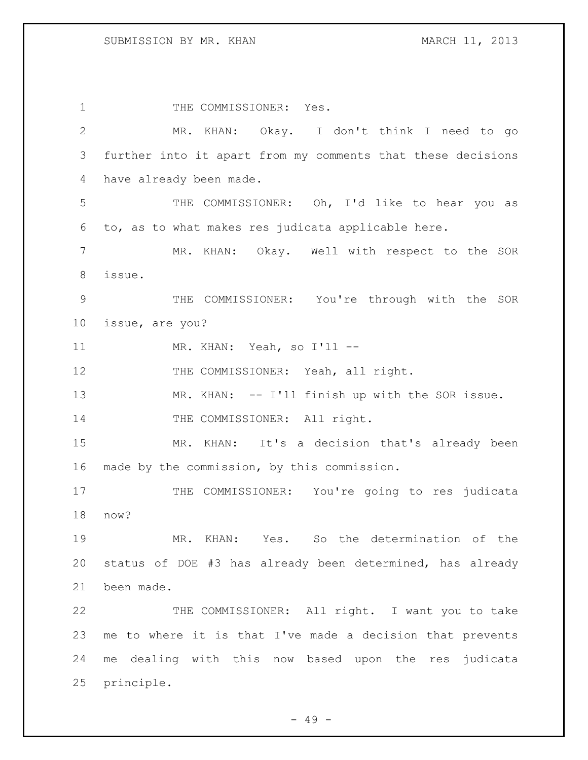1 THE COMMISSIONER: Yes. MR. KHAN: Okay. I don't think I need to go further into it apart from my comments that these decisions have already been made. THE COMMISSIONER: Oh, I'd like to hear you as to, as to what makes res judicata applicable here. MR. KHAN: Okay. Well with respect to the SOR issue. THE COMMISSIONER: You're through with the SOR issue, are you? 11 MR. KHAN: Yeah, so I'll --12 THE COMMISSIONER: Yeah, all right. 13 MR. KHAN: -- I'll finish up with the SOR issue. 14 THE COMMISSIONER: All right. MR. KHAN: It's a decision that's already been made by the commission, by this commission. 17 THE COMMISSIONER: You're going to res judicata now? MR. KHAN: Yes. So the determination of the status of DOE #3 has already been determined, has already been made. THE COMMISSIONER: All right. I want you to take me to where it is that I've made a decision that prevents me dealing with this now based upon the res judicata principle.

 $- 49 -$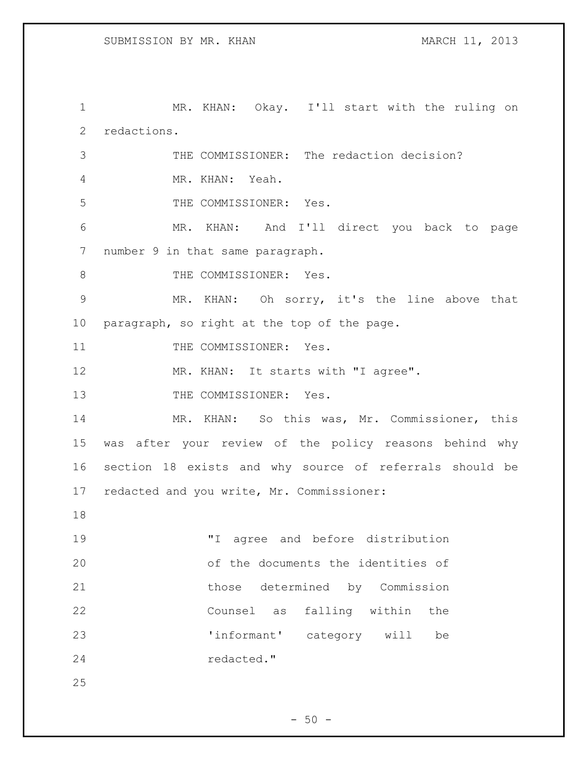MR. KHAN: Okay. I'll start with the ruling on redactions. THE COMMISSIONER: The redaction decision? MR. KHAN: Yeah. THE COMMISSIONER: Yes. MR. KHAN: And I'll direct you back to page number 9 in that same paragraph. 8 THE COMMISSIONER: Yes. MR. KHAN: Oh sorry, it's the line above that paragraph, so right at the top of the page. 11 THE COMMISSIONER: Yes. 12 MR. KHAN: It starts with "I agree". 13 THE COMMISSIONER: Yes. MR. KHAN: So this was, Mr. Commissioner, this was after your review of the policy reasons behind why section 18 exists and why source of referrals should be redacted and you write, Mr. Commissioner: "I agree and before distribution of the documents the identities of those determined by Commission Counsel as falling within the 'informant' category will be redacted."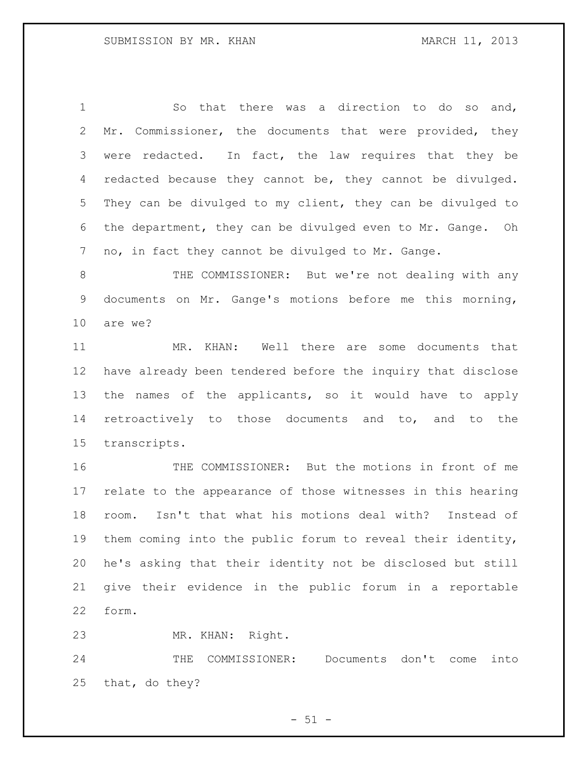So that there was a direction to do so and, Mr. Commissioner, the documents that were provided, they were redacted. In fact, the law requires that they be 4 redacted because they cannot be, they cannot be divulged. They can be divulged to my client, they can be divulged to the department, they can be divulged even to Mr. Gange. Oh no, in fact they cannot be divulged to Mr. Gange.

 THE COMMISSIONER: But we're not dealing with any documents on Mr. Gange's motions before me this morning, are we?

 MR. KHAN: Well there are some documents that have already been tendered before the inquiry that disclose the names of the applicants, so it would have to apply retroactively to those documents and to, and to the transcripts.

 THE COMMISSIONER: But the motions in front of me relate to the appearance of those witnesses in this hearing room. Isn't that what his motions deal with? Instead of them coming into the public forum to reveal their identity, he's asking that their identity not be disclosed but still give their evidence in the public forum in a reportable form.

MR. KHAN: Right.

 THE COMMISSIONER: Documents don't come into that, do they?

 $-51 -$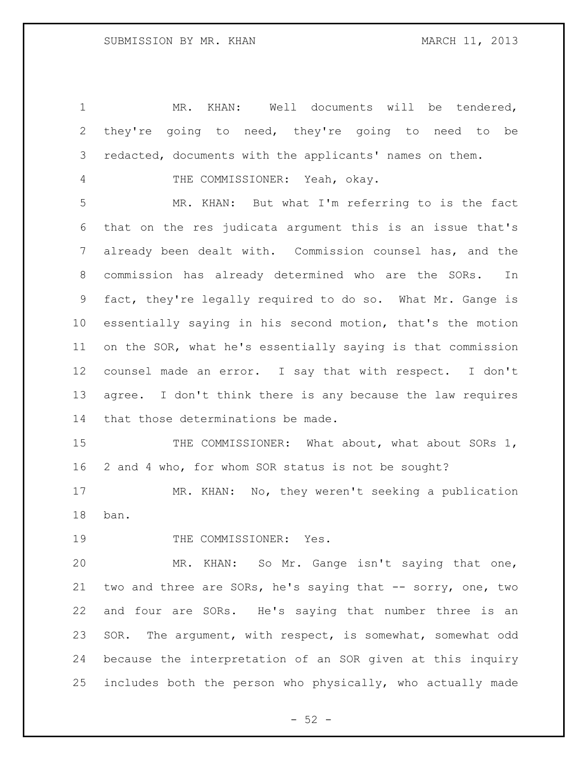MR. KHAN: Well documents will be tendered, they're going to need, they're going to need to be redacted, documents with the applicants' names on them. THE COMMISSIONER: Yeah, okay. MR. KHAN: But what I'm referring to is the fact that on the res judicata argument this is an issue that's already been dealt with. Commission counsel has, and the commission has already determined who are the SORs. In fact, they're legally required to do so. What Mr. Gange is essentially saying in his second motion, that's the motion on the SOR, what he's essentially saying is that commission counsel made an error. I say that with respect. I don't agree. I don't think there is any because the law requires that those determinations be made. 15 THE COMMISSIONER: What about, what about SORs 1, 2 and 4 who, for whom SOR status is not be sought? MR. KHAN: No, they weren't seeking a publication ban. 19 THE COMMISSIONER: Yes. MR. KHAN: So Mr. Gange isn't saying that one, two and three are SORs, he's saying that -- sorry, one, two and four are SORs. He's saying that number three is an SOR. The argument, with respect, is somewhat, somewhat odd because the interpretation of an SOR given at this inquiry

includes both the person who physically, who actually made

 $- 52 -$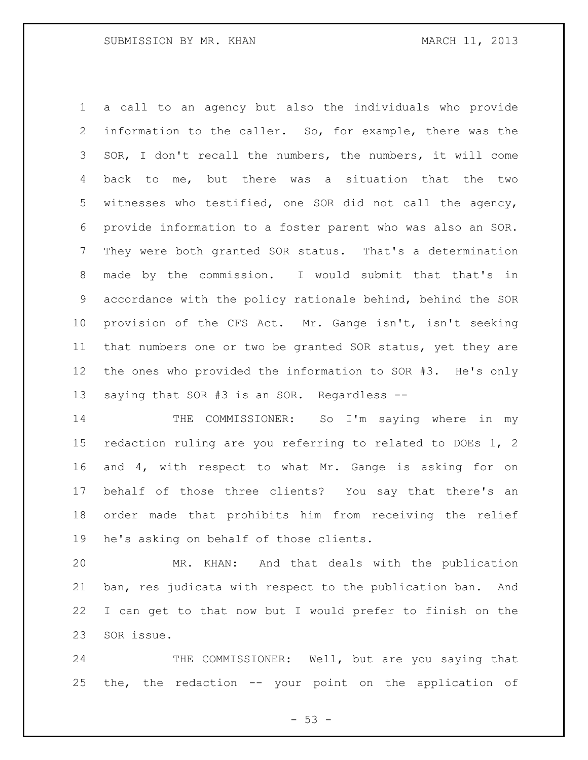a call to an agency but also the individuals who provide information to the caller. So, for example, there was the SOR, I don't recall the numbers, the numbers, it will come back to me, but there was a situation that the two witnesses who testified, one SOR did not call the agency, provide information to a foster parent who was also an SOR. They were both granted SOR status. That's a determination made by the commission. I would submit that that's in accordance with the policy rationale behind, behind the SOR provision of the CFS Act. Mr. Gange isn't, isn't seeking that numbers one or two be granted SOR status, yet they are the ones who provided the information to SOR #3. He's only saying that SOR #3 is an SOR. Regardless --

 THE COMMISSIONER: So I'm saying where in my redaction ruling are you referring to related to DOEs 1, 2 and 4, with respect to what Mr. Gange is asking for on behalf of those three clients? You say that there's an order made that prohibits him from receiving the relief he's asking on behalf of those clients.

 MR. KHAN: And that deals with the publication ban, res judicata with respect to the publication ban. And I can get to that now but I would prefer to finish on the SOR issue.

24 THE COMMISSIONER: Well, but are you saying that the, the redaction -- your point on the application of

 $-53 -$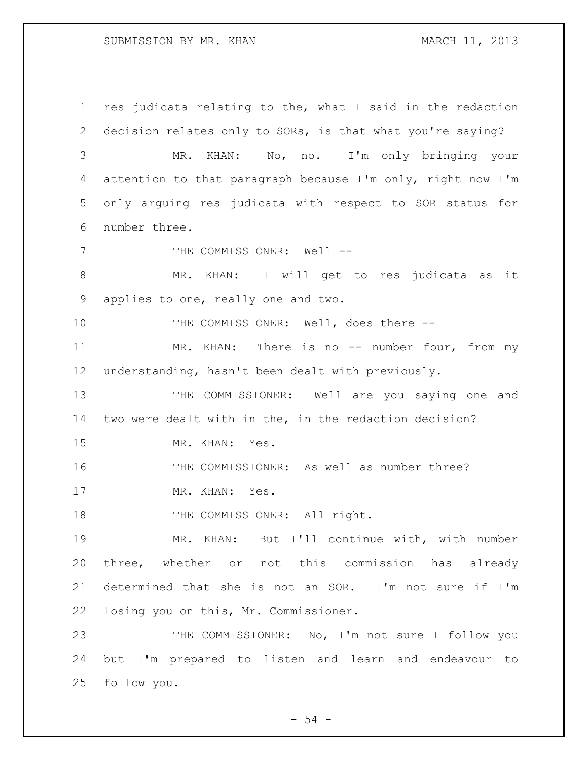res judicata relating to the, what I said in the redaction decision relates only to SORs, is that what you're saying? MR. KHAN: No, no. I'm only bringing your attention to that paragraph because I'm only, right now I'm only arguing res judicata with respect to SOR status for number three. 7 THE COMMISSIONER: Well --8 MR. KHAN: I will get to res judicata as it applies to one, really one and two. THE COMMISSIONER: Well, does there -- 11 MR. KHAN: There is no -- number four, from my understanding, hasn't been dealt with previously. THE COMMISSIONER: Well are you saying one and two were dealt with in the, in the redaction decision? MR. KHAN: Yes. THE COMMISSIONER: As well as number three? 17 MR. KHAN: Yes. 18 THE COMMISSIONER: All right. MR. KHAN: But I'll continue with, with number three, whether or not this commission has already determined that she is not an SOR. I'm not sure if I'm losing you on this, Mr. Commissioner. THE COMMISSIONER: No, I'm not sure I follow you but I'm prepared to listen and learn and endeavour to follow you.

 $-54 -$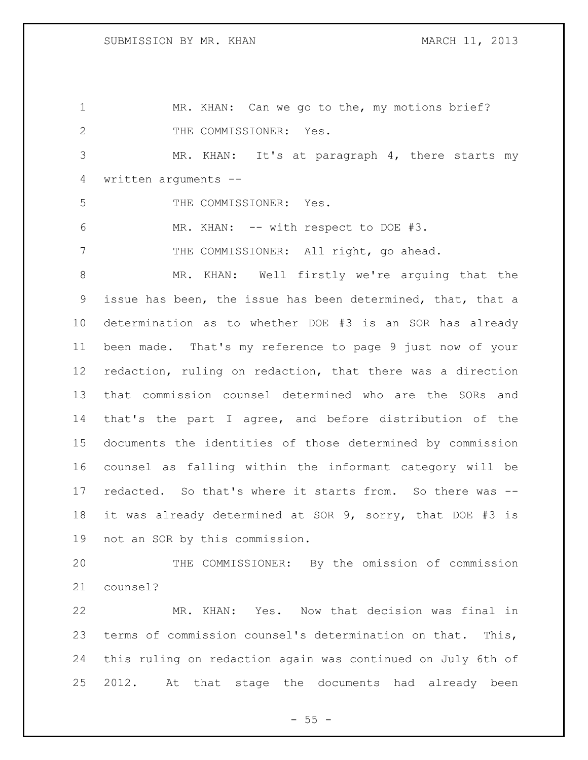MR. KHAN: Can we go to the, my motions brief? 2 THE COMMISSIONER: Yes. MR. KHAN: It's at paragraph 4, there starts my written arguments -- THE COMMISSIONER: Yes. MR. KHAN: -- with respect to DOE #3. 7 THE COMMISSIONER: All right, go ahead. MR. KHAN: Well firstly we're arguing that the issue has been, the issue has been determined, that, that a determination as to whether DOE #3 is an SOR has already been made. That's my reference to page 9 just now of your redaction, ruling on redaction, that there was a direction that commission counsel determined who are the SORs and that's the part I agree, and before distribution of the documents the identities of those determined by commission counsel as falling within the informant category will be redacted. So that's where it starts from. So there was -- it was already determined at SOR 9, sorry, that DOE #3 is not an SOR by this commission. THE COMMISSIONER: By the omission of commission counsel? MR. KHAN: Yes. Now that decision was final in terms of commission counsel's determination on that. This, this ruling on redaction again was continued on July 6th of 2012. At that stage the documents had already been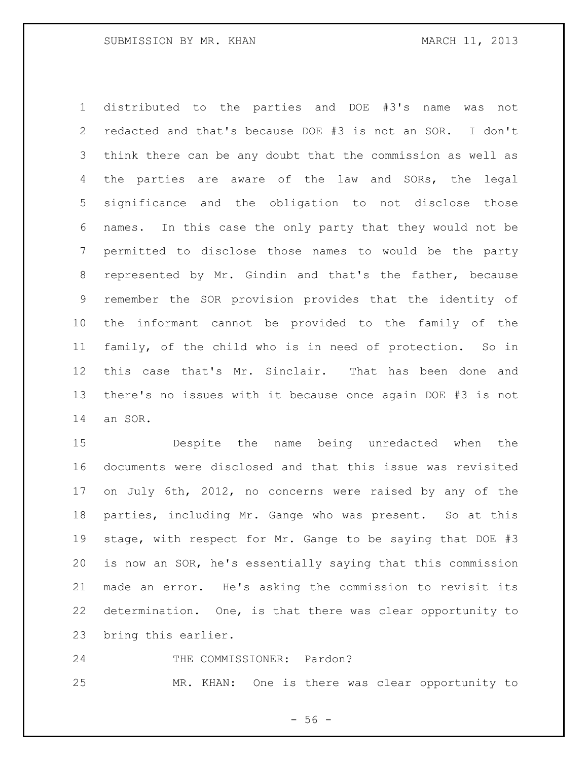distributed to the parties and DOE #3's name was not redacted and that's because DOE #3 is not an SOR. I don't think there can be any doubt that the commission as well as the parties are aware of the law and SORs, the legal significance and the obligation to not disclose those names. In this case the only party that they would not be permitted to disclose those names to would be the party represented by Mr. Gindin and that's the father, because remember the SOR provision provides that the identity of the informant cannot be provided to the family of the family, of the child who is in need of protection. So in this case that's Mr. Sinclair. That has been done and there's no issues with it because once again DOE #3 is not an SOR.

 Despite the name being unredacted when the documents were disclosed and that this issue was revisited on July 6th, 2012, no concerns were raised by any of the parties, including Mr. Gange who was present. So at this stage, with respect for Mr. Gange to be saying that DOE #3 is now an SOR, he's essentially saying that this commission made an error. He's asking the commission to revisit its determination. One, is that there was clear opportunity to bring this earlier.

THE COMMISSIONER: Pardon?

MR. KHAN: One is there was clear opportunity to

 $-56 -$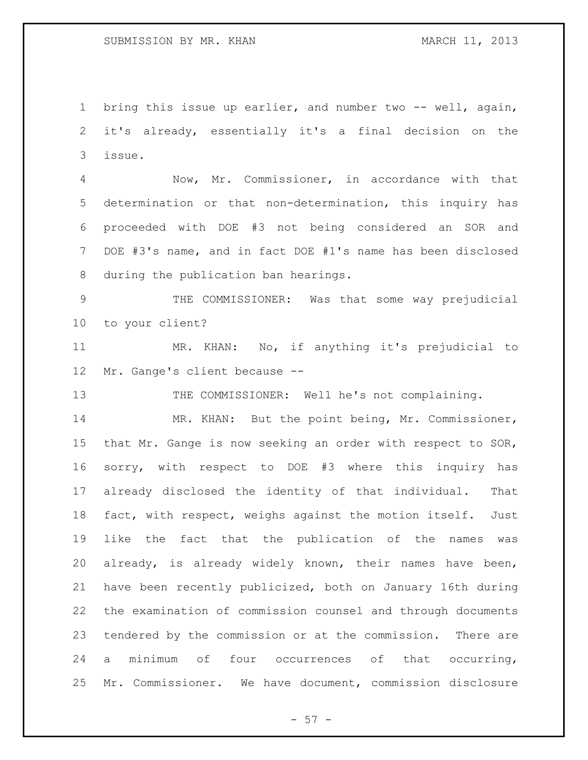bring this issue up earlier, and number two -- well, again, it's already, essentially it's a final decision on the issue.

 Now, Mr. Commissioner, in accordance with that determination or that non-determination, this inquiry has proceeded with DOE #3 not being considered an SOR and DOE #3's name, and in fact DOE #1's name has been disclosed during the publication ban hearings.

 THE COMMISSIONER: Was that some way prejudicial to your client?

 MR. KHAN: No, if anything it's prejudicial to Mr. Gange's client because --

13 THE COMMISSIONER: Well he's not complaining.

14 MR. KHAN: But the point being, Mr. Commissioner, that Mr. Gange is now seeking an order with respect to SOR, sorry, with respect to DOE #3 where this inquiry has already disclosed the identity of that individual. That fact, with respect, weighs against the motion itself. Just like the fact that the publication of the names was already, is already widely known, their names have been, have been recently publicized, both on January 16th during the examination of commission counsel and through documents tendered by the commission or at the commission. There are a minimum of four occurrences of that occurring, Mr. Commissioner. We have document, commission disclosure

 $-57 -$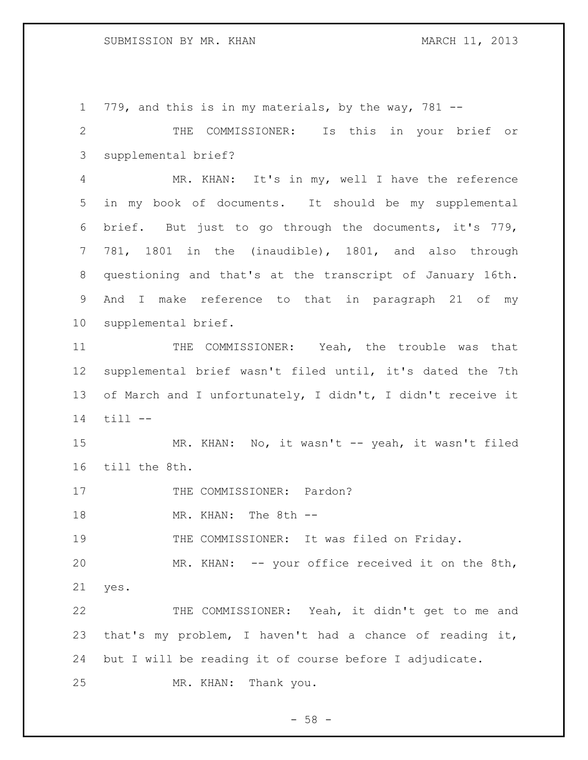779, and this is in my materials, by the way, 781 --

 THE COMMISSIONER: Is this in your brief or supplemental brief?

 MR. KHAN: It's in my, well I have the reference in my book of documents. It should be my supplemental brief. But just to go through the documents, it's 779, 781, 1801 in the (inaudible), 1801, and also through questioning and that's at the transcript of January 16th. And I make reference to that in paragraph 21 of my supplemental brief.

 THE COMMISSIONER: Yeah, the trouble was that supplemental brief wasn't filed until, it's dated the 7th of March and I unfortunately, I didn't, I didn't receive it  $11$   $-$ 

 MR. KHAN: No, it wasn't -- yeah, it wasn't filed till the 8th.

17 THE COMMISSIONER: Pardon?

MR. KHAN: The 8th --

THE COMMISSIONER: It was filed on Friday.

MR. KHAN: -- your office received it on the 8th,

yes.

 THE COMMISSIONER: Yeah, it didn't get to me and that's my problem, I haven't had a chance of reading it, but I will be reading it of course before I adjudicate. MR. KHAN: Thank you.

- 58 -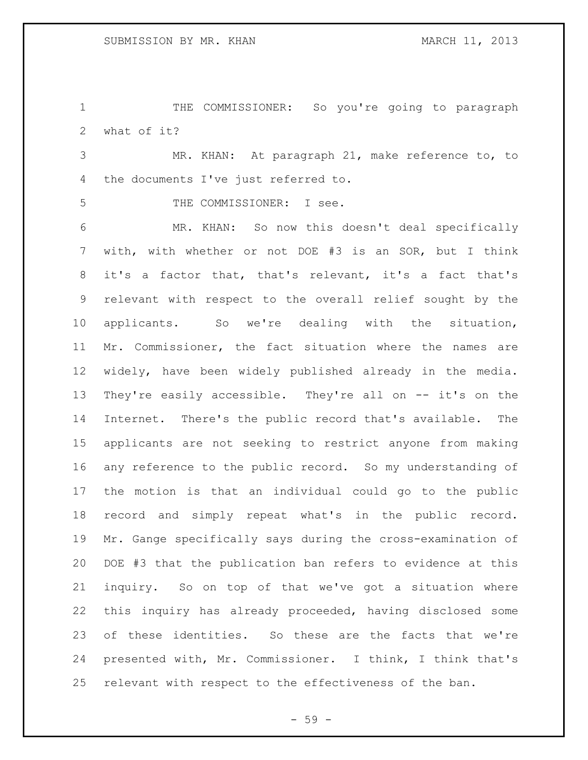1 THE COMMISSIONER: So you're going to paragraph what of it?

 MR. KHAN: At paragraph 21, make reference to, to the documents I've just referred to.

THE COMMISSIONER: I see.

 MR. KHAN: So now this doesn't deal specifically with, with whether or not DOE #3 is an SOR, but I think it's a factor that, that's relevant, it's a fact that's relevant with respect to the overall relief sought by the applicants. So we're dealing with the situation, Mr. Commissioner, the fact situation where the names are widely, have been widely published already in the media. They're easily accessible. They're all on -- it's on the Internet. There's the public record that's available. The applicants are not seeking to restrict anyone from making any reference to the public record. So my understanding of the motion is that an individual could go to the public record and simply repeat what's in the public record. Mr. Gange specifically says during the cross-examination of DOE #3 that the publication ban refers to evidence at this inquiry. So on top of that we've got a situation where this inquiry has already proceeded, having disclosed some of these identities. So these are the facts that we're presented with, Mr. Commissioner. I think, I think that's relevant with respect to the effectiveness of the ban.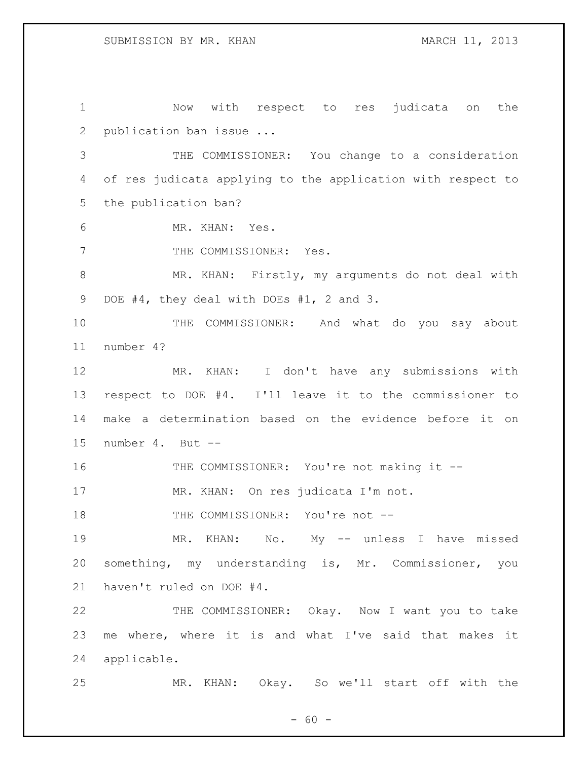Now with respect to res judicata on the publication ban issue ... THE COMMISSIONER: You change to a consideration of res judicata applying to the application with respect to the publication ban? MR. KHAN: Yes. 7 THE COMMISSIONER: Yes. MR. KHAN: Firstly, my arguments do not deal with 9 DOE #4, they deal with DOEs #1, 2 and 3. THE COMMISSIONER: And what do you say about number 4? MR. KHAN: I don't have any submissions with respect to DOE #4. I'll leave it to the commissioner to make a determination based on the evidence before it on number 4. But -- 16 THE COMMISSIONER: You're not making it -- MR. KHAN: On res judicata I'm not. 18 THE COMMISSIONER: You're not -- MR. KHAN: No. My -- unless I have missed something, my understanding is, Mr. Commissioner, you haven't ruled on DOE #4. THE COMMISSIONER: Okay. Now I want you to take me where, where it is and what I've said that makes it applicable. MR. KHAN: Okay. So we'll start off with the

 $- 60 -$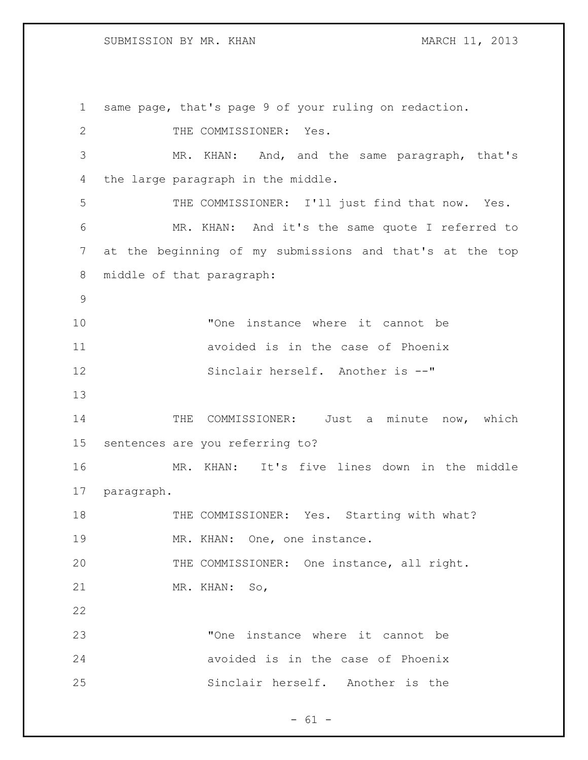same page, that's page 9 of your ruling on redaction. 2 THE COMMISSIONER: Yes. MR. KHAN: And, and the same paragraph, that's the large paragraph in the middle. 5 THE COMMISSIONER: I'll just find that now. Yes. MR. KHAN: And it's the same quote I referred to at the beginning of my submissions and that's at the top middle of that paragraph: "One instance where it cannot be avoided is in the case of Phoenix 12 Sinclair herself. Another is --" 14 THE COMMISSIONER: Just a minute now, which sentences are you referring to? MR. KHAN: It's five lines down in the middle paragraph. 18 THE COMMISSIONER: Yes. Starting with what? 19 MR. KHAN: One, one instance. THE COMMISSIONER: One instance, all right. MR. KHAN: So, "One instance where it cannot be avoided is in the case of Phoenix Sinclair herself. Another is the

 $- 61 -$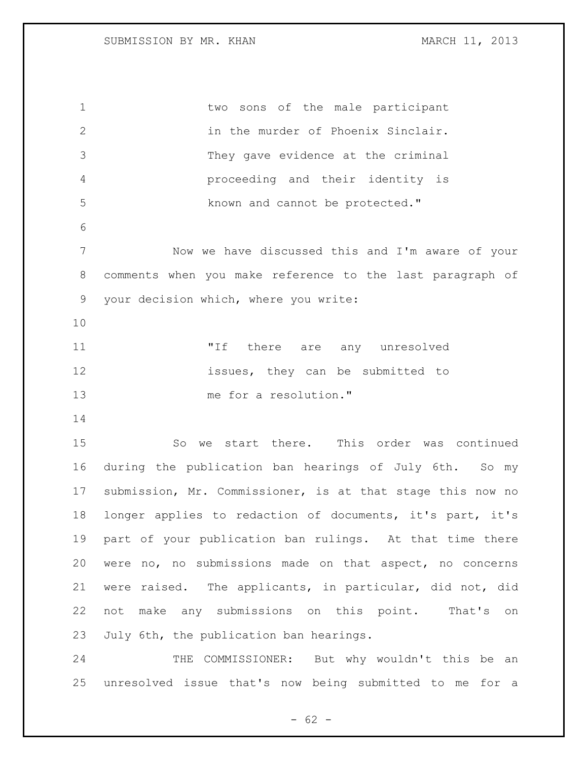two sons of the male participant in the murder of Phoenix Sinclair. They gave evidence at the criminal proceeding and their identity is 5 known and cannot be protected." Now we have discussed this and I'm aware of your comments when you make reference to the last paragraph of your decision which, where you write: 11 TH there are any unresolved **issues**, they can be submitted to me for a resolution." So we start there. This order was continued during the publication ban hearings of July 6th. So my submission, Mr. Commissioner, is at that stage this now no longer applies to redaction of documents, it's part, it's part of your publication ban rulings. At that time there were no, no submissions made on that aspect, no concerns were raised. The applicants, in particular, did not, did not make any submissions on this point. That's on July 6th, the publication ban hearings.

24 THE COMMISSIONER: But why wouldn't this be an unresolved issue that's now being submitted to me for a

 $- 62 -$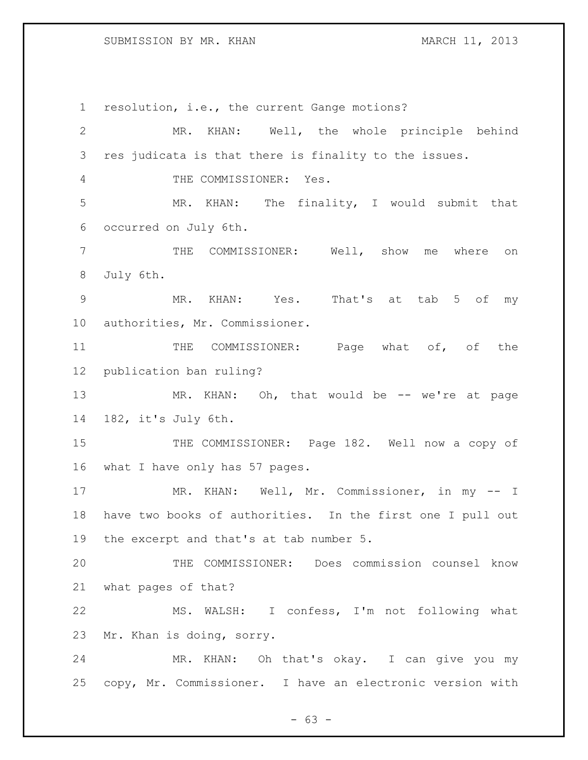### SUBMISSION BY MR. KHAN MARCH 11, 2013

 resolution, i.e., the current Gange motions? MR. KHAN: Well, the whole principle behind res judicata is that there is finality to the issues. THE COMMISSIONER: Yes. MR. KHAN: The finality, I would submit that occurred on July 6th. THE COMMISSIONER: Well, show me where on July 6th. MR. KHAN: Yes. That's at tab 5 of my authorities, Mr. Commissioner. 11 THE COMMISSIONER: Page what of, of the publication ban ruling? 13 MR. KHAN: Oh, that would be -- we're at page 182, it's July 6th. 15 THE COMMISSIONER: Page 182. Well now a copy of what I have only has 57 pages. MR. KHAN: Well, Mr. Commissioner, in my -- I have two books of authorities. In the first one I pull out the excerpt and that's at tab number 5. THE COMMISSIONER: Does commission counsel know what pages of that? MS. WALSH: I confess, I'm not following what Mr. Khan is doing, sorry. MR. KHAN: Oh that's okay. I can give you my copy, Mr. Commissioner. I have an electronic version with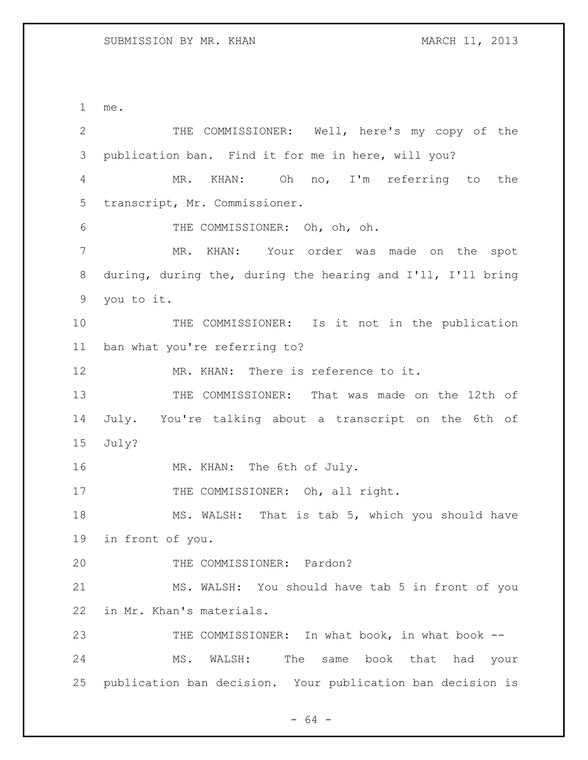me. THE COMMISSIONER: Well, here's my copy of the publication ban. Find it for me in here, will you? MR. KHAN: Oh no, I'm referring to the transcript, Mr. Commissioner. THE COMMISSIONER: Oh, oh, oh. MR. KHAN: Your order was made on the spot during, during the, during the hearing and I'll, I'll bring you to it. THE COMMISSIONER: Is it not in the publication ban what you're referring to? 12 MR. KHAN: There is reference to it. THE COMMISSIONER: That was made on the 12th of July. You're talking about a transcript on the 6th of July? MR. KHAN: The 6th of July. 17 THE COMMISSIONER: Oh, all right. 18 MS. WALSH: That is tab 5, which you should have in front of you. THE COMMISSIONER: Pardon? MS. WALSH: You should have tab 5 in front of you in Mr. Khan's materials. 23 THE COMMISSIONER: In what book, in what book -- MS. WALSH: The same book that had your publication ban decision. Your publication ban decision is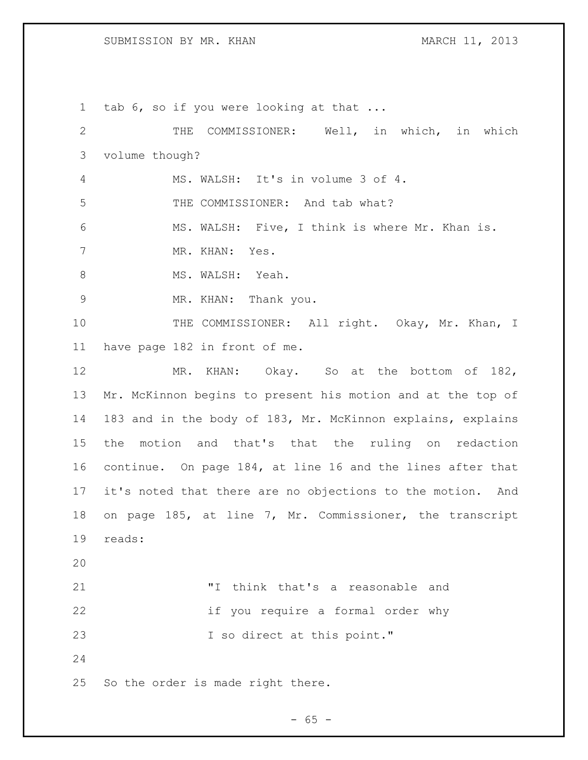## SUBMISSION BY MR. KHAN MARCH 11, 2013

 tab 6, so if you were looking at that ... THE COMMISSIONER: Well, in which, in which volume though? MS. WALSH: It's in volume 3 of 4. THE COMMISSIONER: And tab what? MS. WALSH: Five, I think is where Mr. Khan is. MR. KHAN: Yes. 8 MS. WALSH: Yeah. MR. KHAN: Thank you. 10 THE COMMISSIONER: All right. Okay, Mr. Khan, I have page 182 in front of me. MR. KHAN: Okay. So at the bottom of 182, Mr. McKinnon begins to present his motion and at the top of 183 and in the body of 183, Mr. McKinnon explains, explains the motion and that's that the ruling on redaction continue. On page 184, at line 16 and the lines after that it's noted that there are no objections to the motion. And on page 185, at line 7, Mr. Commissioner, the transcript reads: "I think that's a reasonable and if you require a formal order why 23 I so direct at this point." So the order is made right there.

 $- 65 -$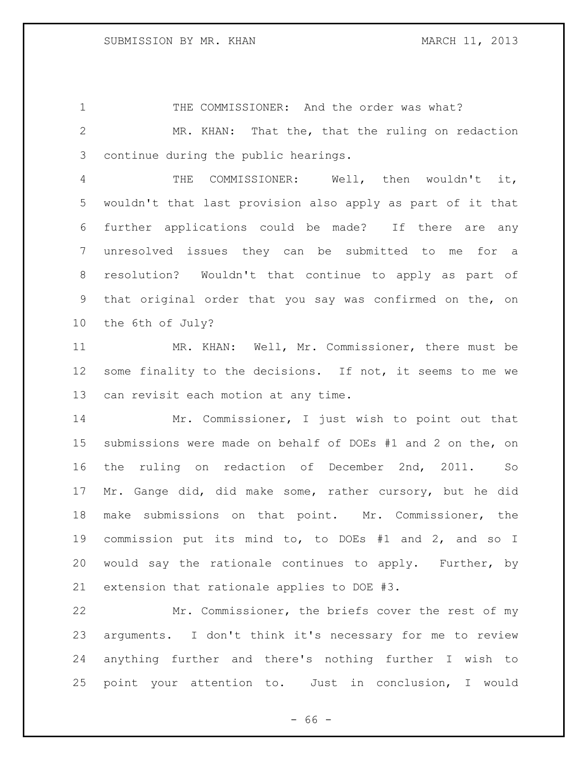1 THE COMMISSIONER: And the order was what?

 MR. KHAN: That the, that the ruling on redaction continue during the public hearings.

 THE COMMISSIONER: Well, then wouldn't it, wouldn't that last provision also apply as part of it that further applications could be made? If there are any unresolved issues they can be submitted to me for a resolution? Wouldn't that continue to apply as part of that original order that you say was confirmed on the, on the 6th of July?

 MR. KHAN: Well, Mr. Commissioner, there must be 12 some finality to the decisions. If not, it seems to me we can revisit each motion at any time.

 Mr. Commissioner, I just wish to point out that submissions were made on behalf of DOEs #1 and 2 on the, on the ruling on redaction of December 2nd, 2011. So Mr. Gange did, did make some, rather cursory, but he did make submissions on that point. Mr. Commissioner, the commission put its mind to, to DOEs #1 and 2, and so I would say the rationale continues to apply. Further, by extension that rationale applies to DOE #3.

 Mr. Commissioner, the briefs cover the rest of my arguments. I don't think it's necessary for me to review anything further and there's nothing further I wish to point your attention to. Just in conclusion, I would

 $- 66 -$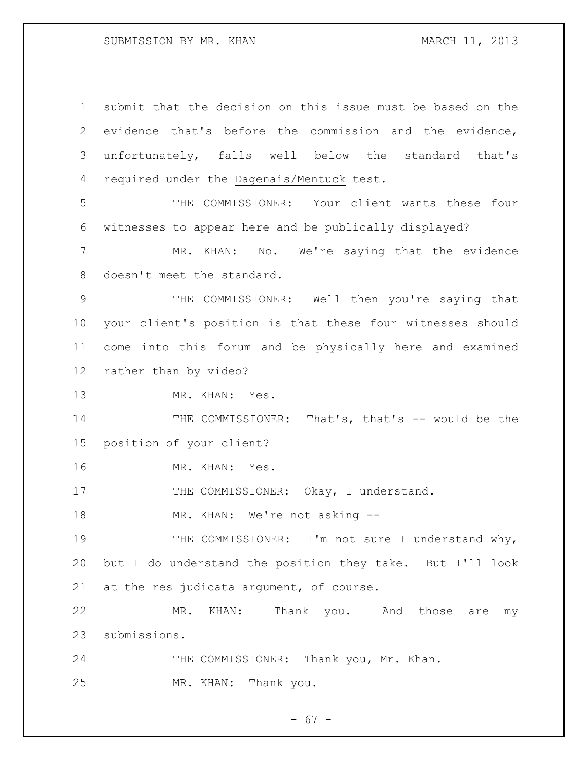submit that the decision on this issue must be based on the evidence that's before the commission and the evidence, unfortunately, falls well below the standard that's required under the Dagenais/Mentuck test. THE COMMISSIONER: Your client wants these four witnesses to appear here and be publically displayed? MR. KHAN: No. We're saying that the evidence doesn't meet the standard. THE COMMISSIONER: Well then you're saying that your client's position is that these four witnesses should come into this forum and be physically here and examined rather than by video? MR. KHAN: Yes. 14 THE COMMISSIONER: That's, that's -- would be the position of your client? MR. KHAN: Yes. 17 THE COMMISSIONER: Okay, I understand. 18 MR. KHAN: We're not asking --19 THE COMMISSIONER: I'm not sure I understand why, but I do understand the position they take. But I'll look 21 at the res judicata argument, of course. MR. KHAN: Thank you. And those are my submissions. 24 THE COMMISSIONER: Thank you, Mr. Khan. MR. KHAN: Thank you.

- 67 -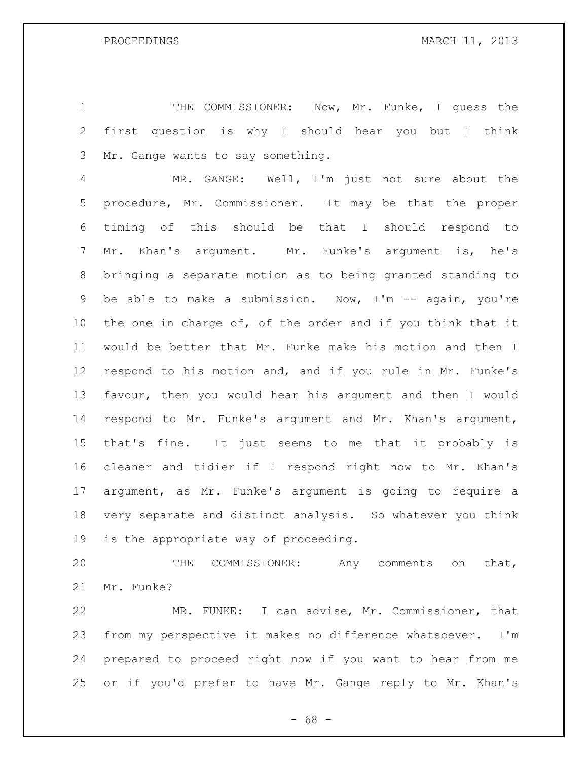THE COMMISSIONER: Now, Mr. Funke, I guess the first question is why I should hear you but I think Mr. Gange wants to say something.

 MR. GANGE: Well, I'm just not sure about the procedure, Mr. Commissioner. It may be that the proper timing of this should be that I should respond to Mr. Khan's argument. Mr. Funke's argument is, he's bringing a separate motion as to being granted standing to be able to make a submission. Now, I'm -- again, you're the one in charge of, of the order and if you think that it would be better that Mr. Funke make his motion and then I respond to his motion and, and if you rule in Mr. Funke's favour, then you would hear his argument and then I would respond to Mr. Funke's argument and Mr. Khan's argument, that's fine. It just seems to me that it probably is cleaner and tidier if I respond right now to Mr. Khan's argument, as Mr. Funke's argument is going to require a very separate and distinct analysis. So whatever you think is the appropriate way of proceeding.

 THE COMMISSIONER: Any comments on that, Mr. Funke?

 MR. FUNKE: I can advise, Mr. Commissioner, that from my perspective it makes no difference whatsoever. I'm prepared to proceed right now if you want to hear from me or if you'd prefer to have Mr. Gange reply to Mr. Khan's

 $- 68 -$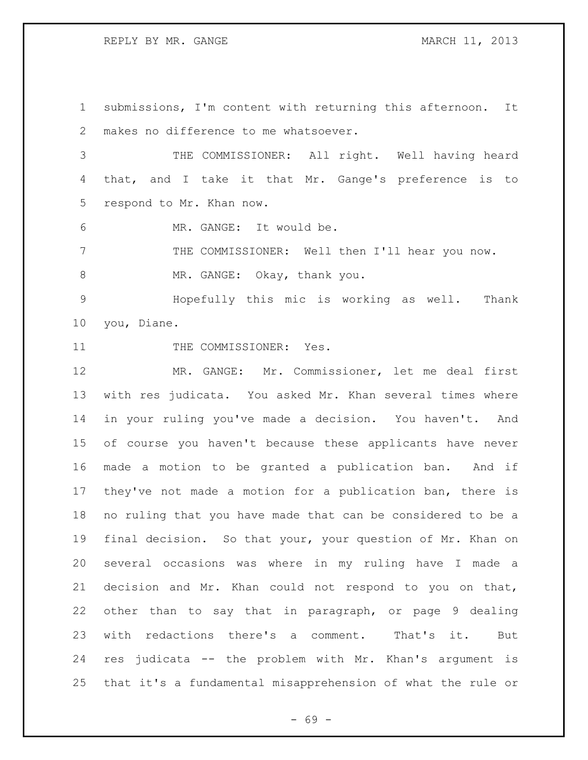REPLY BY MR. GANGE MARCH 11, 2013

 submissions, I'm content with returning this afternoon. It makes no difference to me whatsoever. THE COMMISSIONER: All right. Well having heard that, and I take it that Mr. Gange's preference is to respond to Mr. Khan now. MR. GANGE: It would be.

 THE COMMISSIONER: Well then I'll hear you now. 8 MR. GANGE: Okay, thank you.

 Hopefully this mic is working as well. Thank you, Diane.

11 THE COMMISSIONER: Yes.

 MR. GANGE: Mr. Commissioner, let me deal first with res judicata. You asked Mr. Khan several times where in your ruling you've made a decision. You haven't. And of course you haven't because these applicants have never made a motion to be granted a publication ban. And if they've not made a motion for a publication ban, there is no ruling that you have made that can be considered to be a final decision. So that your, your question of Mr. Khan on several occasions was where in my ruling have I made a decision and Mr. Khan could not respond to you on that, other than to say that in paragraph, or page 9 dealing with redactions there's a comment. That's it. But res judicata -- the problem with Mr. Khan's argument is that it's a fundamental misapprehension of what the rule or

- 69 -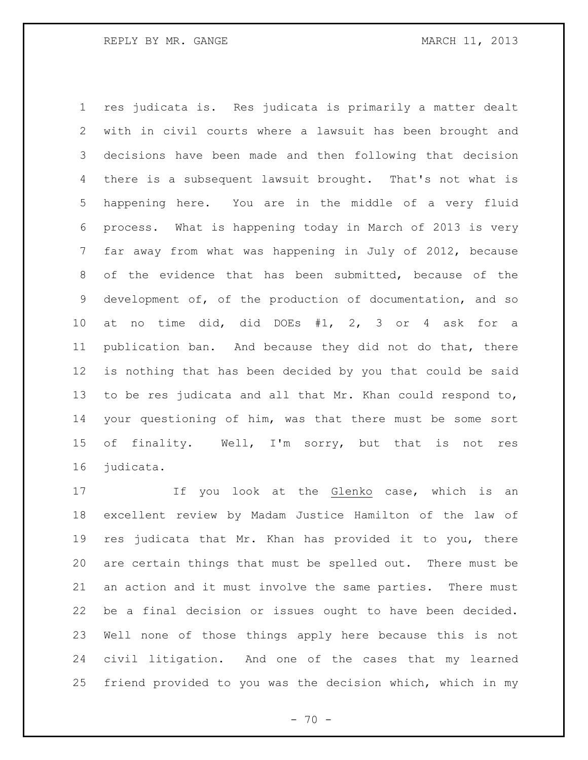res judicata is. Res judicata is primarily a matter dealt with in civil courts where a lawsuit has been brought and decisions have been made and then following that decision there is a subsequent lawsuit brought. That's not what is happening here. You are in the middle of a very fluid process. What is happening today in March of 2013 is very far away from what was happening in July of 2012, because of the evidence that has been submitted, because of the development of, of the production of documentation, and so at no time did, did DOEs #1, 2, 3 or 4 ask for a publication ban. And because they did not do that, there is nothing that has been decided by you that could be said to be res judicata and all that Mr. Khan could respond to, your questioning of him, was that there must be some sort of finality. Well, I'm sorry, but that is not res judicata.

 If you look at the Glenko case, which is an excellent review by Madam Justice Hamilton of the law of res judicata that Mr. Khan has provided it to you, there are certain things that must be spelled out. There must be an action and it must involve the same parties. There must be a final decision or issues ought to have been decided. Well none of those things apply here because this is not civil litigation. And one of the cases that my learned friend provided to you was the decision which, which in my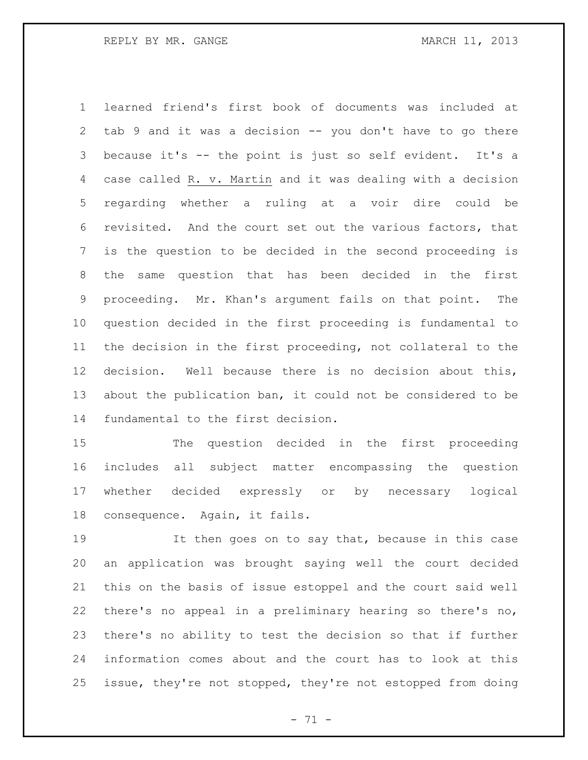learned friend's first book of documents was included at tab 9 and it was a decision -- you don't have to go there because it's -- the point is just so self evident. It's a case called R. v. Martin and it was dealing with a decision regarding whether a ruling at a voir dire could be revisited. And the court set out the various factors, that is the question to be decided in the second proceeding is the same question that has been decided in the first proceeding. Mr. Khan's argument fails on that point. The question decided in the first proceeding is fundamental to the decision in the first proceeding, not collateral to the decision. Well because there is no decision about this, about the publication ban, it could not be considered to be fundamental to the first decision.

 The question decided in the first proceeding includes all subject matter encompassing the question whether decided expressly or by necessary logical consequence. Again, it fails.

 It then goes on to say that, because in this case an application was brought saying well the court decided this on the basis of issue estoppel and the court said well there's no appeal in a preliminary hearing so there's no, there's no ability to test the decision so that if further information comes about and the court has to look at this issue, they're not stopped, they're not estopped from doing

 $- 71 -$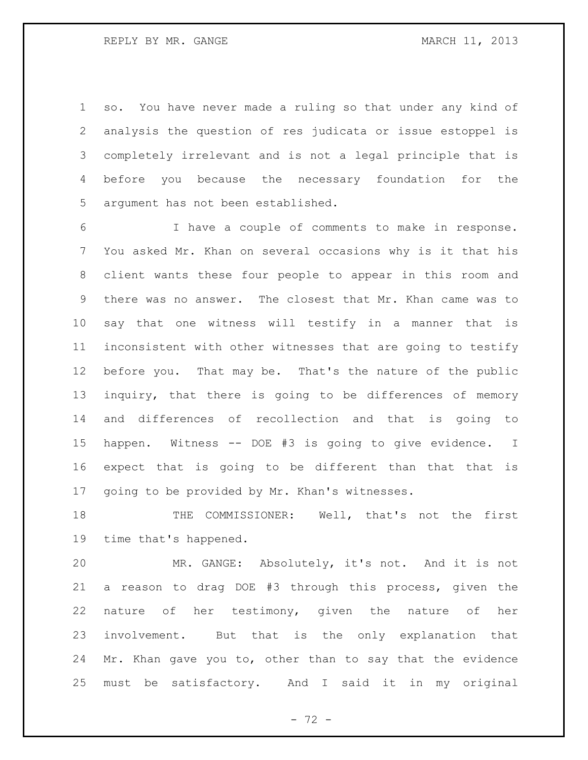so. You have never made a ruling so that under any kind of analysis the question of res judicata or issue estoppel is completely irrelevant and is not a legal principle that is before you because the necessary foundation for the argument has not been established.

 I have a couple of comments to make in response. You asked Mr. Khan on several occasions why is it that his client wants these four people to appear in this room and there was no answer. The closest that Mr. Khan came was to say that one witness will testify in a manner that is inconsistent with other witnesses that are going to testify before you. That may be. That's the nature of the public inquiry, that there is going to be differences of memory and differences of recollection and that is going to happen. Witness -- DOE #3 is going to give evidence. I expect that is going to be different than that that is going to be provided by Mr. Khan's witnesses.

18 THE COMMISSIONER: Well, that's not the first time that's happened.

 MR. GANGE: Absolutely, it's not. And it is not a reason to drag DOE #3 through this process, given the nature of her testimony, given the nature of her involvement. But that is the only explanation that Mr. Khan gave you to, other than to say that the evidence must be satisfactory. And I said it in my original

 $- 72 -$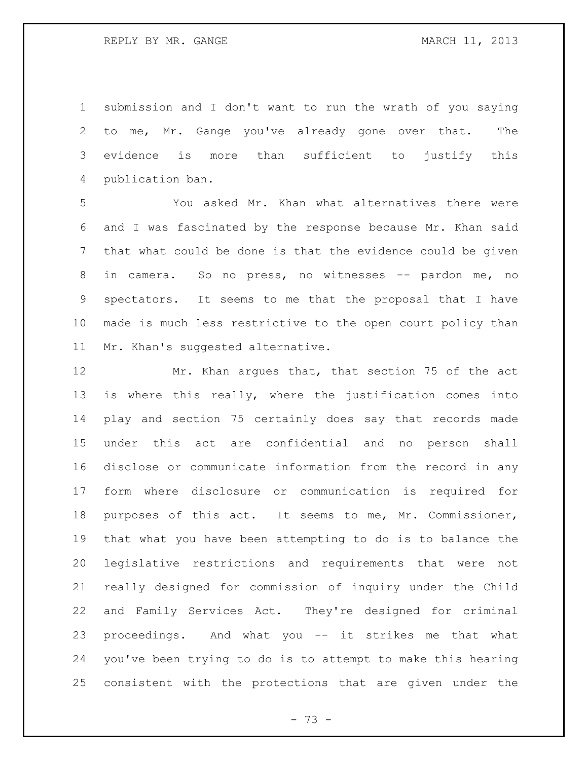REPLY BY MR. GANGE MARCH 11, 2013

 submission and I don't want to run the wrath of you saying to me, Mr. Gange you've already gone over that. The evidence is more than sufficient to justify this publication ban.

 You asked Mr. Khan what alternatives there were and I was fascinated by the response because Mr. Khan said that what could be done is that the evidence could be given 8 in camera. So no press, no witnesses -- pardon me, no spectators. It seems to me that the proposal that I have made is much less restrictive to the open court policy than Mr. Khan's suggested alternative.

 Mr. Khan argues that, that section 75 of the act is where this really, where the justification comes into play and section 75 certainly does say that records made under this act are confidential and no person shall disclose or communicate information from the record in any form where disclosure or communication is required for purposes of this act. It seems to me, Mr. Commissioner, that what you have been attempting to do is to balance the legislative restrictions and requirements that were not really designed for commission of inquiry under the Child and Family Services Act. They're designed for criminal proceedings. And what you -- it strikes me that what you've been trying to do is to attempt to make this hearing consistent with the protections that are given under the

- 73 -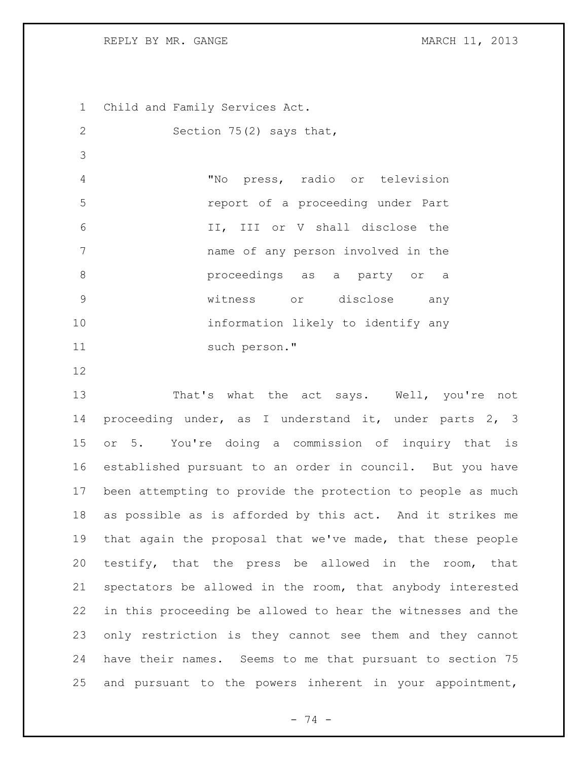REPLY BY MR. GANGE MARCH 11, 2013

 Child and Family Services Act. Section 75(2) says that, "No press, radio or television report of a proceeding under Part II, III or V shall disclose the name of any person involved in the proceedings as a party or a witness or disclose any information likely to identify any 11 such person."

 That's what the act says. Well, you're not proceeding under, as I understand it, under parts 2, 3 or 5. You're doing a commission of inquiry that is established pursuant to an order in council. But you have been attempting to provide the protection to people as much as possible as is afforded by this act. And it strikes me that again the proposal that we've made, that these people testify, that the press be allowed in the room, that spectators be allowed in the room, that anybody interested in this proceeding be allowed to hear the witnesses and the only restriction is they cannot see them and they cannot have their names. Seems to me that pursuant to section 75 and pursuant to the powers inherent in your appointment,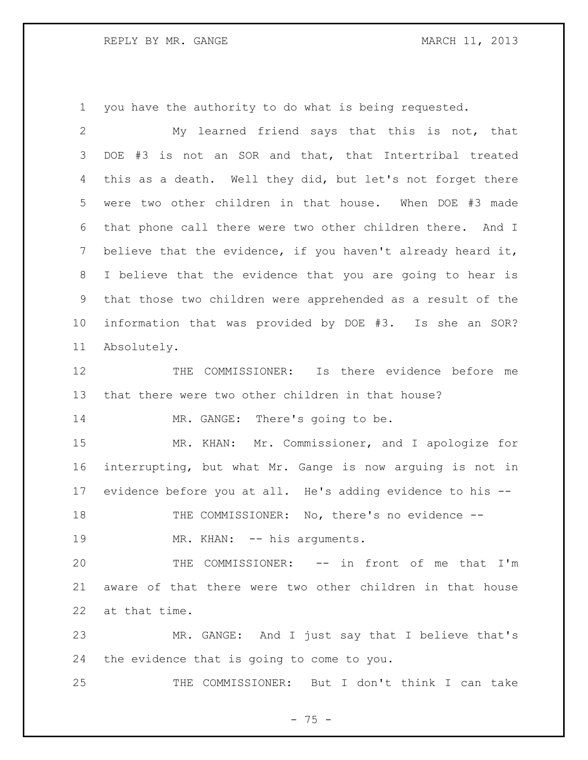you have the authority to do what is being requested.

| $\mathbf{2}$ | My learned friend says that this is not, that               |
|--------------|-------------------------------------------------------------|
| 3            | #3 is not an SOR and that, that Intertribal treated<br>DOE  |
| 4            | this as a death. Well they did, but let's not forget there  |
| 5            | were two other children in that house. When DOE #3 made     |
| 6            | that phone call there were two other children there. And I  |
| 7            | believe that the evidence, if you haven't already heard it, |
| 8            | I believe that the evidence that you are going to hear is   |
| 9            | that those two children were apprehended as a result of the |
| 10           | information that was provided by DOE #3. Is she an SOR?     |
| 11           | Absolutely.                                                 |
| 12           | COMMISSIONER: Is there evidence before me<br>THE            |
| 13           | that there were two other children in that house?           |
| 14           | MR. GANGE: There's going to be.                             |
| 15           | Mr. Commissioner, and I apologize for<br>MR. KHAN:          |
| 16           | interrupting, but what Mr. Gange is now arguing is not in   |
| 17           | evidence before you at all. He's adding evidence to his --  |
| 18           | THE COMMISSIONER: No, there's no evidence --                |
| 19           | MR. KHAN: -- his arguments.                                 |
| 20           | THE COMMISSIONER: -- in front of me that I'm                |
| 21           | aware of that there were two other children in that house   |
| 22           | at that time.                                               |
| 23           | MR. GANGE: And I just say that I believe that's             |
| 24           | the evidence that is going to come to you.                  |
| 25           | THE COMMISSIONER: But I don't think I can take              |

- 75 -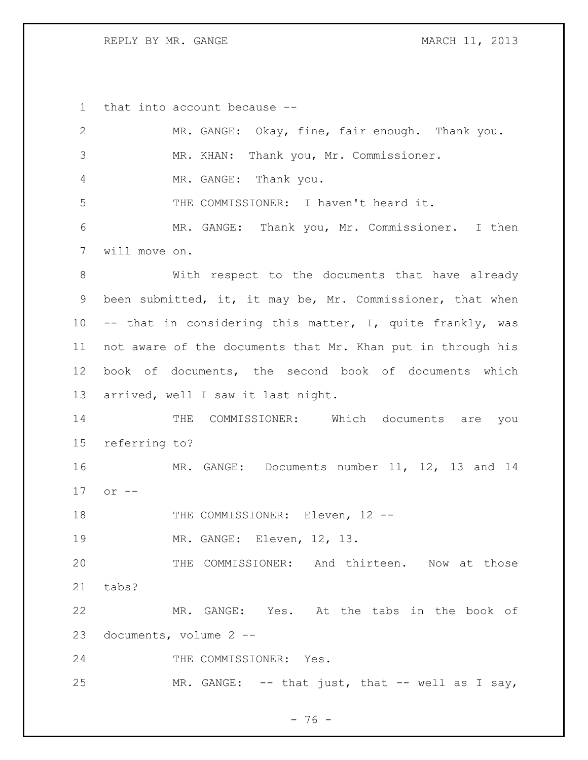REPLY BY MR. GANGE MARCH 11, 2013

that into account because --

| $\mathbf{2}$    | MR. GANGE: Okay, fine, fair enough. Thank you.              |
|-----------------|-------------------------------------------------------------|
| $\mathfrak{Z}$  | MR. KHAN: Thank you, Mr. Commissioner.                      |
| 4               | MR. GANGE: Thank you.                                       |
| 5               | THE COMMISSIONER: I haven't heard it.                       |
| 6               | MR. GANGE: Thank you, Mr. Commissioner. I then              |
| 7               | will move on.                                               |
| $8\,$           | With respect to the documents that have already             |
| 9               | been submitted, it, it may be, Mr. Commissioner, that when  |
| 10 <sub>o</sub> | -- that in considering this matter, I, quite frankly, was   |
| 11              | not aware of the documents that Mr. Khan put in through his |
| 12              | book of documents, the second book of documents which       |
| 13              | arrived, well I saw it last night.                          |
|                 |                                                             |
| 14              | COMMISSIONER: Which documents are you<br>THE                |
| 15              | referring to?                                               |
| 16              | MR. GANGE: Documents number 11, 12, 13 and 14               |
| 17              | $or$ $--$                                                   |
| 18              | THE COMMISSIONER: Eleven, 12 --                             |
| 19              | MR. GANGE: Eleven, 12, 13.                                  |
| 20              | THE COMMISSIONER: And thirteen. Now at those                |
| 21              | tabs?                                                       |
| 22              | MR. GANGE: Yes. At the tabs in the book of                  |
| 23              | documents, volume 2 --                                      |
| 24              | THE COMMISSIONER: Yes.                                      |

- 76 -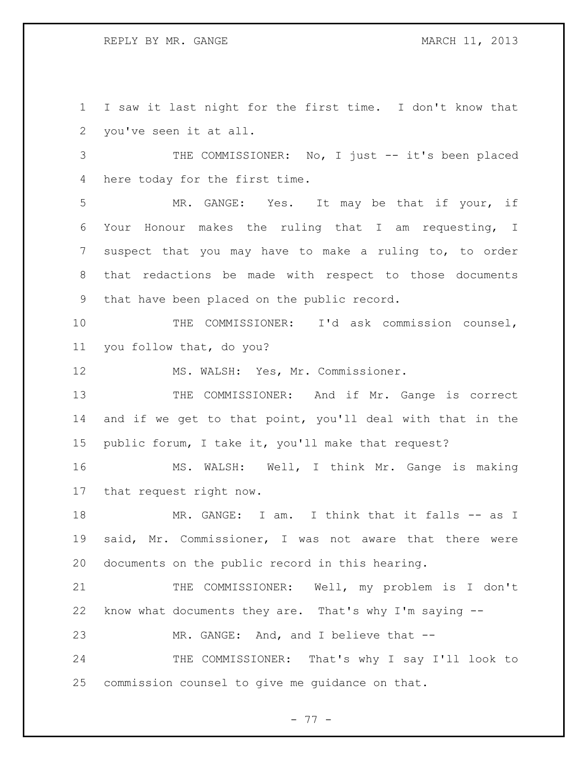REPLY BY MR. GANGE MARCH 11, 2013

 I saw it last night for the first time. I don't know that you've seen it at all.

3 THE COMMISSIONER: No, I just -- it's been placed here today for the first time.

 MR. GANGE: Yes. It may be that if your, if Your Honour makes the ruling that I am requesting, I suspect that you may have to make a ruling to, to order that redactions be made with respect to those documents that have been placed on the public record.

 THE COMMISSIONER: I'd ask commission counsel, you follow that, do you?

12 MS. WALSH: Yes, Mr. Commissioner.

13 THE COMMISSIONER: And if Mr. Gange is correct and if we get to that point, you'll deal with that in the public forum, I take it, you'll make that request?

 MS. WALSH: Well, I think Mr. Gange is making that request right now.

18 MR. GANGE: I am. I think that it falls -- as I said, Mr. Commissioner, I was not aware that there were documents on the public record in this hearing.

21 THE COMMISSIONER: Well, my problem is I don't know what documents they are. That's why I'm saying --

MR. GANGE: And, and I believe that --

24 THE COMMISSIONER: That's why I say I'll look to commission counsel to give me guidance on that.

- 77 -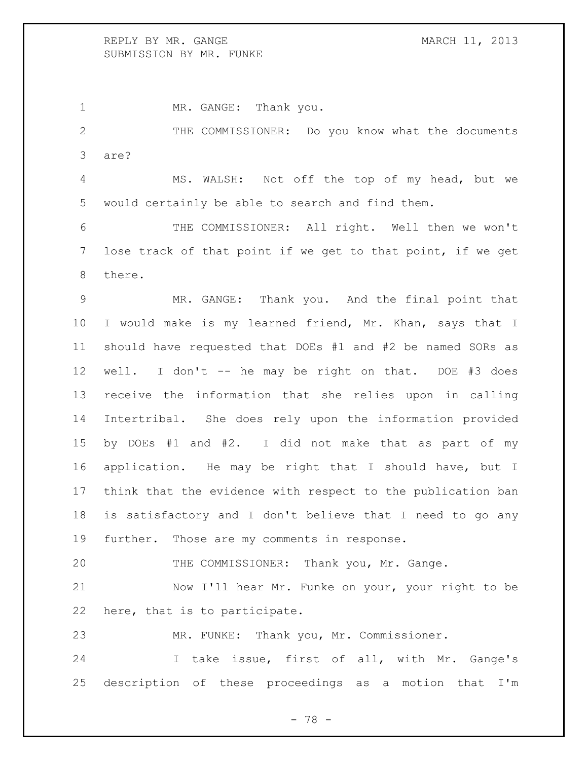## REPLY BY MR. GANGE MARCH 11, 2013 SUBMISSION BY MR. FUNKE

1 MR. GANGE: Thank you.

 THE COMMISSIONER: Do you know what the documents are?

 MS. WALSH: Not off the top of my head, but we would certainly be able to search and find them.

 THE COMMISSIONER: All right. Well then we won't lose track of that point if we get to that point, if we get there.

 MR. GANGE: Thank you. And the final point that I would make is my learned friend, Mr. Khan, says that I should have requested that DOEs #1 and #2 be named SORs as well. I don't -- he may be right on that. DOE #3 does receive the information that she relies upon in calling Intertribal. She does rely upon the information provided by DOEs #1 and #2. I did not make that as part of my application. He may be right that I should have, but I think that the evidence with respect to the publication ban is satisfactory and I don't believe that I need to go any further. Those are my comments in response.

THE COMMISSIONER: Thank you, Mr. Gange.

 Now I'll hear Mr. Funke on your, your right to be here, that is to participate.

MR. FUNKE: Thank you, Mr. Commissioner.

 I take issue, first of all, with Mr. Gange's description of these proceedings as a motion that I'm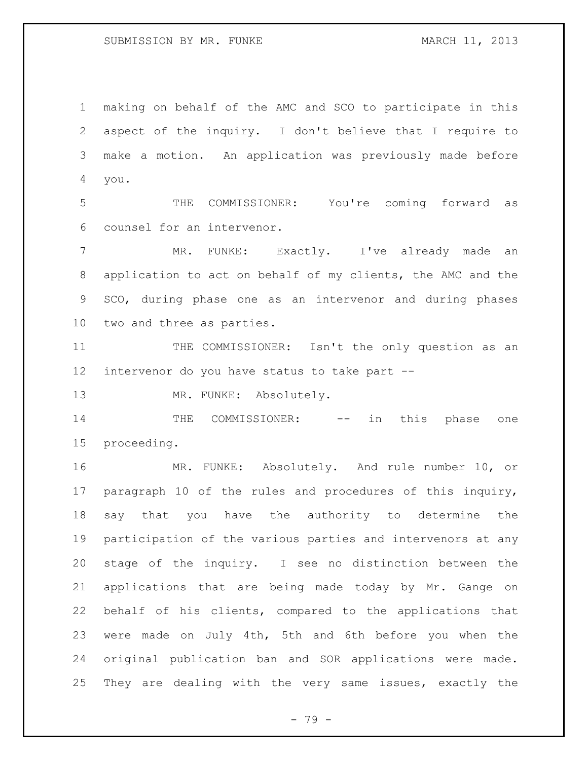making on behalf of the AMC and SCO to participate in this aspect of the inquiry. I don't believe that I require to make a motion. An application was previously made before you.

 THE COMMISSIONER: You're coming forward as counsel for an intervenor.

 MR. FUNKE: Exactly. I've already made an application to act on behalf of my clients, the AMC and the SCO, during phase one as an intervenor and during phases two and three as parties.

 THE COMMISSIONER: Isn't the only question as an intervenor do you have status to take part --

13 MR. FUNKE: Absolutely.

14 THE COMMISSIONER: -- in this phase one proceeding.

 MR. FUNKE: Absolutely. And rule number 10, or paragraph 10 of the rules and procedures of this inquiry, say that you have the authority to determine the participation of the various parties and intervenors at any stage of the inquiry. I see no distinction between the applications that are being made today by Mr. Gange on behalf of his clients, compared to the applications that were made on July 4th, 5th and 6th before you when the original publication ban and SOR applications were made. They are dealing with the very same issues, exactly the

- 79 -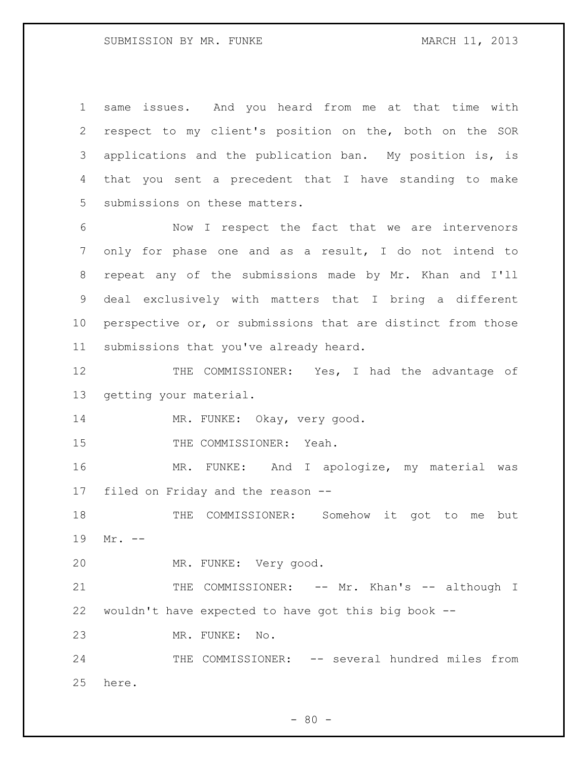## SUBMISSION BY MR. FUNKE MARCH 11, 2013

 same issues. And you heard from me at that time with respect to my client's position on the, both on the SOR applications and the publication ban. My position is, is that you sent a precedent that I have standing to make submissions on these matters.

 Now I respect the fact that we are intervenors only for phase one and as a result, I do not intend to repeat any of the submissions made by Mr. Khan and I'll deal exclusively with matters that I bring a different 10 perspective or, or submissions that are distinct from those submissions that you've already heard.

12 THE COMMISSIONER: Yes, I had the advantage of getting your material.

14 MR. FUNKE: Okay, very good.

15 THE COMMISSIONER: Yeah.

 MR. FUNKE: And I apologize, my material was filed on Friday and the reason --

 THE COMMISSIONER: Somehow it got to me but Mr. --

MR. FUNKE: Very good.

21 THE COMMISSIONER: -- Mr. Khan's -- although I wouldn't have expected to have got this big book --

MR. FUNKE: No.

24 THE COMMISSIONER: -- several hundred miles from here.

 $- 80 -$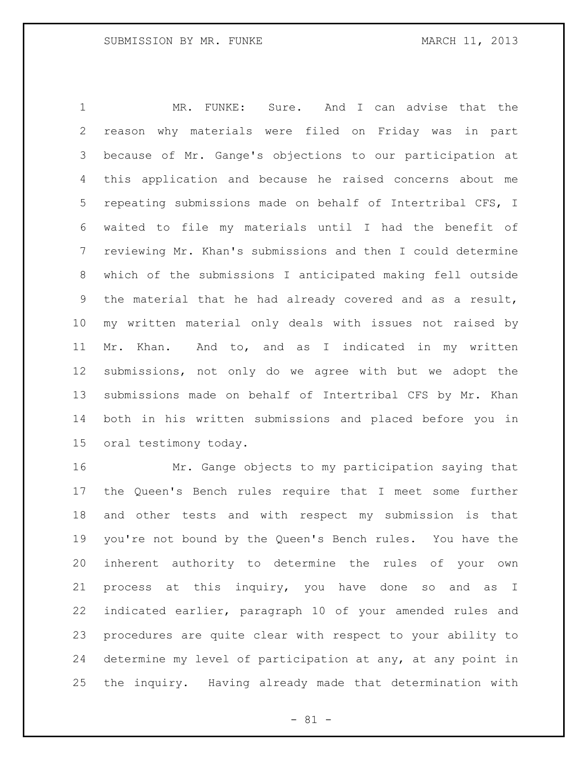MR. FUNKE: Sure. And I can advise that the reason why materials were filed on Friday was in part because of Mr. Gange's objections to our participation at this application and because he raised concerns about me repeating submissions made on behalf of Intertribal CFS, I waited to file my materials until I had the benefit of reviewing Mr. Khan's submissions and then I could determine which of the submissions I anticipated making fell outside the material that he had already covered and as a result, my written material only deals with issues not raised by Mr. Khan. And to, and as I indicated in my written submissions, not only do we agree with but we adopt the submissions made on behalf of Intertribal CFS by Mr. Khan both in his written submissions and placed before you in oral testimony today.

 Mr. Gange objects to my participation saying that the Queen's Bench rules require that I meet some further and other tests and with respect my submission is that you're not bound by the Queen's Bench rules. You have the inherent authority to determine the rules of your own process at this inquiry, you have done so and as I indicated earlier, paragraph 10 of your amended rules and procedures are quite clear with respect to your ability to determine my level of participation at any, at any point in the inquiry. Having already made that determination with

- 81 -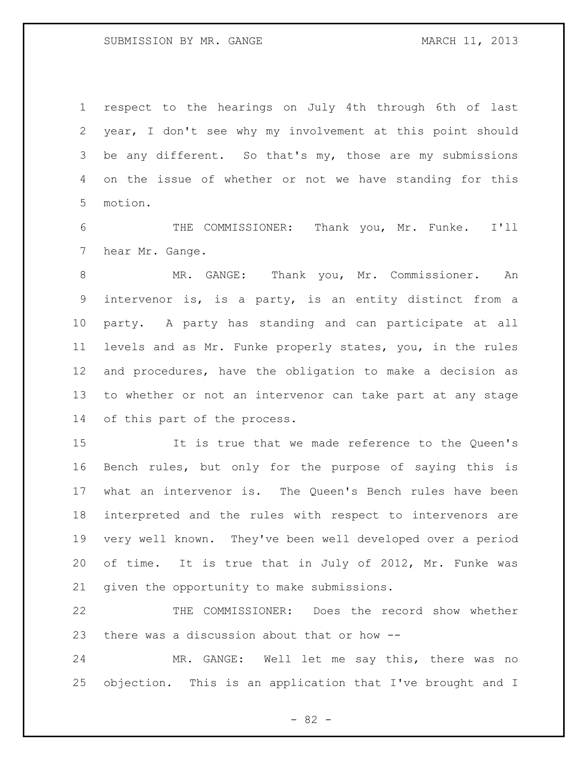respect to the hearings on July 4th through 6th of last year, I don't see why my involvement at this point should be any different. So that's my, those are my submissions on the issue of whether or not we have standing for this motion.

 THE COMMISSIONER: Thank you, Mr. Funke. I'll hear Mr. Gange.

 MR. GANGE: Thank you, Mr. Commissioner. An intervenor is, is a party, is an entity distinct from a party. A party has standing and can participate at all levels and as Mr. Funke properly states, you, in the rules and procedures, have the obligation to make a decision as to whether or not an intervenor can take part at any stage of this part of the process.

 It is true that we made reference to the Queen's Bench rules, but only for the purpose of saying this is what an intervenor is. The Queen's Bench rules have been interpreted and the rules with respect to intervenors are very well known. They've been well developed over a period of time. It is true that in July of 2012, Mr. Funke was given the opportunity to make submissions.

 THE COMMISSIONER: Does the record show whether there was a discussion about that or how --

 MR. GANGE: Well let me say this, there was no objection. This is an application that I've brought and I

- 82 -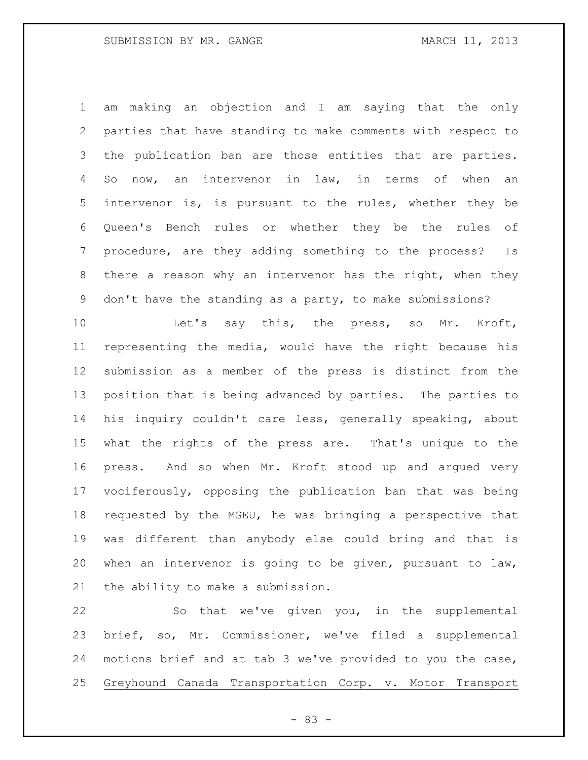am making an objection and I am saying that the only parties that have standing to make comments with respect to the publication ban are those entities that are parties. So now, an intervenor in law, in terms of when an intervenor is, is pursuant to the rules, whether they be Queen's Bench rules or whether they be the rules of procedure, are they adding something to the process? Is there a reason why an intervenor has the right, when they don't have the standing as a party, to make submissions?

10 Let's say this, the press, so Mr. Kroft, representing the media, would have the right because his submission as a member of the press is distinct from the position that is being advanced by parties. The parties to his inquiry couldn't care less, generally speaking, about what the rights of the press are. That's unique to the press. And so when Mr. Kroft stood up and argued very vociferously, opposing the publication ban that was being requested by the MGEU, he was bringing a perspective that was different than anybody else could bring and that is when an intervenor is going to be given, pursuant to law, the ability to make a submission.

 So that we've given you, in the supplemental brief, so, Mr. Commissioner, we've filed a supplemental motions brief and at tab 3 we've provided to you the case, Greyhound Canada Transportation Corp. v. Motor Transport

- 83 -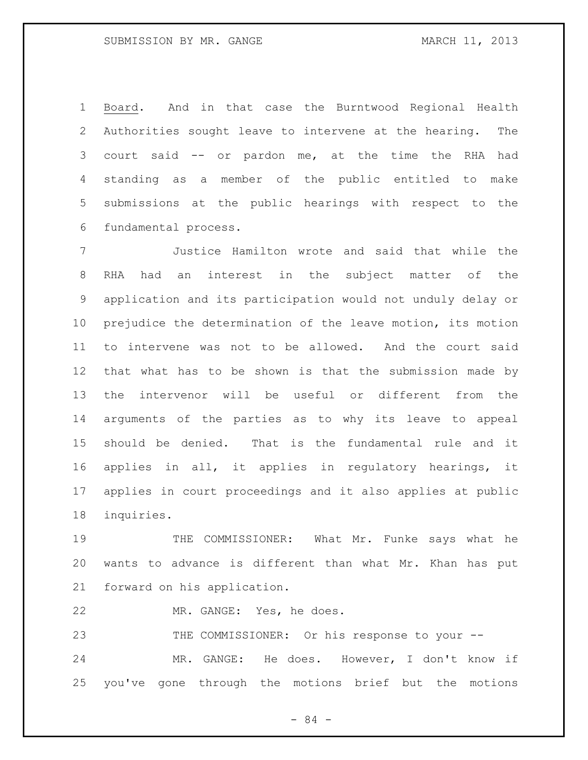Board. And in that case the Burntwood Regional Health Authorities sought leave to intervene at the hearing. The court said -- or pardon me, at the time the RHA had standing as a member of the public entitled to make submissions at the public hearings with respect to the fundamental process.

 Justice Hamilton wrote and said that while the RHA had an interest in the subject matter of the application and its participation would not unduly delay or prejudice the determination of the leave motion, its motion to intervene was not to be allowed. And the court said that what has to be shown is that the submission made by the intervenor will be useful or different from the arguments of the parties as to why its leave to appeal should be denied. That is the fundamental rule and it applies in all, it applies in regulatory hearings, it applies in court proceedings and it also applies at public inquiries.

 THE COMMISSIONER: What Mr. Funke says what he wants to advance is different than what Mr. Khan has put forward on his application.

MR. GANGE: Yes, he does.

23 THE COMMISSIONER: Or his response to your -- MR. GANGE: He does. However, I don't know if you've gone through the motions brief but the motions

- 84 -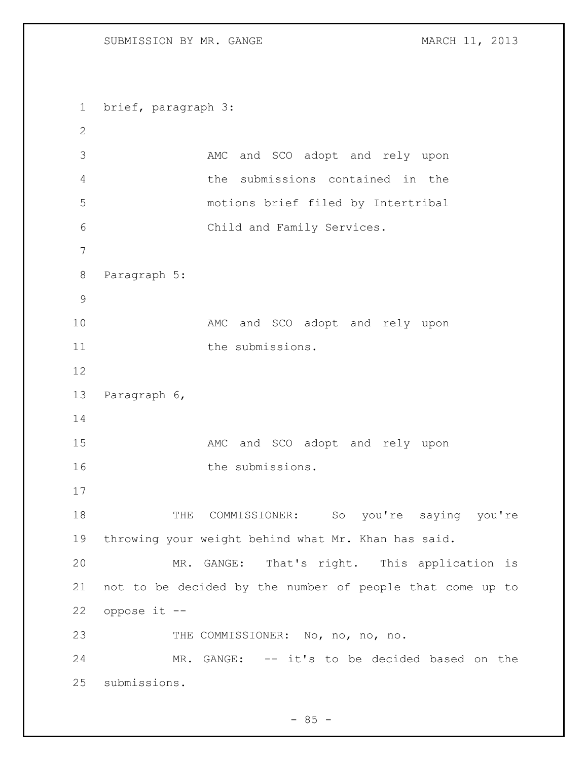brief, paragraph 3: 3 AMC and SCO adopt and rely upon the submissions contained in the motions brief filed by Intertribal Child and Family Services. Paragraph 5: 10 MMC and SCO adopt and rely upon 11 the submissions. Paragraph 6, 15 MMC and SCO adopt and rely upon 16 the submissions. 18 THE COMMISSIONER: So you're saying you're throwing your weight behind what Mr. Khan has said. MR. GANGE: That's right. This application is not to be decided by the number of people that come up to oppose it -- 23 THE COMMISSIONER: No, no, no, no. MR. GANGE: -- it's to be decided based on the submissions.

 $- 85 -$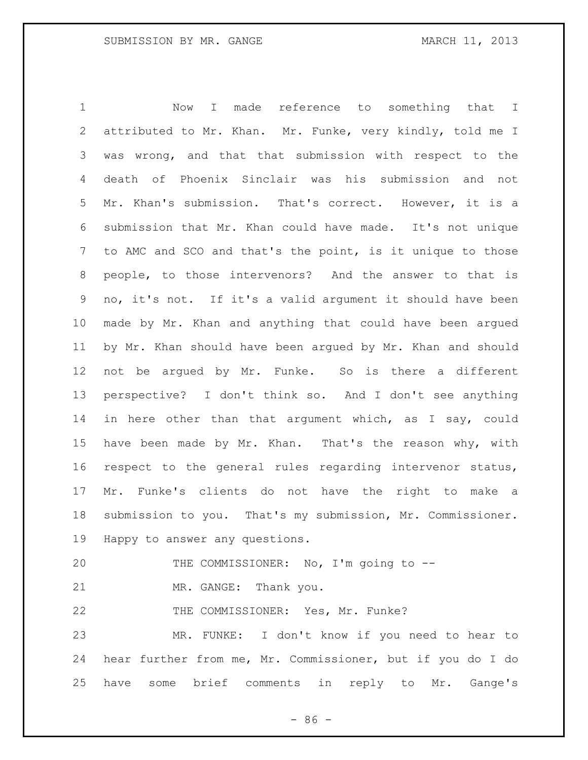Now I made reference to something that I attributed to Mr. Khan. Mr. Funke, very kindly, told me I was wrong, and that that submission with respect to the death of Phoenix Sinclair was his submission and not Mr. Khan's submission. That's correct. However, it is a submission that Mr. Khan could have made. It's not unique to AMC and SCO and that's the point, is it unique to those people, to those intervenors? And the answer to that is no, it's not. If it's a valid argument it should have been made by Mr. Khan and anything that could have been argued by Mr. Khan should have been argued by Mr. Khan and should not be argued by Mr. Funke. So is there a different perspective? I don't think so. And I don't see anything in here other than that argument which, as I say, could have been made by Mr. Khan. That's the reason why, with respect to the general rules regarding intervenor status, Mr. Funke's clients do not have the right to make a submission to you. That's my submission, Mr. Commissioner. Happy to answer any questions. THE COMMISSIONER: No, I'm going to -- 21 MR. GANGE: Thank you. 22 THE COMMISSIONER: Yes, Mr. Funke? MR. FUNKE: I don't know if you need to hear to hear further from me, Mr. Commissioner, but if you do I do have some brief comments in reply to Mr. Gange's

 $-86 -$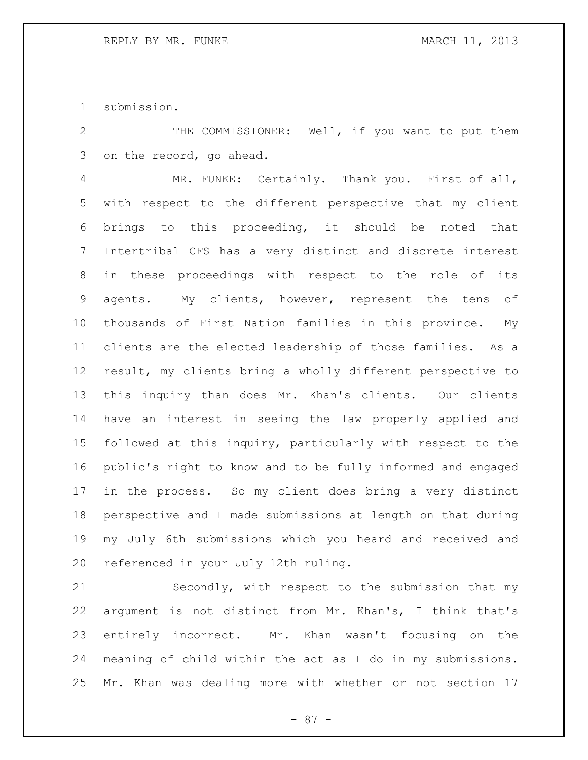submission.

 THE COMMISSIONER: Well, if you want to put them on the record, go ahead.

 MR. FUNKE: Certainly. Thank you. First of all, with respect to the different perspective that my client brings to this proceeding, it should be noted that Intertribal CFS has a very distinct and discrete interest in these proceedings with respect to the role of its agents. My clients, however, represent the tens of thousands of First Nation families in this province. My clients are the elected leadership of those families. As a result, my clients bring a wholly different perspective to this inquiry than does Mr. Khan's clients. Our clients have an interest in seeing the law properly applied and followed at this inquiry, particularly with respect to the public's right to know and to be fully informed and engaged in the process. So my client does bring a very distinct perspective and I made submissions at length on that during my July 6th submissions which you heard and received and referenced in your July 12th ruling.

 Secondly, with respect to the submission that my argument is not distinct from Mr. Khan's, I think that's entirely incorrect. Mr. Khan wasn't focusing on the meaning of child within the act as I do in my submissions. Mr. Khan was dealing more with whether or not section 17

- 87 -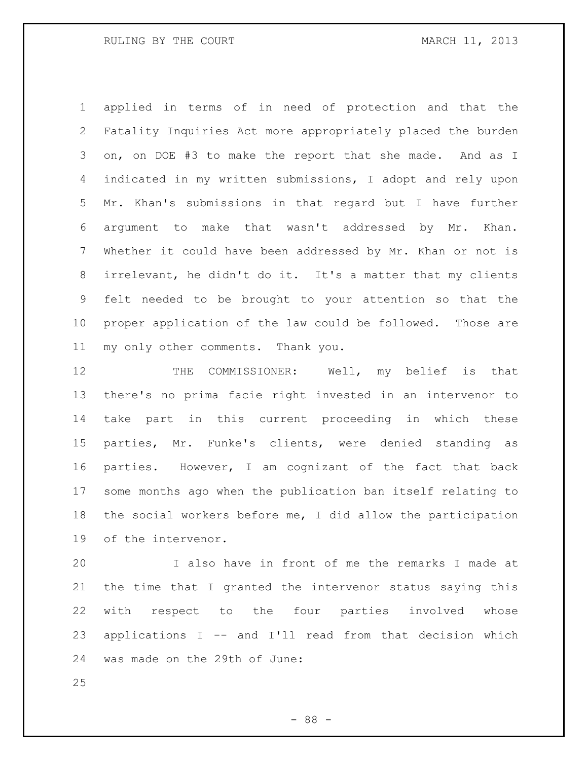applied in terms of in need of protection and that the Fatality Inquiries Act more appropriately placed the burden on, on DOE #3 to make the report that she made. And as I indicated in my written submissions, I adopt and rely upon Mr. Khan's submissions in that regard but I have further argument to make that wasn't addressed by Mr. Khan. Whether it could have been addressed by Mr. Khan or not is irrelevant, he didn't do it. It's a matter that my clients felt needed to be brought to your attention so that the proper application of the law could be followed. Those are my only other comments. Thank you.

 THE COMMISSIONER: Well, my belief is that there's no prima facie right invested in an intervenor to take part in this current proceeding in which these parties, Mr. Funke's clients, were denied standing as parties. However, I am cognizant of the fact that back some months ago when the publication ban itself relating to the social workers before me, I did allow the participation of the intervenor.

 I also have in front of me the remarks I made at the time that I granted the intervenor status saying this with respect to the four parties involved whose applications I -- and I'll read from that decision which was made on the 29th of June: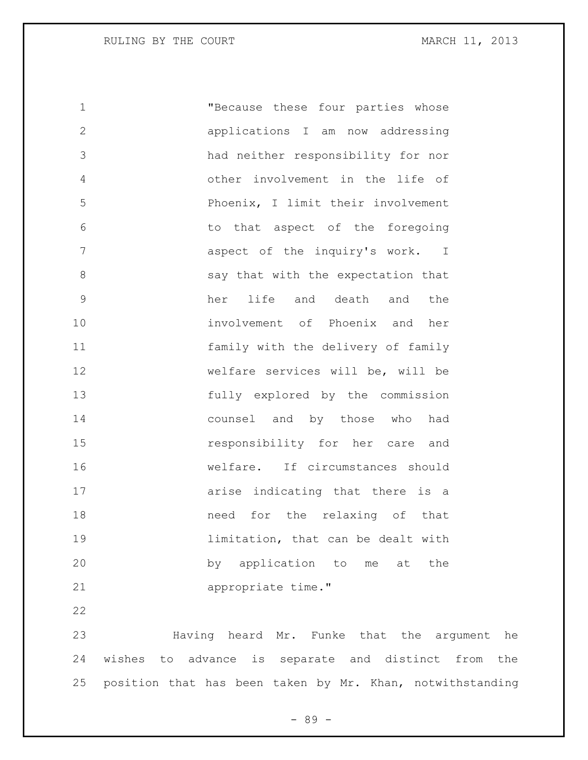"Because these four parties whose applications I am now addressing had neither responsibility for nor other involvement in the life of Phoenix, I limit their involvement to that aspect of the foregoing aspect of the inquiry's work. I 8 say that with the expectation that her life and death and the involvement of Phoenix and her family with the delivery of family welfare services will be, will be fully explored by the commission counsel and by those who had responsibility for her care and welfare. If circumstances should arise indicating that there is a need for the relaxing of that **19** limitation, that can be dealt with by application to me at the appropriate time."

 Having heard Mr. Funke that the argument he wishes to advance is separate and distinct from the position that has been taken by Mr. Khan, notwithstanding

- 89 -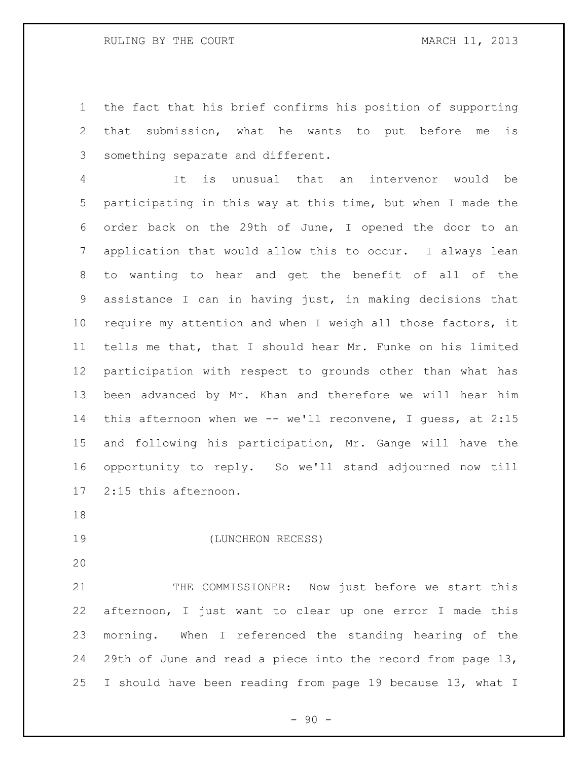the fact that his brief confirms his position of supporting that submission, what he wants to put before me is something separate and different.

 It is unusual that an intervenor would be participating in this way at this time, but when I made the order back on the 29th of June, I opened the door to an application that would allow this to occur. I always lean to wanting to hear and get the benefit of all of the assistance I can in having just, in making decisions that require my attention and when I weigh all those factors, it tells me that, that I should hear Mr. Funke on his limited participation with respect to grounds other than what has been advanced by Mr. Khan and therefore we will hear him 14 this afternoon when we -- we'll reconvene, I quess, at 2:15 and following his participation, Mr. Gange will have the opportunity to reply. So we'll stand adjourned now till 2:15 this afternoon.

(LUNCHEON RECESS)

21 THE COMMISSIONER: Now just before we start this afternoon, I just want to clear up one error I made this morning. When I referenced the standing hearing of the 29th of June and read a piece into the record from page 13, I should have been reading from page 19 because 13, what I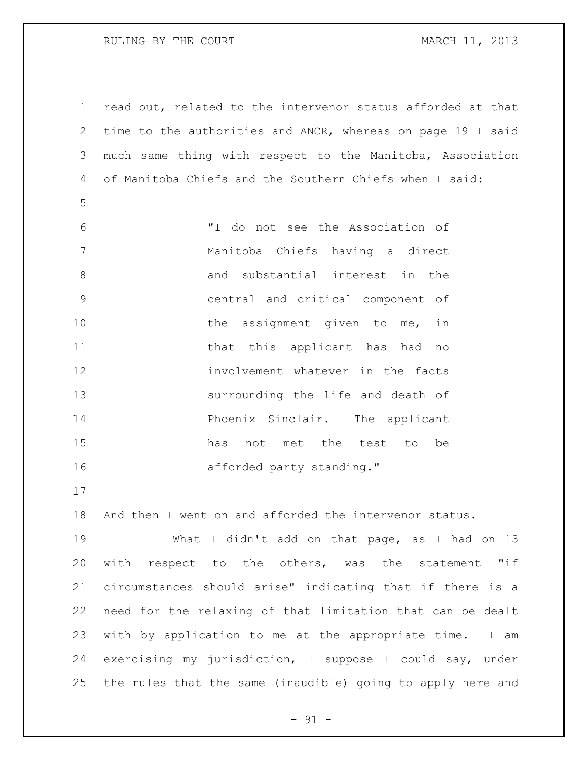RULING BY THE COURT **MARCH 11, 2013** 

 read out, related to the intervenor status afforded at that time to the authorities and ANCR, whereas on page 19 I said much same thing with respect to the Manitoba, Association of Manitoba Chiefs and the Southern Chiefs when I said:

- "I do not see the Association of Manitoba Chiefs having a direct 8 and substantial interest in the central and critical component of 10 the assignment given to me, in 11 that this applicant has had no involvement whatever in the facts surrounding the life and death of Phoenix Sinclair. The applicant has not met the test to be 16 afforded party standing."
- 

And then I went on and afforded the intervenor status.

 What I didn't add on that page, as I had on 13 with respect to the others, was the statement "if circumstances should arise" indicating that if there is a need for the relaxing of that limitation that can be dealt with by application to me at the appropriate time. I am exercising my jurisdiction, I suppose I could say, under the rules that the same (inaudible) going to apply here and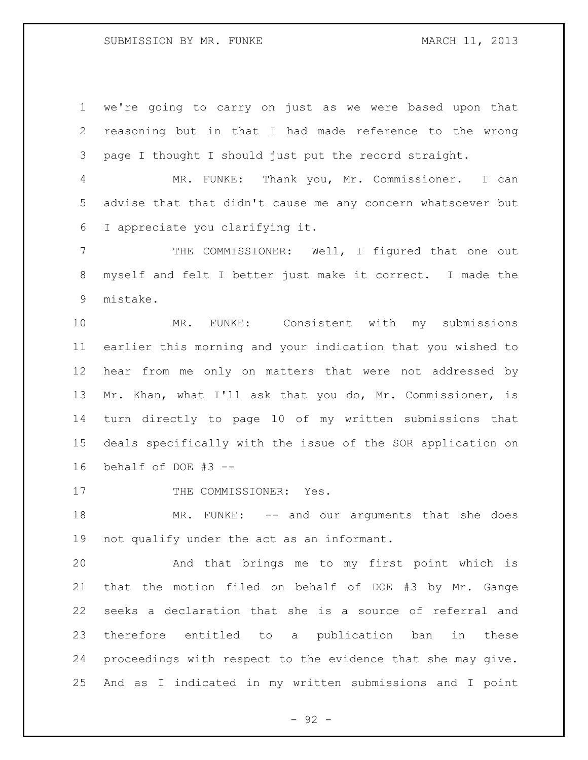we're going to carry on just as we were based upon that reasoning but in that I had made reference to the wrong page I thought I should just put the record straight.

 MR. FUNKE: Thank you, Mr. Commissioner. I can advise that that didn't cause me any concern whatsoever but I appreciate you clarifying it.

 THE COMMISSIONER: Well, I figured that one out myself and felt I better just make it correct. I made the mistake.

 MR. FUNKE: Consistent with my submissions earlier this morning and your indication that you wished to hear from me only on matters that were not addressed by Mr. Khan, what I'll ask that you do, Mr. Commissioner, is turn directly to page 10 of my written submissions that deals specifically with the issue of the SOR application on behalf of DOE #3 --

17 THE COMMISSIONER: Yes.

18 MR. FUNKE: -- and our arguments that she does not qualify under the act as an informant.

 And that brings me to my first point which is that the motion filed on behalf of DOE #3 by Mr. Gange seeks a declaration that she is a source of referral and therefore entitled to a publication ban in these proceedings with respect to the evidence that she may give. And as I indicated in my written submissions and I point

- 92 -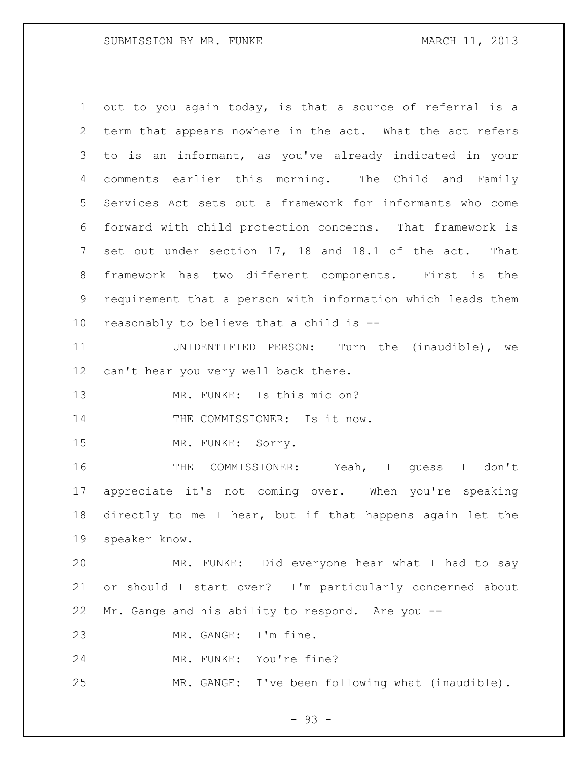out to you again today, is that a source of referral is a term that appears nowhere in the act. What the act refers to is an informant, as you've already indicated in your comments earlier this morning. The Child and Family Services Act sets out a framework for informants who come forward with child protection concerns. That framework is set out under section 17, 18 and 18.1 of the act. That framework has two different components. First is the requirement that a person with information which leads them reasonably to believe that a child is --

 UNIDENTIFIED PERSON: Turn the (inaudible), we can't hear you very well back there.

MR. FUNKE: Is this mic on?

14 THE COMMISSIONER: Is it now.

MR. FUNKE: Sorry.

 THE COMMISSIONER: Yeah, I guess I don't appreciate it's not coming over. When you're speaking directly to me I hear, but if that happens again let the speaker know.

 MR. FUNKE: Did everyone hear what I had to say or should I start over? I'm particularly concerned about Mr. Gange and his ability to respond. Are you --

MR. GANGE: I'm fine.

MR. FUNKE: You're fine?

MR. GANGE: I've been following what (inaudible).

- 93 -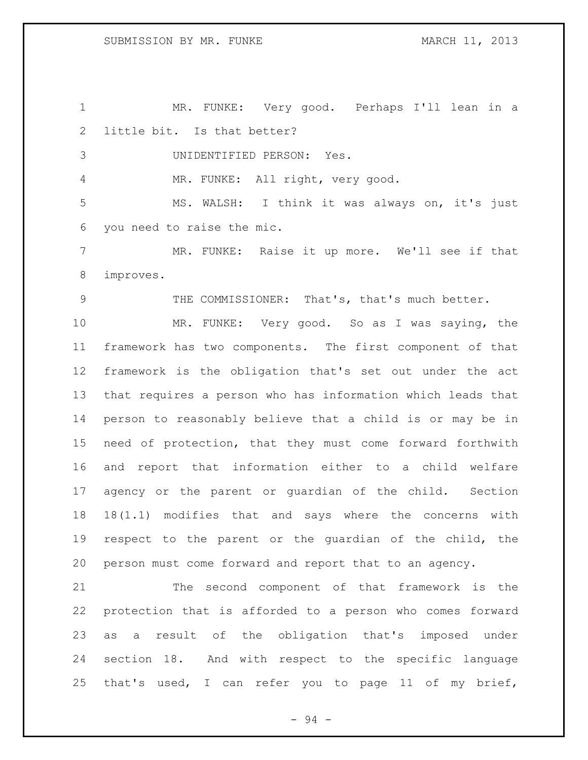MR. FUNKE: Very good. Perhaps I'll lean in a little bit. Is that better? UNIDENTIFIED PERSON: Yes.

MR. FUNKE: All right, very good.

 MS. WALSH: I think it was always on, it's just you need to raise the mic.

 MR. FUNKE: Raise it up more. We'll see if that improves.

THE COMMISSIONER: That's, that's much better.

 MR. FUNKE: Very good. So as I was saying, the framework has two components. The first component of that framework is the obligation that's set out under the act that requires a person who has information which leads that person to reasonably believe that a child is or may be in need of protection, that they must come forward forthwith and report that information either to a child welfare agency or the parent or guardian of the child. Section 18(1.1) modifies that and says where the concerns with respect to the parent or the guardian of the child, the person must come forward and report that to an agency.

 The second component of that framework is the protection that is afforded to a person who comes forward as a result of the obligation that's imposed under section 18. And with respect to the specific language that's used, I can refer you to page 11 of my brief,

- 94 -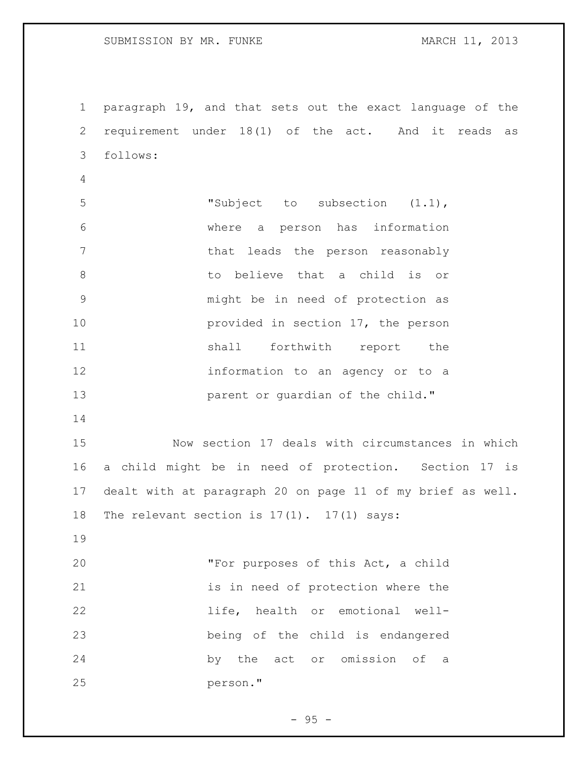paragraph 19, and that sets out the exact language of the requirement under 18(1) of the act. And it reads as follows: "Subject to subsection (1.1), where a person has information 7 that leads the person reasonably to believe that a child is or might be in need of protection as provided in section 17, the person 11 shall forthwith report the information to an agency or to a **parent or guardian of the child."**  Now section 17 deals with circumstances in which a child might be in need of protection. Section 17 is dealt with at paragraph 20 on page 11 of my brief as well. The relevant section is 17(1). 17(1) says: "For purposes of this Act, a child 21 is in need of protection where the life, health or emotional well- being of the child is endangered by the act or omission of a person."

 $-95 -$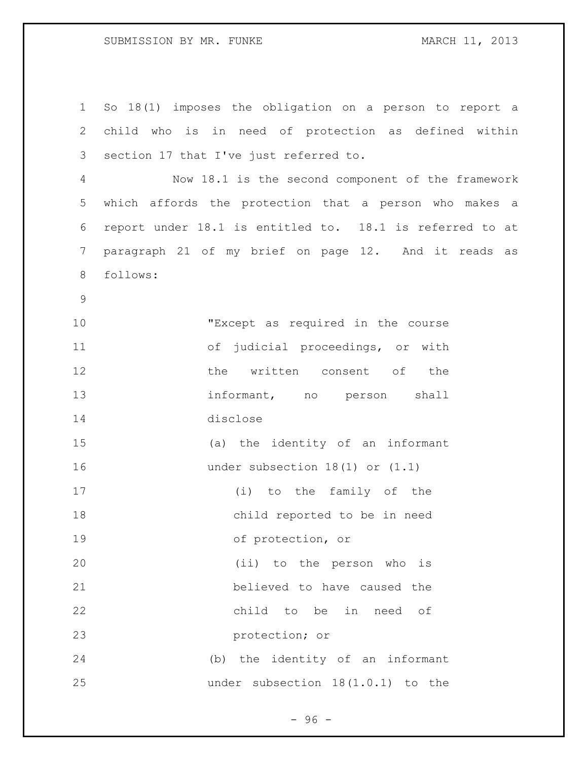## SUBMISSION BY MR. FUNKE MARCH 11, 2013

 So 18(1) imposes the obligation on a person to report a child who is in need of protection as defined within section 17 that I've just referred to. Now 18.1 is the second component of the framework which affords the protection that a person who makes a report under 18.1 is entitled to. 18.1 is referred to at paragraph 21 of my brief on page 12. And it reads as follows: "Except as required in the course of judicial proceedings, or with 12 the written consent of the 13 informant, no person shall disclose (a) the identity of an informant under subsection 18(1) or (1.1) (i) to the family of the child reported to be in need of protection, or (ii) to the person who is believed to have caused the child to be in need of protection; or (b) the identity of an informant under subsection 18(1.0.1) to the

 $-96 -$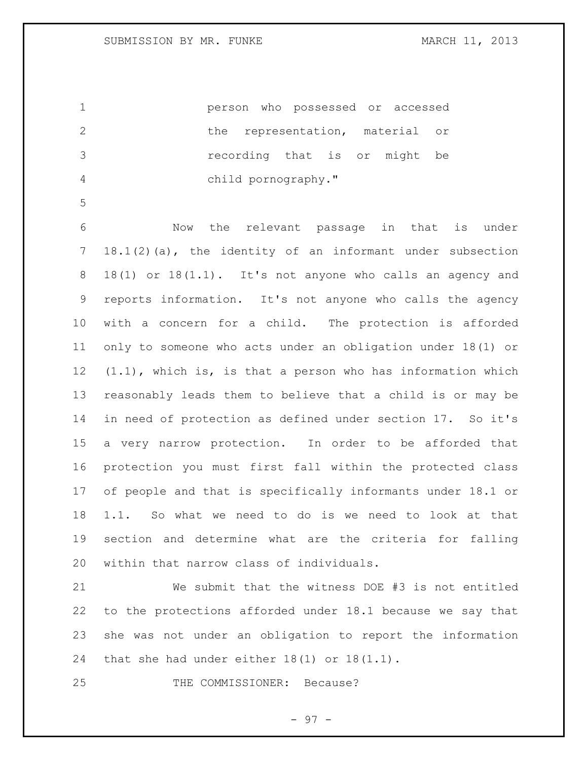person who possessed or accessed 2 the representation, material or recording that is or might be child pornography."

 Now the relevant passage in that is under 18.1(2)(a), the identity of an informant under subsection 18(1) or 18(1.1). It's not anyone who calls an agency and reports information. It's not anyone who calls the agency with a concern for a child. The protection is afforded only to someone who acts under an obligation under 18(1) or (1.1), which is, is that a person who has information which reasonably leads them to believe that a child is or may be in need of protection as defined under section 17. So it's a very narrow protection. In order to be afforded that protection you must first fall within the protected class of people and that is specifically informants under 18.1 or 1.1. So what we need to do is we need to look at that section and determine what are the criteria for falling within that narrow class of individuals.

 We submit that the witness DOE #3 is not entitled to the protections afforded under 18.1 because we say that she was not under an obligation to report the information that she had under either 18(1) or 18(1.1).

25 THE COMMISSIONER: Because?

- 97 -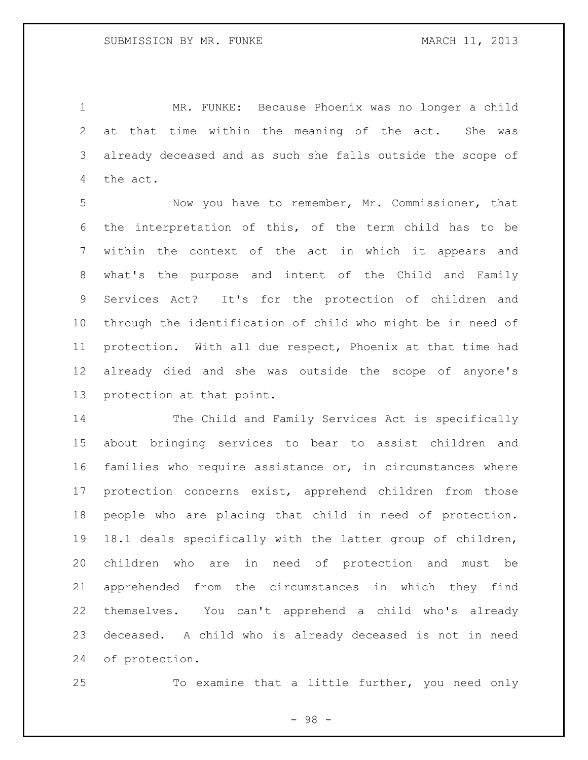MR. FUNKE: Because Phoenix was no longer a child at that time within the meaning of the act. She was already deceased and as such she falls outside the scope of the act.

 Now you have to remember, Mr. Commissioner, that the interpretation of this, of the term child has to be within the context of the act in which it appears and what's the purpose and intent of the Child and Family Services Act? It's for the protection of children and through the identification of child who might be in need of protection. With all due respect, Phoenix at that time had already died and she was outside the scope of anyone's protection at that point.

 The Child and Family Services Act is specifically about bringing services to bear to assist children and families who require assistance or, in circumstances where protection concerns exist, apprehend children from those people who are placing that child in need of protection. 18.1 deals specifically with the latter group of children, children who are in need of protection and must be apprehended from the circumstances in which they find themselves. You can't apprehend a child who's already deceased. A child who is already deceased is not in need of protection.

To examine that a little further, you need only

- 98 -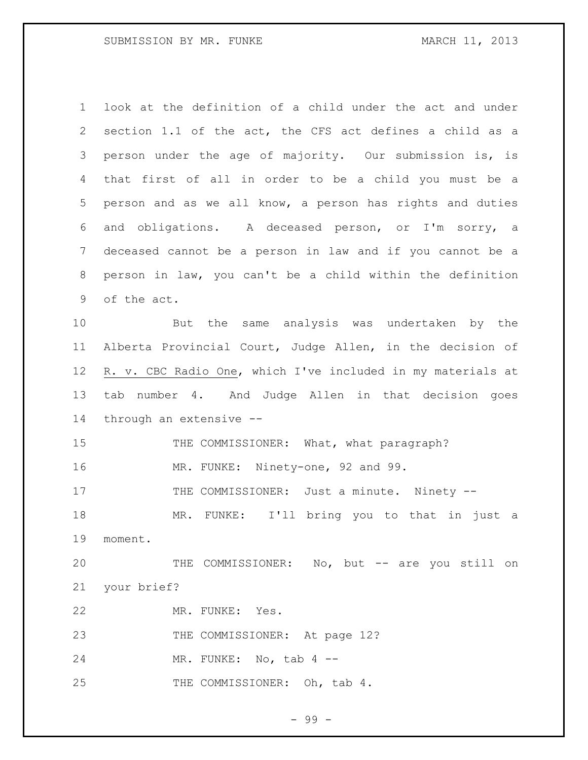| $\mathbf 1$     | look at the definition of a child under the act and under   |
|-----------------|-------------------------------------------------------------|
| 2               | section 1.1 of the act, the CFS act defines a child as a    |
| 3               | person under the age of majority. Our submission is, is     |
| 4               | that first of all in order to be a child you must be a      |
| 5               | person and as we all know, a person has rights and duties   |
| 6               | and obligations. A deceased person, or I'm sorry, a         |
| 7               | deceased cannot be a person in law and if you cannot be a   |
| 8               | person in law, you can't be a child within the definition   |
| 9               | of the act.                                                 |
| 10              | But the same analysis was undertaken by the                 |
| 11              | Alberta Provincial Court, Judge Allen, in the decision of   |
| 12 <sup>°</sup> | R. v. CBC Radio One, which I've included in my materials at |
| 13              | number 4. And Judge Allen in that decision goes<br>tab      |
| 14              | through an extensive --                                     |
| 15              | THE COMMISSIONER: What, what paragraph?                     |
| 16              | MR. FUNKE: Ninety-one, 92 and 99.                           |
| 17              | THE COMMISSIONER: Just a minute. Ninety --                  |
| 18              | I'll bring you to that in just a<br>MR. FUNKE:              |
| 19              | moment.                                                     |
| 20              | THE COMMISSIONER: No, but -- are you still on               |
| 21              | your brief?                                                 |
| 22              | MR. FUNKE: Yes.                                             |
| 23              | THE COMMISSIONER: At page 12?                               |
| 24              | MR. FUNKE: No, tab $4$ --                                   |
| 25              | THE COMMISSIONER: Oh, tab 4.                                |

- 99 -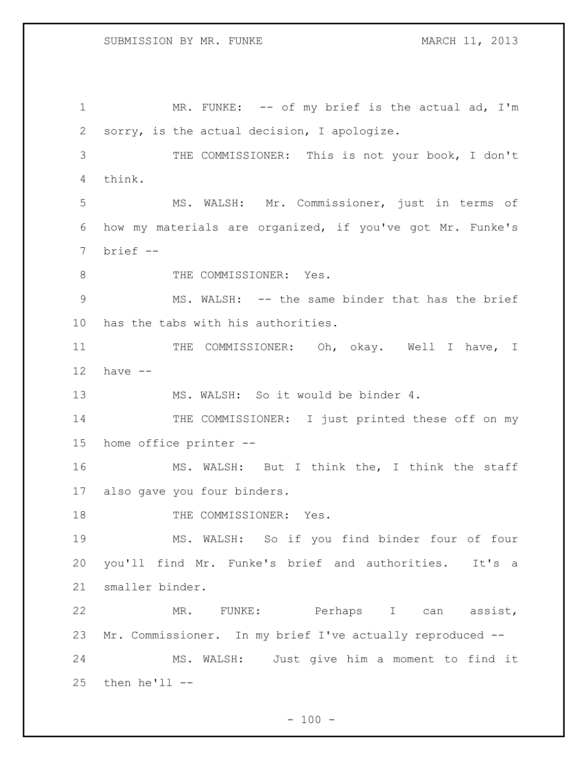1 MR. FUNKE: -- of my brief is the actual ad, I'm sorry, is the actual decision, I apologize. THE COMMISSIONER: This is not your book, I don't think. MS. WALSH: Mr. Commissioner, just in terms of how my materials are organized, if you've got Mr. Funke's brief -- 8 THE COMMISSIONER: Yes. MS. WALSH: -- the same binder that has the brief has the tabs with his authorities. 11 THE COMMISSIONER: Oh, okay. Well I have, I have -- 13 MS. WALSH: So it would be binder 4. 14 THE COMMISSIONER: I just printed these off on my home office printer -- MS. WALSH: But I think the, I think the staff also gave you four binders. 18 THE COMMISSIONER: Yes. MS. WALSH: So if you find binder four of four you'll find Mr. Funke's brief and authorities. It's a smaller binder. MR. FUNKE: Perhaps I can assist, Mr. Commissioner. In my brief I've actually reproduced -- MS. WALSH: Just give him a moment to find it then he'll --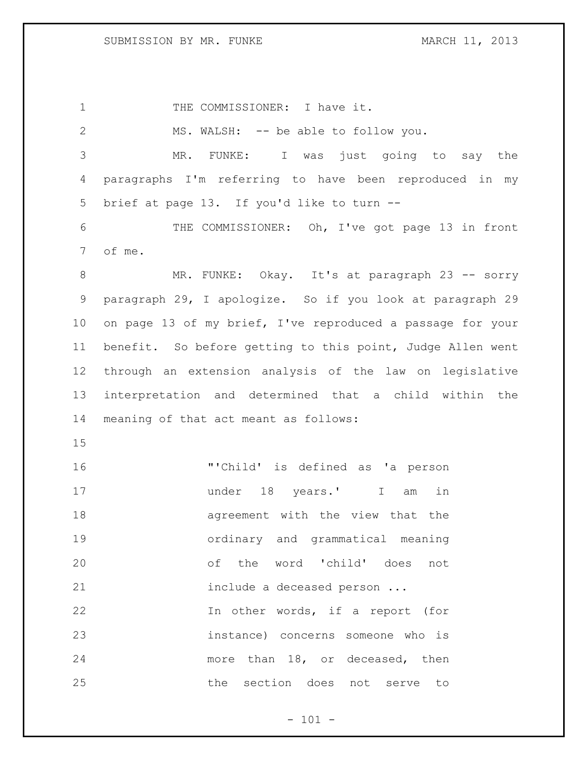SUBMISSION BY MR. FUNKE MARCH 11, 2013

1 THE COMMISSIONER: I have it. MS. WALSH: -- be able to follow you. MR. FUNKE: I was just going to say the paragraphs I'm referring to have been reproduced in my brief at page 13. If you'd like to turn -- THE COMMISSIONER: Oh, I've got page 13 in front of me. 8 MR. FUNKE: Okay. It's at paragraph 23 -- sorry paragraph 29, I apologize. So if you look at paragraph 29 on page 13 of my brief, I've reproduced a passage for your benefit. So before getting to this point, Judge Allen went through an extension analysis of the law on legislative interpretation and determined that a child within the meaning of that act meant as follows: "'Child' is defined as 'a person under 18 years.' I am in agreement with the view that the ordinary and grammatical meaning of the word 'child' does not include a deceased person ... In other words, if a report (for instance) concerns someone who is more than 18, or deceased, then the section does not serve to

 $- 101 -$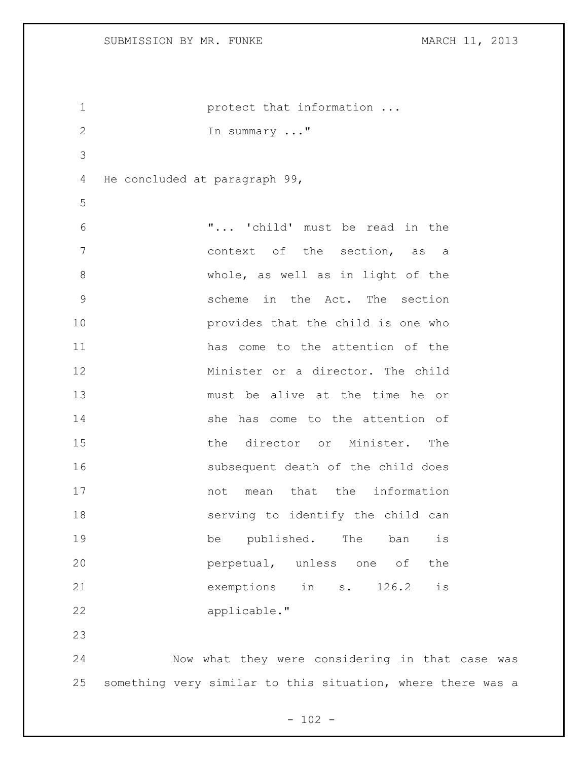```
1 protect that information ...
2 In summary ..."
3
4 He concluded at paragraph 99,
5
6 "... 'child' must be read in the 
7 context of the section, as a 
8 whole, as well as in light of the 
9 scheme in the Act. The section 
10 provides that the child is one who 
11 has come to the attention of the 
12 Minister or a director. The child 
13 must be alive at the time he or 
14 She has come to the attention of
15 the director or Minister. The 
16 subsequent death of the child does 
17 mot mean that the information
18 serving to identify the child can 
19 be published. The ban is
20 perpetual, unless one of the
21 exemptions in s. 126.2 is 
22 applicable."
23
24 Now what they were considering in that case was
```
 $- 102 -$ 

something very similar to this situation, where there was a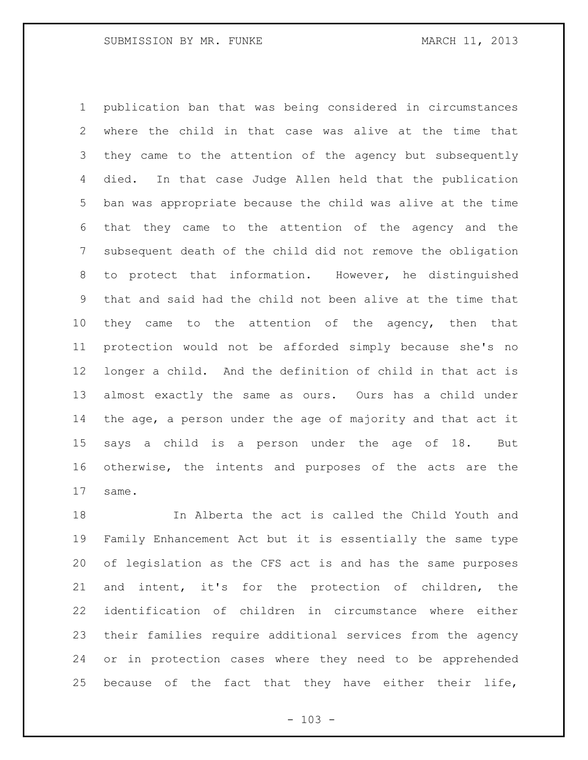publication ban that was being considered in circumstances where the child in that case was alive at the time that they came to the attention of the agency but subsequently died. In that case Judge Allen held that the publication ban was appropriate because the child was alive at the time that they came to the attention of the agency and the subsequent death of the child did not remove the obligation to protect that information. However, he distinguished that and said had the child not been alive at the time that 10 they came to the attention of the agency, then that protection would not be afforded simply because she's no longer a child. And the definition of child in that act is almost exactly the same as ours. Ours has a child under the age, a person under the age of majority and that act it says a child is a person under the age of 18. But otherwise, the intents and purposes of the acts are the same.

 In Alberta the act is called the Child Youth and Family Enhancement Act but it is essentially the same type of legislation as the CFS act is and has the same purposes and intent, it's for the protection of children, the identification of children in circumstance where either their families require additional services from the agency or in protection cases where they need to be apprehended because of the fact that they have either their life,

 $- 103 -$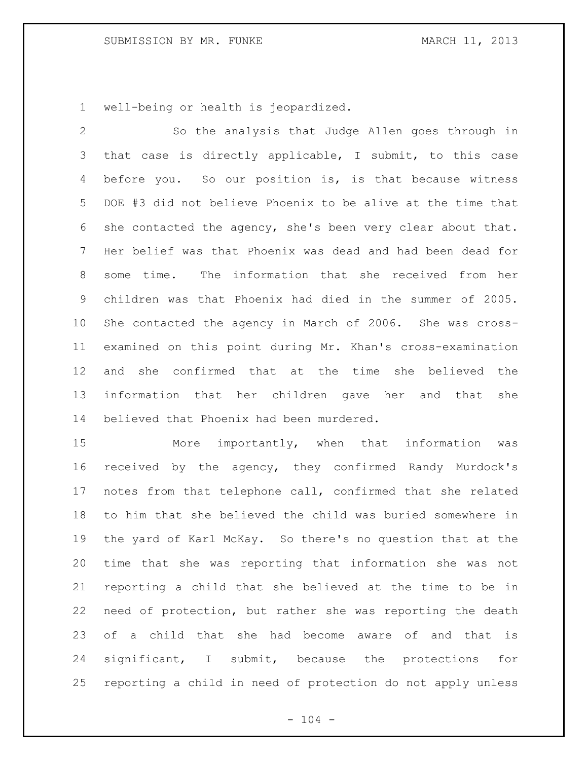well-being or health is jeopardized.

 So the analysis that Judge Allen goes through in that case is directly applicable, I submit, to this case before you. So our position is, is that because witness DOE #3 did not believe Phoenix to be alive at the time that she contacted the agency, she's been very clear about that. Her belief was that Phoenix was dead and had been dead for some time. The information that she received from her children was that Phoenix had died in the summer of 2005. She contacted the agency in March of 2006. She was cross- examined on this point during Mr. Khan's cross-examination and she confirmed that at the time she believed the information that her children gave her and that she believed that Phoenix had been murdered.

 More importantly, when that information was received by the agency, they confirmed Randy Murdock's notes from that telephone call, confirmed that she related to him that she believed the child was buried somewhere in the yard of Karl McKay. So there's no question that at the time that she was reporting that information she was not reporting a child that she believed at the time to be in need of protection, but rather she was reporting the death of a child that she had become aware of and that is significant, I submit, because the protections for reporting a child in need of protection do not apply unless

 $- 104 -$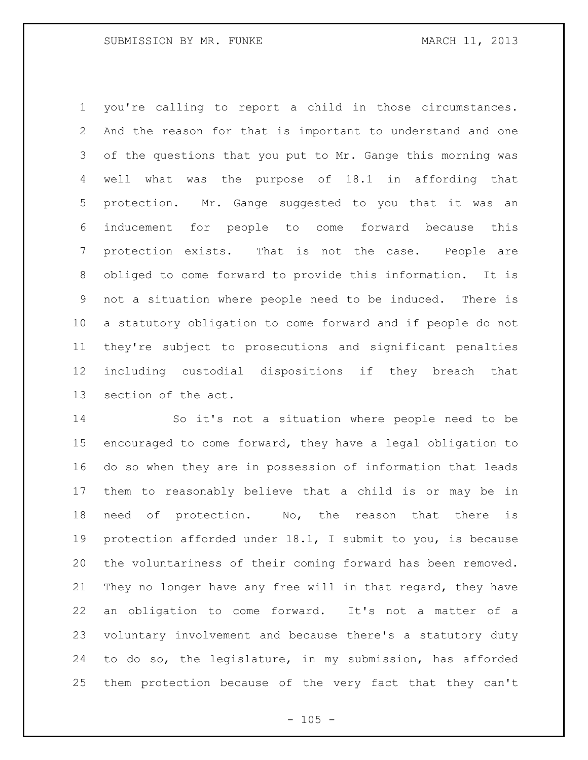you're calling to report a child in those circumstances. And the reason for that is important to understand and one of the questions that you put to Mr. Gange this morning was well what was the purpose of 18.1 in affording that protection. Mr. Gange suggested to you that it was an inducement for people to come forward because this protection exists. That is not the case. People are obliged to come forward to provide this information. It is not a situation where people need to be induced. There is a statutory obligation to come forward and if people do not they're subject to prosecutions and significant penalties including custodial dispositions if they breach that section of the act.

 So it's not a situation where people need to be encouraged to come forward, they have a legal obligation to do so when they are in possession of information that leads them to reasonably believe that a child is or may be in need of protection. No, the reason that there is protection afforded under 18.1, I submit to you, is because the voluntariness of their coming forward has been removed. They no longer have any free will in that regard, they have an obligation to come forward. It's not a matter of a voluntary involvement and because there's a statutory duty to do so, the legislature, in my submission, has afforded them protection because of the very fact that they can't

 $- 105 -$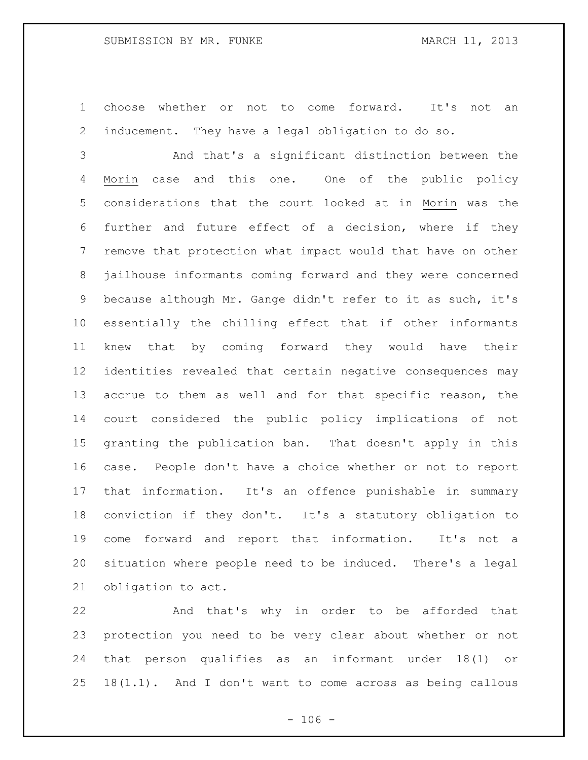choose whether or not to come forward. It's not an inducement. They have a legal obligation to do so.

 And that's a significant distinction between the Morin case and this one. One of the public policy considerations that the court looked at in Morin was the further and future effect of a decision, where if they remove that protection what impact would that have on other jailhouse informants coming forward and they were concerned because although Mr. Gange didn't refer to it as such, it's essentially the chilling effect that if other informants knew that by coming forward they would have their identities revealed that certain negative consequences may accrue to them as well and for that specific reason, the court considered the public policy implications of not granting the publication ban. That doesn't apply in this case. People don't have a choice whether or not to report that information. It's an offence punishable in summary conviction if they don't. It's a statutory obligation to come forward and report that information. It's not a situation where people need to be induced. There's a legal obligation to act.

 And that's why in order to be afforded that protection you need to be very clear about whether or not that person qualifies as an informant under 18(1) or 18(1.1). And I don't want to come across as being callous

 $- 106 -$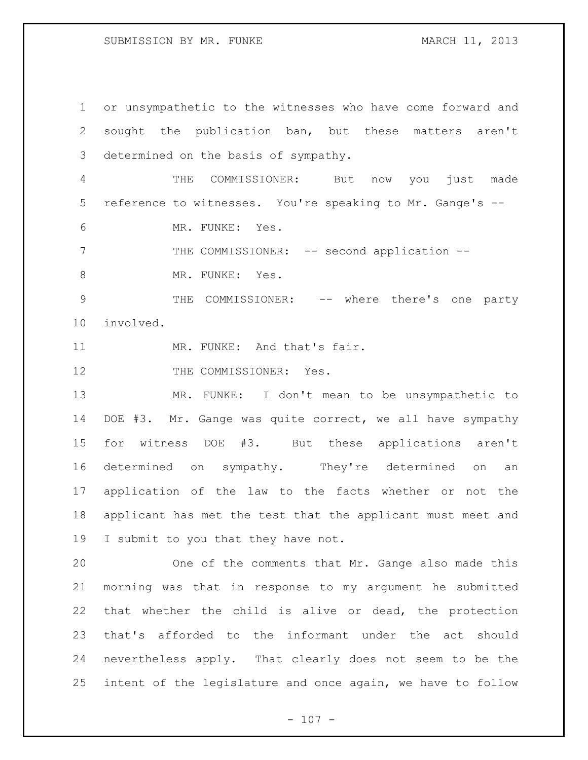or unsympathetic to the witnesses who have come forward and sought the publication ban, but these matters aren't determined on the basis of sympathy. THE COMMISSIONER: But now you just made reference to witnesses. You're speaking to Mr. Gange's -- MR. FUNKE: Yes. 7 THE COMMISSIONER: -- second application --8 MR. FUNKE: Yes. 9 THE COMMISSIONER: -- where there's one party involved. 11 MR. FUNKE: And that's fair. 12 THE COMMISSIONER: Yes. MR. FUNKE: I don't mean to be unsympathetic to DOE #3. Mr. Gange was quite correct, we all have sympathy for witness DOE #3. But these applications aren't determined on sympathy. They're determined on an application of the law to the facts whether or not the applicant has met the test that the applicant must meet and I submit to you that they have not. One of the comments that Mr. Gange also made this morning was that in response to my argument he submitted that whether the child is alive or dead, the protection that's afforded to the informant under the act should nevertheless apply. That clearly does not seem to be the intent of the legislature and once again, we have to follow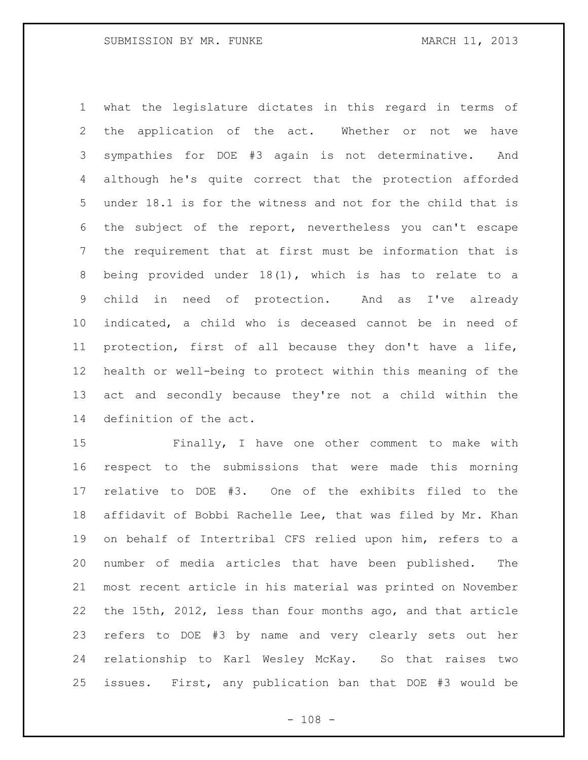what the legislature dictates in this regard in terms of the application of the act. Whether or not we have sympathies for DOE #3 again is not determinative. And although he's quite correct that the protection afforded under 18.1 is for the witness and not for the child that is the subject of the report, nevertheless you can't escape the requirement that at first must be information that is being provided under 18(1), which is has to relate to a child in need of protection. And as I've already indicated, a child who is deceased cannot be in need of protection, first of all because they don't have a life, health or well-being to protect within this meaning of the act and secondly because they're not a child within the definition of the act.

 Finally, I have one other comment to make with respect to the submissions that were made this morning relative to DOE #3. One of the exhibits filed to the affidavit of Bobbi Rachelle Lee, that was filed by Mr. Khan on behalf of Intertribal CFS relied upon him, refers to a number of media articles that have been published. The most recent article in his material was printed on November the 15th, 2012, less than four months ago, and that article refers to DOE #3 by name and very clearly sets out her relationship to Karl Wesley McKay. So that raises two issues. First, any publication ban that DOE #3 would be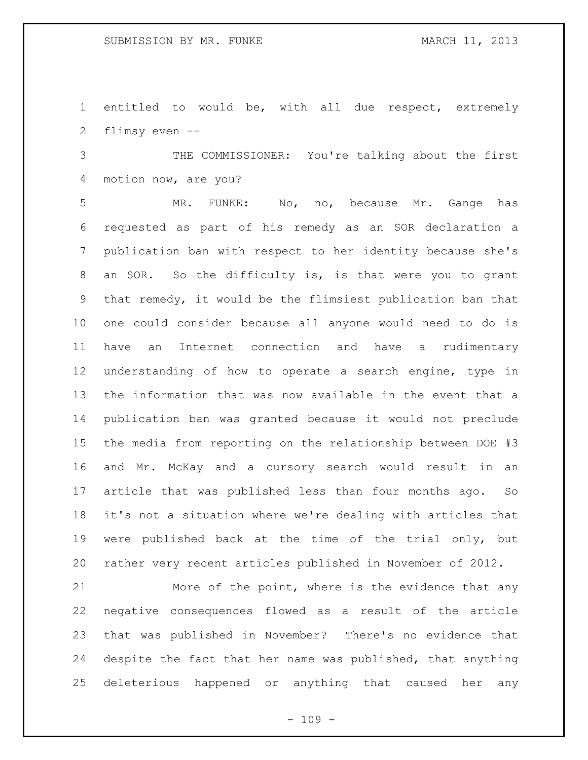entitled to would be, with all due respect, extremely flimsy even --

 THE COMMISSIONER: You're talking about the first motion now, are you?

 MR. FUNKE: No, no, because Mr. Gange has requested as part of his remedy as an SOR declaration a publication ban with respect to her identity because she's an SOR. So the difficulty is, is that were you to grant that remedy, it would be the flimsiest publication ban that one could consider because all anyone would need to do is have an Internet connection and have a rudimentary understanding of how to operate a search engine, type in the information that was now available in the event that a publication ban was granted because it would not preclude the media from reporting on the relationship between DOE #3 and Mr. McKay and a cursory search would result in an article that was published less than four months ago. So it's not a situation where we're dealing with articles that were published back at the time of the trial only, but rather very recent articles published in November of 2012.

 More of the point, where is the evidence that any negative consequences flowed as a result of the article that was published in November? There's no evidence that despite the fact that her name was published, that anything deleterious happened or anything that caused her any

 $- 109 -$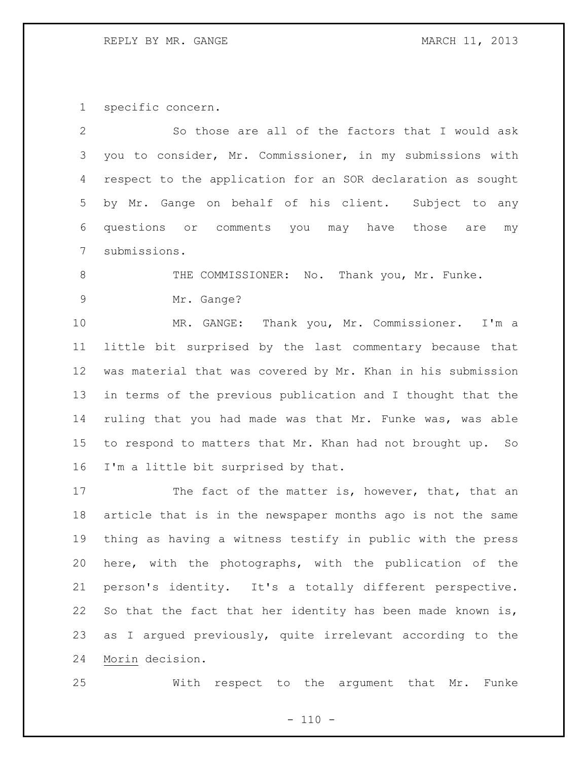## REPLY BY MR. GANGE MARCH 11, 2013

specific concern.

| $\mathbf{2}$    | So those are all of the factors that I would ask            |
|-----------------|-------------------------------------------------------------|
| 3               | you to consider, Mr. Commissioner, in my submissions with   |
| 4               | respect to the application for an SOR declaration as sought |
| 5               | by Mr. Gange on behalf of his client.<br>Subject to any     |
| 6               | questions or comments you may have those are<br>my          |
| $7\phantom{.0}$ | submissions.                                                |
| 8               | THE COMMISSIONER: No. Thank you, Mr. Funke.                 |
| $\overline{9}$  | Mr. Gange?                                                  |
| 10              | MR. GANGE: Thank you, Mr. Commissioner.<br>I'm a            |
| 11              | little bit surprised by the last commentary because that    |
| 12              | was material that was covered by Mr. Khan in his submission |
| 13              | in terms of the previous publication and I thought that the |
| 14              | ruling that you had made was that Mr. Funke was, was able   |
| 15              | to respond to matters that Mr. Khan had not brought up. So  |
| 16              | I'm a little bit surprised by that.                         |
| 17              | The fact of the matter is, however, that, that an           |
| 18              | article that is in the newspaper months ago is not the same |
| 19              | thing as having a witness testify in public with the press  |
| 20              | here, with the photographs, with the publication of the     |
| 21              | person's identity. It's a totally different perspective.    |
| 22              | So that the fact that her identity has been made known is,  |
| 23              | as I argued previously, quite irrelevant according to the   |
| 24              | Morin decision.                                             |

With respect to the argument that Mr. Funke

 $- 110 -$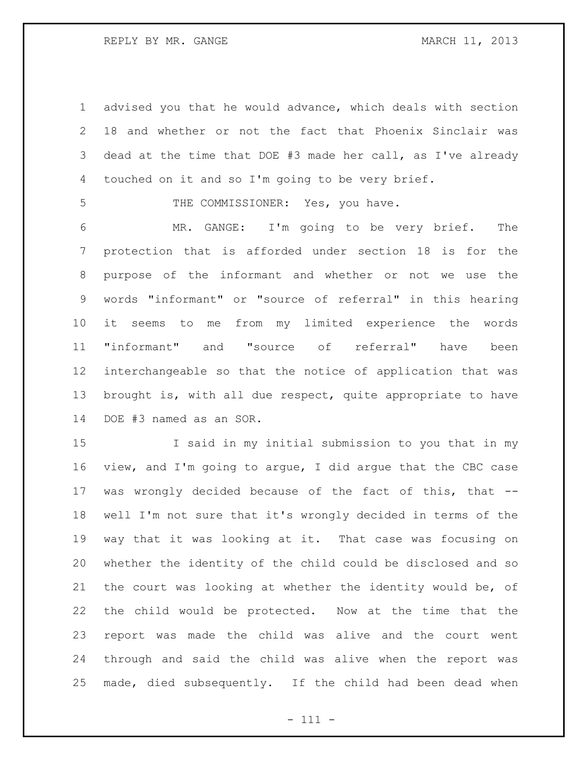REPLY BY MR. GANGE MARCH 11, 2013

 advised you that he would advance, which deals with section 18 and whether or not the fact that Phoenix Sinclair was dead at the time that DOE #3 made her call, as I've already touched on it and so I'm going to be very brief.

5 THE COMMISSIONER: Yes, you have.

 MR. GANGE: I'm going to be very brief. The protection that is afforded under section 18 is for the purpose of the informant and whether or not we use the words "informant" or "source of referral" in this hearing it seems to me from my limited experience the words "informant" and "source of referral" have been interchangeable so that the notice of application that was brought is, with all due respect, quite appropriate to have DOE #3 named as an SOR.

 I said in my initial submission to you that in my view, and I'm going to argue, I did argue that the CBC case was wrongly decided because of the fact of this, that -- well I'm not sure that it's wrongly decided in terms of the way that it was looking at it. That case was focusing on whether the identity of the child could be disclosed and so the court was looking at whether the identity would be, of the child would be protected. Now at the time that the report was made the child was alive and the court went through and said the child was alive when the report was made, died subsequently. If the child had been dead when

- 111 -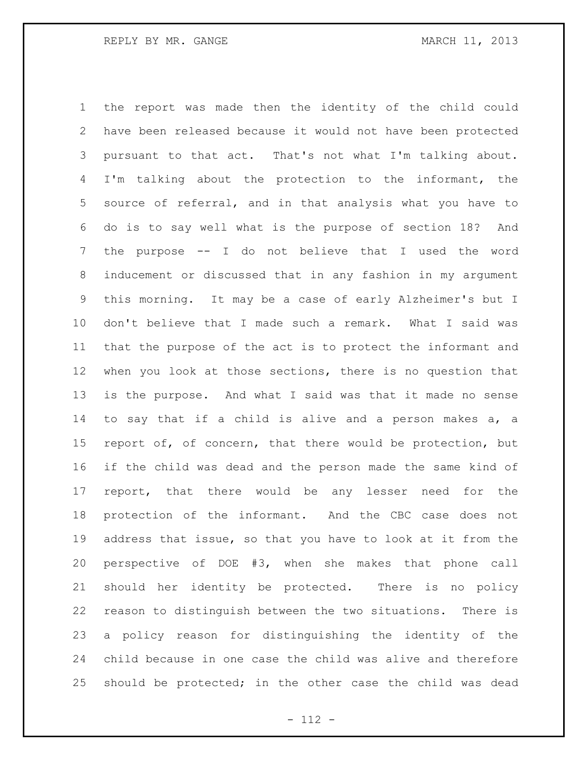the report was made then the identity of the child could have been released because it would not have been protected pursuant to that act. That's not what I'm talking about. I'm talking about the protection to the informant, the source of referral, and in that analysis what you have to do is to say well what is the purpose of section 18? And the purpose -- I do not believe that I used the word inducement or discussed that in any fashion in my argument this morning. It may be a case of early Alzheimer's but I don't believe that I made such a remark. What I said was that the purpose of the act is to protect the informant and when you look at those sections, there is no question that is the purpose. And what I said was that it made no sense to say that if a child is alive and a person makes a, a report of, of concern, that there would be protection, but if the child was dead and the person made the same kind of report, that there would be any lesser need for the protection of the informant. And the CBC case does not address that issue, so that you have to look at it from the perspective of DOE #3, when she makes that phone call should her identity be protected. There is no policy reason to distinguish between the two situations. There is a policy reason for distinguishing the identity of the child because in one case the child was alive and therefore should be protected; in the other case the child was dead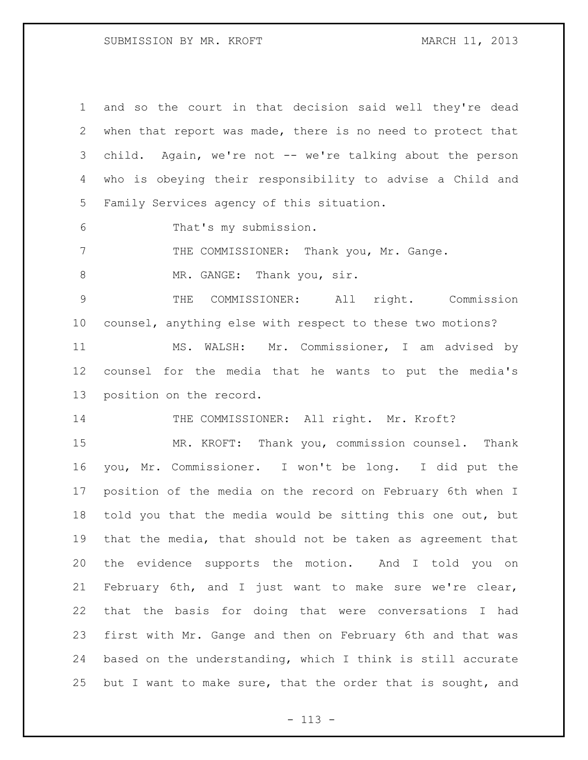## SUBMISSION BY MR. KROFT MARCH 11, 2013

| $\mathbf 1$     | and so the court in that decision said well they're dead    |
|-----------------|-------------------------------------------------------------|
| $\mathbf{2}$    | when that report was made, there is no need to protect that |
| 3               | child. Again, we're not -- we're talking about the person   |
| 4               | who is obeying their responsibility to advise a Child and   |
| 5               | Family Services agency of this situation.                   |
| 6               | That's my submission.                                       |
| 7               | THE COMMISSIONER: Thank you, Mr. Gange.                     |
| 8               | MR. GANGE: Thank you, sir.                                  |
| 9               | THE COMMISSIONER: All right. Commission                     |
| 10 <sub>o</sub> | counsel, anything else with respect to these two motions?   |
| 11              | MS. WALSH: Mr. Commissioner, I am advised by                |
| 12              | counsel for the media that he wants to put the media's      |
| 13              | position on the record.                                     |
| 14              | THE COMMISSIONER: All right. Mr. Kroft?                     |
| 15              | MR. KROFT: Thank you, commission counsel. Thank             |
| 16              | you, Mr. Commissioner. I won't be long. I did put the       |
| 17              | position of the media on the record on February 6th when I  |
| 18              | told you that the media would be sitting this one out, but  |
| 19              | that the media, that should not be taken as agreement that  |
| 20              | the evidence supports the motion. And I told you on         |
| 21              | February 6th, and I just want to make sure we're clear,     |
| 22              | that the basis for doing that were conversations I had      |
| 23              | first with Mr. Gange and then on February 6th and that was  |
| 24              | based on the understanding, which I think is still accurate |
| 25              | but I want to make sure, that the order that is sought, and |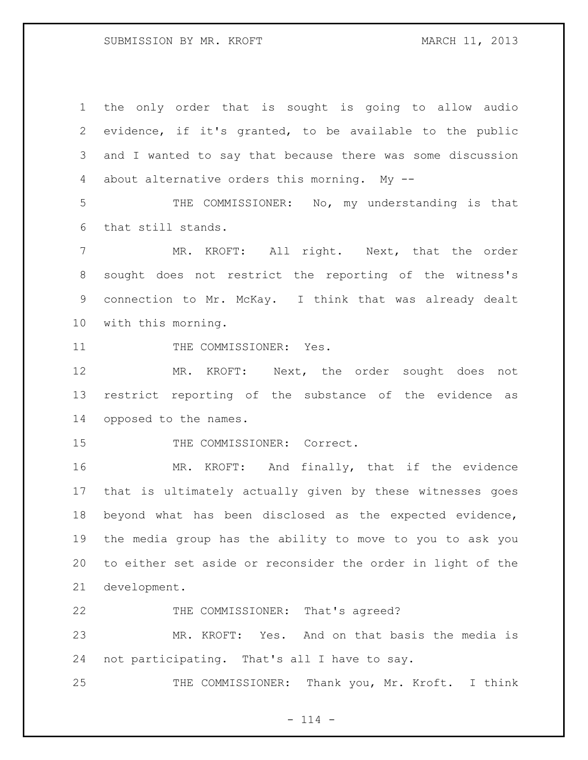the only order that is sought is going to allow audio evidence, if it's granted, to be available to the public and I wanted to say that because there was some discussion about alternative orders this morning. My --

 THE COMMISSIONER: No, my understanding is that that still stands.

7 MR. KROFT: All right. Next, that the order sought does not restrict the reporting of the witness's connection to Mr. McKay. I think that was already dealt with this morning.

11 THE COMMISSIONER: Yes.

 MR. KROFT: Next, the order sought does not restrict reporting of the substance of the evidence as opposed to the names.

15 THE COMMISSIONER: Correct.

 MR. KROFT: And finally, that if the evidence that is ultimately actually given by these witnesses goes beyond what has been disclosed as the expected evidence, the media group has the ability to move to you to ask you to either set aside or reconsider the order in light of the development.

22 THE COMMISSIONER: That's agreed?

 MR. KROFT: Yes. And on that basis the media is not participating. That's all I have to say.

25 THE COMMISSIONER: Thank you, Mr. Kroft. I think

 $- 114 -$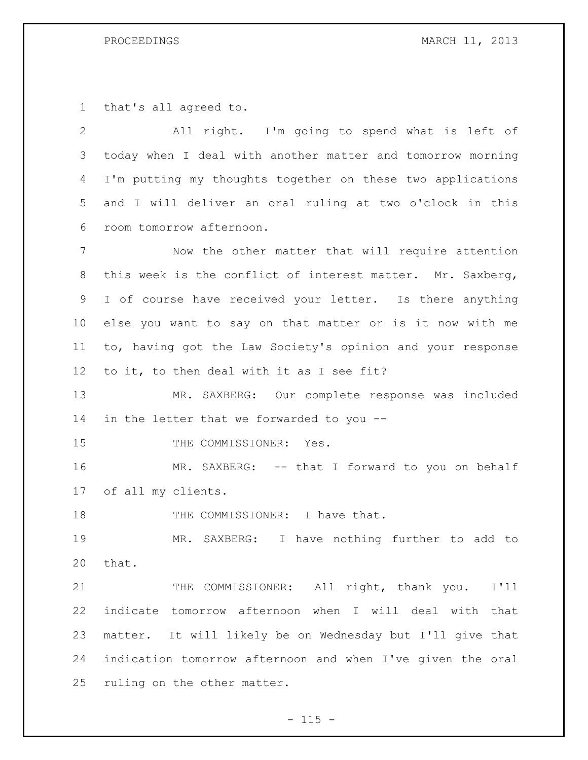that's all agreed to.

 All right. I'm going to spend what is left of today when I deal with another matter and tomorrow morning I'm putting my thoughts together on these two applications and I will deliver an oral ruling at two o'clock in this room tomorrow afternoon.

 Now the other matter that will require attention 8 this week is the conflict of interest matter. Mr. Saxberg, I of course have received your letter. Is there anything else you want to say on that matter or is it now with me to, having got the Law Society's opinion and your response to it, to then deal with it as I see fit?

 MR. SAXBERG: Our complete response was included 14 in the letter that we forwarded to you --

15 THE COMMISSIONER: Yes.

 MR. SAXBERG: -- that I forward to you on behalf of all my clients.

18 THE COMMISSIONER: I have that.

 MR. SAXBERG: I have nothing further to add to that.

21 THE COMMISSIONER: All right, thank you. I'll indicate tomorrow afternoon when I will deal with that matter. It will likely be on Wednesday but I'll give that indication tomorrow afternoon and when I've given the oral ruling on the other matter.